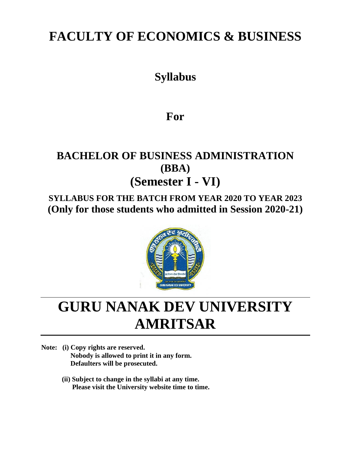# **FACULTY OF ECONOMICS & BUSINESS**

## **Syllabus**

## **For**

## **BACHELOR OF BUSINESS ADMINISTRATION (BBA) (Semester I - VI)**

## **SYLLABUS FOR THE BATCH FROM YEAR 2020 TO YEAR 2023 (Only for those students who admitted in Session 2020-21)**



# **GURU NANAK DEV UNIVERSITY AMRITSAR**

**Note: (i) Copy rights are reserved. Nobody is allowed to print it in any form. Defaulters will be prosecuted.**

> **(ii) Subject to change in the syllabi at any time. Please visit the University website time to time.**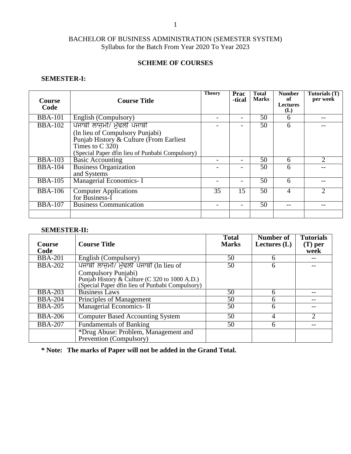### **SCHEME OF COURSES**

### **SEMESTER-I:**

| <b>Course</b><br>Code | <b>Course Title</b>                             | <b>Theory</b> | Prac<br>-tical           | <b>Total</b><br><b>Marks</b> | <b>Number</b><br>of<br><b>Lectures</b><br>(L) | Tutorials (T)<br>per week   |
|-----------------------|-------------------------------------------------|---------------|--------------------------|------------------------------|-----------------------------------------------|-----------------------------|
| <b>BBA-101</b>        | English (Compulsory)                            |               | -                        | 50                           | 6                                             |                             |
| <b>BBA-102</b>        | ਪੰਜਾਬੀ ਲਾਜ਼ਮੀ/ ਮੁੱਢਲੀ ਪੰਜਾਬੀ                    |               |                          | 50                           | 6                                             |                             |
|                       | (In lieu of Compulsory Punjabi)                 |               |                          |                              |                                               |                             |
|                       | Punjab History & Culture (From Earliest         |               |                          |                              |                                               |                             |
|                       | Times to $C$ 320)                               |               |                          |                              |                                               |                             |
|                       | (Special Paper dfin lieu of Punbabi Compulsory) |               |                          |                              |                                               |                             |
| <b>BBA-103</b>        | <b>Basic Accounting</b>                         |               | -                        | 50                           | 6                                             | $\overline{2}$              |
| <b>BBA-104</b>        | <b>Business Organization</b>                    |               |                          | 50                           | 6                                             |                             |
|                       | and Systems                                     |               |                          |                              |                                               |                             |
| <b>BBA-105</b>        | Managerial Economics- I                         |               | $\overline{\phantom{0}}$ | 50                           | 6                                             |                             |
| <b>BBA-106</b>        | <b>Computer Applications</b>                    | 35            | 15                       | 50                           | 4                                             | $\mathcal{D}_{\mathcal{L}}$ |
|                       | for Business-I                                  |               |                          |                              |                                               |                             |
| <b>BBA-107</b>        | <b>Business Communication</b>                   |               | -                        | 50                           | --                                            |                             |
|                       |                                                 |               |                          |                              |                                               |                             |

#### **SEMESTER-II:**

| <b>Course</b>  | <b>Course Title</b>                             | <b>Total</b><br><b>Marks</b> | Number of<br>Lectures $(L)$ | <b>Tutorials</b><br>$(T)$ per |
|----------------|-------------------------------------------------|------------------------------|-----------------------------|-------------------------------|
| Code           |                                                 |                              |                             | week                          |
| <b>BBA-201</b> | English (Compulsory)                            | 50                           | 6                           |                               |
| <b>BBA-202</b> | ਪੰਜਾਬੀ ਲਾਜ਼ਮੀ/ ਮੁੱਢਲੀ ਪੰਜਾਬੀ (In lieu of        | 50                           | 6                           |                               |
|                | Compulsory Punjabi)                             |                              |                             |                               |
|                | Punjab History & Culture (C 320 to 1000 A.D.)   |                              |                             |                               |
|                | (Special Paper dfin lieu of Punbabi Compulsory) |                              |                             |                               |
| <b>BBA-203</b> | <b>Business Laws</b>                            | 50                           | 6                           | --                            |
| <b>BBA-204</b> | Principles of Management                        | 50                           | n                           |                               |
| <b>BBA-205</b> | Managerial Economics- II                        | 50                           | 6                           |                               |
| <b>BBA-206</b> | <b>Computer Based Accounting System</b>         | 50                           |                             | $\mathcal{D}$                 |
| <b>BBA-207</b> | <b>Fundamentals of Banking</b>                  | 50                           | h                           | --                            |
|                | *Drug Abuse: Problem, Management and            |                              |                             |                               |
|                | Prevention (Compulsory)                         |                              |                             |                               |

**\* Note: The marks of Paper will not be added in the Grand Total.**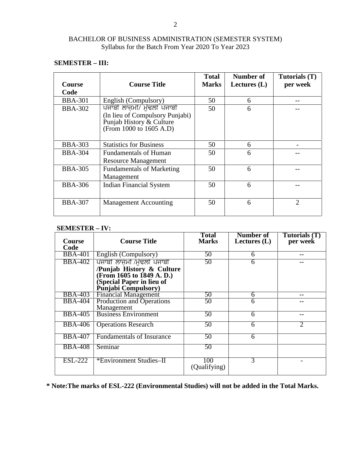#### **SEMESTER – III:**

| <b>Course</b>  | <b>Course Title</b>                                           | <b>Total</b><br><b>Marks</b> | Number of<br>Lectures $(L)$ | Tutorials (T)<br>per week |
|----------------|---------------------------------------------------------------|------------------------------|-----------------------------|---------------------------|
| Code           |                                                               |                              |                             |                           |
| <b>BBA-301</b> | English (Compulsory)                                          | 50                           | 6                           |                           |
| <b>BBA-302</b> | ਪੰਜਾਬੀ ਲਾਜਮੀ/ ਮੱਢਲੀ ਪੰਜਾਬੀ<br>(In lieu of Compulsory Punjabi) | 50                           | 6                           |                           |
|                | Punjab History & Culture<br>(From 1000 to 1605 A.D)           |                              |                             |                           |
| <b>BBA-303</b> | <b>Statistics for Business</b>                                | 50                           | 6                           |                           |
| <b>BBA-304</b> | <b>Fundamentals of Human</b><br><b>Resource Management</b>    | 50                           | 6                           |                           |
| <b>BBA-305</b> | <b>Fundamentals of Marketing</b><br>Management                | 50                           | 6                           |                           |
| <b>BBA-306</b> | <b>Indian Financial System</b>                                | 50                           | 6                           |                           |
| <b>BBA-307</b> | <b>Management Accounting</b>                                  | 50                           | 6                           | 2                         |

### **SEMESTER – IV:**

| Course         | <b>Course Title</b>                                                                                                                             | <b>Total</b><br><b>Marks</b> | Number of<br>Lectures $(L)$ | Tutorials (T)<br>per week   |
|----------------|-------------------------------------------------------------------------------------------------------------------------------------------------|------------------------------|-----------------------------|-----------------------------|
| Code           |                                                                                                                                                 |                              |                             |                             |
| <b>BBA-401</b> | English (Compulsory)                                                                                                                            | 50                           | 6                           |                             |
| <b>BBA-402</b> | ਪੰਜਾਬੀ ਲਾਜਮੀ /ਮੱਢਲੀ ਪੰਜਾਬੀ<br>/Punjab History & Culture<br>(From 1605 to 1849 A.D.)<br>(Special Paper in lieu of<br><b>Punjabi Compulsory</b> ) | 50                           | 6                           |                             |
| <b>BBA-403</b> | <b>Financial Management</b>                                                                                                                     | 50                           | 6                           |                             |
| <b>BBA-404</b> | <b>Production and Operations</b><br>Management                                                                                                  | 50                           | 6                           |                             |
| <b>BBA-405</b> | <b>Business Environment</b>                                                                                                                     | 50                           | 6                           | --                          |
| <b>BBA-406</b> | <b>Operations Research</b>                                                                                                                      | 50                           | 6                           | $\mathcal{D}_{\mathcal{L}}$ |
| <b>BBA-407</b> | <b>Fundamentals of Insurance</b>                                                                                                                | 50                           | 6                           |                             |
| <b>BBA-408</b> | Seminar                                                                                                                                         | 50                           |                             |                             |
| <b>ESL-222</b> | *Environment Studies-II                                                                                                                         | 100<br>(Qualifying)          | 3                           |                             |

**\* Note:The marks of ESL-222 (Environmental Studies) will not be added in the Total Marks.**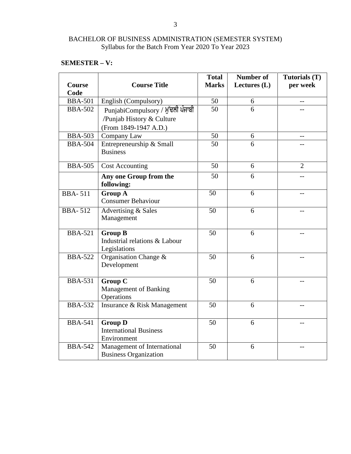### **SEMESTER – V:**

| <b>Course</b><br>Code | <b>Course Title</b>                                                                     | <b>Total</b><br><b>Marks</b> | <b>Number of</b><br>Lectures $(L)$ | Tutorials (T)<br>per week |
|-----------------------|-----------------------------------------------------------------------------------------|------------------------------|------------------------------------|---------------------------|
| <b>BBA-501</b>        | English (Compulsory)                                                                    | 50                           | 6                                  |                           |
| <b>BBA-502</b>        | PunjabiCompulsory / ਮੁੱਢਲੀ ਪੰਜਾਬੀ<br>/Punjab History & Culture<br>(From 1849-1947 A.D.) | 50                           | 6                                  |                           |
| <b>BBA-503</b>        | Company Law                                                                             | 50                           | 6                                  | $-$                       |
| <b>BBA-504</b>        | Entrepreneurship & Small<br><b>Business</b>                                             | 50                           | 6                                  |                           |
| <b>BBA-505</b>        | <b>Cost Accounting</b>                                                                  | 50                           | 6                                  | $\overline{2}$            |
|                       | Any one Group from the<br>following:                                                    | 50                           | 6                                  |                           |
| <b>BBA-511</b>        | <b>Group A</b><br><b>Consumer Behaviour</b>                                             | $\overline{50}$              | 6                                  |                           |
| <b>BBA-512</b>        | Advertising & Sales<br>Management                                                       | 50                           | 6                                  | $-1$                      |
| <b>BBA-521</b>        | <b>Group B</b><br>Industrial relations & Labour<br>Legislations                         | 50                           | 6                                  |                           |
| <b>BBA-522</b>        | Organisation Change &<br>Development                                                    | 50                           | 6                                  | $-$                       |
| <b>BBA-531</b>        | <b>Group C</b><br><b>Management of Banking</b><br>Operations                            | 50                           | 6                                  | $-$                       |
| <b>BBA-532</b>        | Insurance & Risk Management                                                             | 50                           | 6                                  |                           |
| <b>BBA-541</b>        | <b>Group D</b><br><b>International Business</b><br>Environment                          | 50                           | 6                                  |                           |
| <b>BBA-542</b>        | Management of International<br><b>Business Organization</b>                             | 50                           | 6                                  |                           |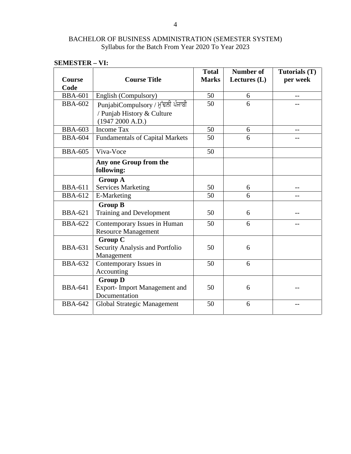| <b>Course</b><br>Code | <b>Course Title</b>                                                                 | <b>Total</b><br><b>Marks</b> | <b>Number of</b><br>Lectures $(L)$ | Tutorials (T)<br>per week |
|-----------------------|-------------------------------------------------------------------------------------|------------------------------|------------------------------------|---------------------------|
| <b>BBA-601</b>        | English (Compulsory)                                                                | 50                           | 6                                  |                           |
| <b>BBA-602</b>        | PunjabiCompulsory / ਮੁੱਢਲੀ ਪੰਜਾਬੀ<br>/ Punjab History & Culture<br>(1947 2000 A.D.) | 50                           | 6                                  |                           |
| <b>BBA-603</b>        | <b>Income Tax</b>                                                                   | 50                           | 6                                  |                           |
| <b>BBA-604</b>        | <b>Fundamentals of Capital Markets</b>                                              | 50                           | 6                                  |                           |
| <b>BBA-605</b>        | Viva-Voce                                                                           | 50                           |                                    |                           |
|                       | Any one Group from the<br>following:                                                |                              |                                    |                           |
|                       | <b>Group A</b>                                                                      |                              |                                    |                           |
| <b>BBA-611</b>        | <b>Services Marketing</b>                                                           | 50                           | 6                                  |                           |
| <b>BBA-612</b>        | E-Marketing                                                                         | 50                           | 6                                  |                           |
| <b>BBA-621</b>        | <b>Group B</b><br><b>Training and Development</b>                                   | 50                           | 6                                  |                           |
| <b>BBA-622</b>        | Contemporary Issues in Human<br><b>Resource Management</b>                          | 50                           | 6                                  |                           |
| <b>BBA-631</b>        | <b>Group C</b><br>Security Analysis and Portfolio<br>Management                     | 50                           | 6                                  |                           |
| <b>BBA-632</b>        | Contemporary Issues in<br>Accounting                                                | 50                           | 6                                  |                           |
| <b>BBA-641</b>        | <b>Group D</b><br><b>Export-Import Management and</b><br>Documentation              | 50                           | 6                                  |                           |
| <b>BBA-642</b>        | Global Strategic Management                                                         | 50                           | 6                                  |                           |

### **SEMESTER – VI:**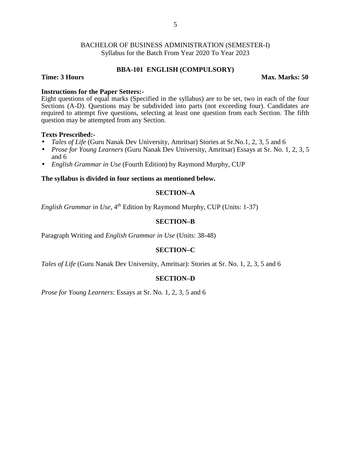#### **BBA-101 ENGLISH (COMPULSORY)**

#### **Time: 3 Hours Max. Marks: 50**

#### **Instructions for the Paper Setters:-**

Eight questions of equal marks (Specified in the syllabus) are to be set, two in each of the four Sections (A-D). Questions may be subdivided into parts (not exceeding four). Candidates are required to attempt five questions, selecting at least one question from each Section. The fifth question may be attempted from any Section.

#### **Texts Prescribed:-**

- *Tales of Life* (Guru Nanak Dev University, Amritsar) Stories at Sr.No.1, 2, 3, 5 and 6
- *Prose for Young Learners* (Guru Nanak Dev University, Amritsar) Essays at Sr. No. 1, 2, 3, 5 and 6
- *English Grammar in Use* (Fourth Edition) by Raymond Murphy, CUP

#### **The syllabus is divided in four sections as mentioned below.**

#### **SECTION–A**

English Grammar in Use, 4<sup>th</sup> Edition by Raymond Murphy, CUP (Units: 1-37)

#### **SECTION–B**

Paragraph Writing and *English Grammar in Use* (Units: 38-48)

#### **SECTION–C**

*Tales of Life* (Guru Nanak Dev University, Amritsar): Stories at Sr. No. 1, 2, 3, 5 and 6

#### **SECTION–D**

*Prose for Young Learners*: Essays at Sr. No. 1, 2, 3, 5 and 6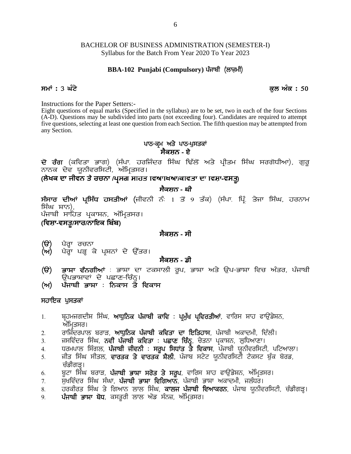# BACHELOR OF BUSINESS ADMINISTRATION (SEMESTER-I) Syllabus for the Batch From Year 2020 To Year 2023 the Batch From Year 2020 To Year 2023<br>Paradous for the Batch From Year 2020 To Year 2023<br>**BBA-102 Punjabi (Compulsory) ਪੰ**ਜਾਬੀ (ਲਾਜ਼ਮੀ) Syllabus for the Batch From Year 2020 To Year 2023<br>**BBA-102 Punjabi (Compulsory) ਪੰ**ਜਾਬੀ (ਲਾਜ਼ਮੀ)<br>ਸਮਾਂ : 3 ਘੰਟੇ<br>Instructions for the Paper Setters:-

Instructions for the Paper Setters:-

Eight questions of equal marks (Specified in the syllabus) are to be set, two in each of the four Sections (A-D). Questions may be subdivided into parts (not exceeding four). Candidates are required to attempt five questions, selecting at least one question from each Section. The fifth question may be attempted from any Section. d in the syllabus) are to be set, two in each of<br>
o parts (not exceeding four). Candidates are r<br>
tion from each Section. The fifth question may<br> **ਪਾਠ-ਕ੍ਰਮ ਅਤੇ ਪਾਠ-ਪੁਸਤਕਾਂ**<br> **ਸੈਕਸ਼ਨ - ਏ** (A-D). Questions may be subdivided into parts (not exceeding four). Candidates are required to attempt<br>five questions, selecting at least one question from each Section. The fifth question may be attempted from<br>any Secti

(ਲੇਖਕ ਦਾ ਜੀਵਨ ਤੇ ਰਚਨਾ /ਪ੍ਰਸਗ ਸਾਹਤ **ਵਿਆਬਆ/ਕਾਵਤਾ ਦਾ ਵਿਸ਼ਾ-ਵਸਤੂ)** 

### **ਸੈਕਸ਼ਨ - ਬੀ**

**ਦੋ ਰੰਗ** (ਕਵਿਤਾ ਭਾਗ) (ਸੰਪਾ ਹਰਜਿੰਦਰ ਸਿੰਘ ਢਿੱਲੋਂ ਅਤੇ ਪ੍ਰੀਤਮ ਸਿੰਘ ਸਰਗੋਧੀਆ), ਗੁਰੂ<br>ਨਾਨਕ ਦੇਵ ਯੂਨੀਵਰਸਿਟੀ, ਅੰਮ੍ਰਿਤਸਰ।<br>(ਲੇਖਕ ਦਾ ਜੀਵਨ ਤੇ ਰਚਨਾ /ਪ੍ਰਸਗ ਸਾਹਤ ਵਿਆਪਖਆ/ਕਾਵਤਾ ਦਾ ਵਿਸ਼ਾ-ਵਸਤੂ)<br>ਸੰਸਾਰ ਦੀਆਂ ਪ੍ਰਸਿੱਧ ਹਸਤੀਆਂ (ਜੀਵਨੀ ਨੰ 1 ਤੋਂ 9 ਤੱਕ **ਦੋ ਰੰਗ** (ਕਵਿਤਾ ਭਾਗ)<br>ਨਾਨਕ ਦੇਵ ਯੂਨੀਵਰਸਿਟੀ*,*<br>(**ਲੇਖਕ ਦਾ ਜੀਵਨ ਤੇ ਰਚਨਾ** /<br>ਸੰਸਾਰ ਦੀਆਂ ਪ੍ਰਸਿੱਧ ਹਸ:<br>ਸਿੰਘ ਸ਼ਾਨ),<br>ਪੰਜਾਬੀ ਸਾਹਿਤ ਪ੍ਰਕਾਸ਼ਨ, <sup>,</sup><br>ਪੰ**ਵਸਾ-ਵਸਤ/ਸਾਰ/ਨਾਇਕ ਬਿੰ** ਪੰਜਾਬੀ ਸਾਹਿਤ ਪ੍ਰਕਾਸ਼ਨ, ਅੰਮ੍ਰਿਤਸਰ। **ਸੰਸਾਰ ਦੀਆਂ ਪ੍ਰਸਿੱਧ ਹਸਤੀਆਂ (**ਜੀਵਨੀ ਨੰ:<br>ਸਿੰਘ ਸ਼ਾਨ),<br>ਪੰਜਾਬੀ ਸਾਹਿਤ ਪ੍ਰਕਾਸ਼ਨ, ਅੰਮ੍ਰਿਤਸਰ।<br>(**ਵਿਸ਼ਾ-ਵਸਤੂ/ਸਾਰ/ਨਾਇਕ ਬਿੰਬ)**<br>(ੳ) ਪੈਰ੍ਹਾ ਰਚਨਾ **(T)** g?o Qk ouBk **(n)** g?o Qk gV Q e/ gqFBK d / T[`so.

### **ਸੈਕਸ਼ਨ - ਸੀ**

- 
- 

### **ਸੈਕਸ਼ਨ - ਡੀ**

- **(ਵਿਸ਼ਾ-ਵਸਤੂ/ਸਾਰ/ਨਾਇਕ ਬਿਬ)**<br>(ੳ) ਪੈਰ੍ਹਾ ਰਚਨਾ<br>(ਅ) ਪੈਰ੍ਹਾ ਪੜ੍ਹ ਕੇ ਪ੍ਰਸ਼ਨਾਂ ਦੇ ਉੱਤਰ।<br>(ੳ) ਭਾਸ਼ਾ ਵੰਨਗੀਆਂ : ਭਾਸ਼ਾ ਦਾ ਟਕਸਾਲੀ ਰੂਪ, ਭਾਸ਼ਾ ਅਤੇ ਉਪ–ਭਾਸ਼ਾ ਵਿਚ ਅੰਤਰ, ਪੰਜਾਬੀ<br>ਉਪਭਾਸ਼ਾਵਾਂ ਦੇ ਪਛਾਣ-ਚਿੰਨ੍ਹ।<br>(ਅ) ਪੰਜਾਬੀ ਭਾਸ਼ਾ : ਨਿਕਾਸ ਤੇ ਵਿਕਾਸ ਪੈਰ੍ਹਾ ਰਚਨਾ<br>ਪੈਰ੍ਹਾ ਪੜ੍ਹ ਕੇ ਪ੍ਰਸ਼ਨਾਂ ਦੇ ਉੱਤਰ।<br>**ਭਾਸ਼ਾ ਵੰਨਗੀਆਂ** : ਭਾਸ਼ਾ ਦਾ ਟਕਸਾਲੀ ਰੂਪ, ਭਾਸ਼ਾ ਅਤੇ ਉਪ–ਭਾਸ਼ਾ ਵਿਚ ਅੰਤਰ, ਪੰਜਾਬੀ<br>ਉਪਭਾਸ਼ਾਵਾਂ ਦੇ ਪਛਾਣ–ਚਿੰਨ੍ਹ।<br>**ਪੰਜਾਬੀ ਭਾਸ਼ਾ** : <mark>ਨਿਕਾਸ ਤੇ ਵਿਕਾਸ</mark> **(ੳ**) ਪੈਰ੍ਹਾ ਰਚਨਾ<br>(ਅ) ਪੈਰ੍ਹਾ ਪੜ੍ਹ ਕੇ ਪ੍ਰਸ਼ਨਾਂ ਦੇ ਉੱਤਰ।<br>(ਉ) ਭਾਸ਼ਾ ਵੰਨਗੀਆਂ : ਭਾਸ਼ਾ ਦਾ ਟਕਸਾਲੀ ਰੂਪ, ਭ<br>ਉਪਭਾਸ਼ਾਵਾਂ ਦੇ ਪਛਾਣ-ਚਿੰਨ੍ਹ।<br>(ਅ) ਪੰਜਾਬੀ ਭਾਸ਼ਾ : ਨਿਕਾਸ ਤੇ ਵਿਕਾਸ<br>ਸਹਾਇਕ ਪਸਤਕਾਂ **(ੳ) ਭਾਸ਼ਾ ਵੰਨਗੀਆਂ** : ਭਾਸ਼ਾ ਦਾ ਟਕਸਾਲੀ ਰੂਪ, ਭਾਸ਼ਾ ਅਤੇ ਉਪ–ਭਾਸ਼ਾ ਵਿਚ ਅੰਤਰ, ਪੰਜਾਬੀ<br>ਉਪਭਾਸ਼ਾਵਾਂ ਦੇ ਪਛਾਣ–ਚਿੰਨ੍ਹ।<br>(ਅ) ਪੰਜਾਬੀ ਭਾਸ਼ਾ : ਨਿਕਾਸ ਤੇ ਵਿਕਾਸ<br>ਸਹਾਇਕ ਪੁਸਤਕਾਂ<br>1. ਬ੍ਰਹਮਜਗਦੀਸ਼ ਸਿੰਘ, **ਆਧੁਨਿਕ ਪੰਜਾਬੀ ਕਾਵਿ : ਪ੍ਰਮੁੱਖ ਪ੍ਰਵਿਰਤੀਆਂ**,
- 

#### ਸਹਾਇਕ ਪੁਸਤਕਾ<u>ਂ</u>

- **(ਅ) ਪੰਜਾਬੀ ਭਾਸ਼ਾ : ਨਿਕਾਸ ਤੇ ਵਿਕਾਸ**<br>ਸਹਾਇਕ ਪੁਸਤਕਾਂ<br>1. ਬ੍ਰਹਮਜਗਦੀਸ਼ ਸਿੰਘ, **ਆਧੁਨਿਕ ਪੰਜਾਬੀ ਕਾਵਿ : ਪ੍ਰਮੁੱਖ ਪ੍ਰਵਿਰਤੀਆਂ**, ਵਾਰਿਸ ਸ਼ਾਹ ਫਾਉਂਡੇਸ਼ਨ,<br>ਅੰਮ੍ਰਿਤਸਰ।<br>2. ਜਸਵਿੰਦਰ ਸਿੰਘ, **ਨਵੀਂ ਪੰਜਾਬੀ ਕਵਿਤਾ : ਪਛਾਣ ਚਿੰਨ੍ਹ**, ਚੇਤਨਾ ਪ੍ਰਕਾਸ਼ਨ, <sup>ੇ ⁄</sup><br>ਸਹਾਇਕ <mark>ਪੁਸਤਕਾਂ</mark><br>1. ਬ੍ਰਹਮਜਗਦੀਸ਼ ਸਿੰਘ, **ਆਧੁਨਿਕ ਪੰਜਾਬੀ ਕਾਵਿ : ਪ੍ਰਮੁੱਖ ਪ੍ਰਵਿਰਤੀਆਂ**, ਵਾਰਿਸ ਸ਼ਾਹ ਫਾਉਂਡੇਸ਼ਨ,<br>2. ਗਾਜਿੰਦਰਪਾਲ ਬਰਾੜ, **ਆਧੁਨਿਕ ਪੰਜਾਬੀ ਕਵਿਤਾ ਦਾ ਇਤਿਹਾਸ**, ਪੰਜਾਬੀ ਅਕਾਦਮੀ, ਦਿੱਲੀ।<br>3. ਜਸਵਿੰਦਰ ਸਿੰਘ, **ਨਵੀ ਪੰਜਾਬ ਸਹਾਇਕ ਪੁਸਤਕਾਂ**<br>1. ਬ੍ਰਹਮਜਗਦੀਸ਼ ਸਿੰਘ, **ਆਧੁਨਿਕ ਪੰਜਾਬੀ ਕਾਵਿ : ਪ੍ਰਮੁੱਖ ਪ੍ਰਵਿਰਤੀਆਂ**, ਵਾਰਿਸ ਸ਼ਾਹ ਫਾਉਂਡੇਸ਼ਨ,<br>ਅੰਮ੍ਰਿਤਸਰ।<br>3. ਜਸਵਿੰਦਰ ਸਿੰਘ, **ਨਵੀਂ ਪੰਜਾਬੀ ਕਵਿਤਾ : ਪਛਾਣ ਚਿੰਨ੍ਹ**, ਚੇਤਨਾ ਪ੍ਰਕਾਸ਼ਨ, ਲੁਧਿਆਣਾ।<br>4. ਧਰਮਪਾਲ ਸਿੰਗਲ, **ਪੰ**
- ਅੰਮ੍ਰਿਤਸਰ।<br>ਰਾਜਿੰਦਰਪਾਲ ਬਰਾੜ, **ਆਧੁਨਿਕ ਪੰਜਾਬੀ ਕਵਿਤਾ ਦਾ ਇਤਿਹਾਸ**, ਪੰਜਾਬੀ ਅਕਾਦਮੀ, ਦਿੱਲੀ।
- 
- 
- 1. ਬ੍ਰਹਮਜਗਦੀਸ਼ ਸਿੰਘ, **ਆਧੁਨਿਕ ਪੰਜਾਬੀ ਕਾਵਿ** : **ਪ੍ਰਮੁੱਖ ਪ੍ਰਵਿਰਤੀਆਂ**, ਵਾਰਿਸ ਸ਼ਾਹ ਫਾਉਂਡੇਸ਼ਨ,<br>ਅੰਮ੍ਰਿਤਸਰ।<br>2. ਰਾਜਿੰਦਰਪਾਲ ਬਰਾੜ, **ਆਧੁਨਿਕ ਪੰਜਾਬੀ ਕਵਿਤਾ ਦਾ ਇਤਿਹਾਸ**, ਪੰਜਾਬੀ ਅਕਾਦਮੀ, ਦਿੱਲੀ।<br>3. ਜਸਵਿੰਦਰ ਸਿੰਘ, **ਨਵੀਂ ਪੰਜਾਬੀ ਕਵਿਤਾ : ਪ** 2. ਯਸਿੰਦਰਪਾਲ ਬਰਾੜ, **ਆਧੁਨਿਕ ਪੰਜਾਬੀ ਕਵਿਤਾ ਦਾ ਇਤਿਹਾਸ**, ਪੰਜਾਬੀ ਅਕਾਦਮੀ, ਦਿੱਲੀ।<br>3. ਜਸਵਿੰਦਰ ਸਿੰਘ, **ਨਵੀਂ ਪੰਜਾਬੀ ਕਵਿਤਾ : ਪਛਾਣ ਚਿੰਨ੍ਹ**, ਚੇਤਨਾ ਪ੍ਰਕਾਸ਼ਨ, ਲੁਧਿਆਣਾ।<br>4. ਪਰਮਪਾਲ ਸਿੰਗਲ, **ਪੰਜਾਬੀ ਜੀਵਨੀ : ਸਰੂਪ ਸਿਧਾਂਤ ਤੇ ਵਿਕਾਸ**, ਪੰਜਾਬੀ ਯੂਨੀਵ 2. ਰਾਜਿੰਦਰਪਾਲ ਬਰਾੜ, **ਆਧੁਨਿਕ ਪੰਜਾਬੀ ਕਵਿਤਾ ਦਾ ਇਤਿਹਾਸ**, ਪੰਜਾਬੀ ਅਕਾਦਮੀ, ਦਿੱਲੀ।<br>3. ਜਸਵਿੰਦਰ ਸਿੰਘ, **ਨਵੀਂ ਪੰਜਾਬੀ ਕਵਿਤਾ : ਪਛਾਣ ਚਿੰਨ੍ਹ**, ਚੇਤਨਾ ਪ੍ਰਕਾਸ਼ਨ, ਲੁਧਿਆਣਾ।<br>4. ਧਰਮਪਾਲ ਸਿੰਗਲ, **ਪੰਜਾਬੀ ਜੀਵਨੀ : ਸਰੂਪ ਸਿਧਾਂਤ ਤੇ ਵਿਕਾਸ**, ਪੰਜਾਬੀ ਯੂਨੀਵ 3. ਜਸਵਿੰਦਰ ਸਿੰਘ, **ਨਵੀਂ ਪੰਜਾਬੀ ਕਵਿਤਾ : ਪਛਾਣ ਚਿੰਨ੍ਹ**, ਚੇਤਨਾ ਪ੍ਰਕਾਸ਼ਨ, ਲੁਧਿਆਣਾ।<br>4. ਧਰਮਪਾਲ ਸਿੰਗਲ, **ਪੰਜਾਬੀ ਜੀਵਨੀ : ਸਰੂਪ ਸਿਧਾਂਤ ਤੇ ਵਿਕਾਸ**, ਪੰਜਾਬੀ ਯੂਨੀਵਰਸਿਟੀ, ਪਟਿਆਲਾ।<br>5. ਜ਼ੀਤ ਸਿੰਘ ਸੀਤਲ, **ਵਾਰਤਕ ਤੇ ਵਾਰਤਕ ਸ਼ੈਲੀ**, ਪੰਜਾਬ ਸਟੇਟ 4. ਪਰਮਪਾਲ ਸਿੰਗਲ, **ਪੰਜਾਬੀ ਜੀਵਨੀ : ਸਰੂਪ ਸਿਧਾਂਤ ਤੇ ਵਿਕਾਸ**, ਪੰਜਾਬੀ ਯੂਨੀਵਰਸਿਟੀ, ਪਟਿਆਲਾ।<br>5. ਜੀਤ ਸਿੰਘ ਸੀਤਲ, **ਵਾਰਤਕ ਤੇ ਵਾਰਤਕ ਸ਼ੈਲੀ**, ਪੰਜਾਬ ਸਟੇਟ ਯੂਨੀਵਰਸਿਟੀ ਟੈਕਸਟ ਬੁੱਕ ਬੋਰਡ,<br>6. ਬੂਟਾ ਸਿੰਘ ਬਰਾੜ, **ਪੰਜਾਬੀ ਭਾਸ਼ਾ ਸਰੋਤ ਤੇ ਸਰੂਪ**, ਵਾਰਿਸ ਸ਼
- 
- 
- 
-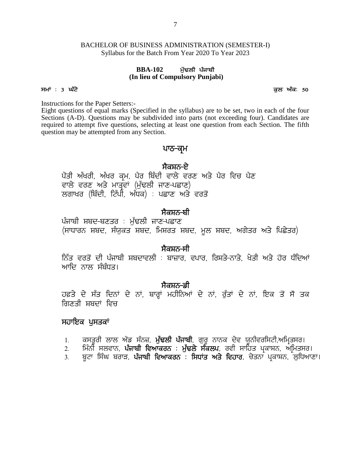# BACHELOR OF BUSINESS ADMINISTRATION (SEMESTER-I) Syllabus for the Batch From Year 2020 To Year 2023 USINESS ADMINISTRATION (SEM<br>the Batch From Year 2020 To Year 20<br>**BBA-102** ਮੁੱਢਲੀ ਪੰਜਾਬੀ<br>h lieu of Compulsory Punjabi) Syllabus for the Batch From Year 2020 To Year 2023<br>**BBA-102** ਮੁੱਢਲੀ ਪੰਜਾਬੀ<br>(In lieu of Compulsory Punjabi)<br>ਸਮਾਂ: 3 ਘੰਟੇ<br>Instructions for the Paper Setters:

# **(In lieu of Compulsory Punjabi)**

Instructions for the Paper Setters:-

Eight questions of equal marks (Specified in the syllabus) are to be set, two in each of the four Sections (A-D). Questions may be subdivided into parts (not exceeding four). Candidates are required to attempt five questions, selecting at least one question from each Section. The fifth question may be attempted from any Section. n the syllabus) are to be set, two in ea<br>ded into parts (not exceeding four). C<br>g at least one question from each Sec<br>1.<br>**ਪਾਠ-ਕ੍ਰਮ**<br>ਸੈਕਸ਼ਨ-ਏ<br>ਵਾਲੇ ਵਰਣ ਅਤੇ ਪੈਰ ਵਿਚ ਪੈਣ<br>ਾਣ-ਪਛਾਣ)

### ਪਾਠ<del>-</del>ਕਮ

ਪੈਂਤੀ ਅੱਖਰੀ, ਅੱਖਰ ਕ੍ਰਮ, ਪੈਰ ਬਿੰਦੀ ਵਾਲੇ ਵਰਣ ਅਤੇ ਪੈਰ ਵਿਚ ਪੈਣ ਵਾਲੇ ਵਰਣ ਅਤੇ ਮਾਤ੍ਰੰਵਾਂ (ਮੁੱਢਲੀ ਜਾਣ-ਪਛਾਣ) ਲਗਾਖਰ (ਬਿੰਦੀ, ਟਿੱਪੀ, ਅੰਧਕ) : ਪਛਾਣ ਅਤੇ ਵਰਤੋਂ

### <u>ਸੈਕਸ਼ਨ-ਬੀ</u>

ਪੰਜਾਬੀ ਸ਼ਬਦ-ਬਣਤਰ : ਮੁੱਢਲੀ ਜਾਣ-ਪਛਾਣ (ਸਾਧਾਰਨ ਸ਼ਬਦ, ਸੰਯੁਕਤ ਸ਼ਬਦ, ਮਿਸ਼ਰਤ ਸ਼ਬਦ, ਮੂਲ ਸ਼ਬਦ, ਅਗੇਤਰ ਅਤੇ ਪਿਛੇਤਰ)

### ਸੈਕਸ਼ਨ<del>-</del>ਸੀ

fਨੱਤ ਵਰਤੋਂ ਦੀ ਪੰਜਾਬੀ ਸ਼ਬਦਾਵਲੀ : ਬਾਜ਼ਾਰ, ਵਪਾਰ, ਰਿਸ਼ਤੇ–ਨਾਤੇ, ਖੇਤੀ ਅਤੇ ਹੋਰ ਧੰਦਿਆਂ ਆਦਿ ਨਾਲ ਸੰਬੰਧਤ। ਂ<br>ਨਿੱਤ ਵਰਤੋਂ ਦੀ ਪੰਜਾਬੀ ਸਬਦਾਵਲੀ : ਬਾਜ਼ਾਰ, ਵਪਾਰ, ਰਿਸ਼ਤੇ-ਨਾਤੇ, ਖੇਤੀ ਅਤੇ ਹੋਰ ਧੰਦਿਆਂ<br>ਆਦਿ ਨਾਲ ਸੰਬੰਧਤ।<br>ਹਫ਼ਤੇ ਦੇ ਸੱਤ ਦਿਨਾਂ ਦੇ ਨਾਂ, ਬਾਰ੍ਹਾਂ ਮਹੀਨਿਆਂ ਦੇ ਨਾਂ, ਰੁੱਤਾਂ ਦੇ ਨਾਂ, ਇਕ ਤੋਂ ਸੋਂ ਤਕ<br>ਗਿਣਤੀ ਸ਼ਬਦਾਂ ਵਿਚ

**, ਜੈਕਸ਼ਨ-ਡੀ**<br>ਹਫ਼ਤੇ ਦੇ ਸੱਤ ਦਿਨਾਂ ਦੇ ਨਾਂ, ਬਾਰ੍ਹਾਂ ਮਹੀਨਿਆਂ ਦੇ ਨਾਂ, ਰੱਤਾਂ ਦੇ ਨਾਂ, ਇਕ ਤੋਂ ਸੋਂ ਤਕ ਗਿਣਤੀ ਸ਼ਬਦਾਂ ਵਿਜ ਸਕੇਸ਼ਨ<del>ੋਂ ਜ</del> ਕਿਸਾਨ ਹੈ ਜਾ ਜਾਂ ਹੁੰਦਾ ਹੈ ਨਾਂ, ਕੁੱਤਾਂ ਦੇ ਨਾਂ, ਇਕ ਤੋਂ ਸੋ ਤਕ<br>ਗਣਤੀ ਸ਼ਬਦਾਂ ਵਿਚ<br>ਜ**ਾਇਕ ਪੁਸਤਕਾਂ**<br>1. ਕਸਤੂਰੀ ਲਾਲ ਐਂਡ ਸੰਨਜ਼, ਮੁੱ**ਢਲੀ ਪੰਜਾਬੀ**, ਗੁਰੂ ਨਾਨਕ ਦੇਵ ਯੂਨੀਵਰਸਿਟੀ,ਅਮ੍ਰਿਤਸਰ।<br>2. ਮਿੰਨੀ ਸਲਵਾਨ, **ਪੰਜਾਬੀ ਵਿਆਕਰਨ : ਮੁੱਢ** ਸ਼ੁਤ ਦ ਸਤ ਦਿਨਾ ਦ ਨਾ, ਬਾਰ੍ਹਾ ਮਹਾਨਿਆ ਦ ਨਾ, ਰੁਤਾ ਦ ਨਾ, ਇਕ ਤ ਸ ਤਕ<br>ਗਣਤੀ ਸ਼ਬਦਾਂ ਵਿਚ<br>ਹਾਇਕ <mark>ਪੁਸਤਕਾਂ</mark><br>1. ਕਸਤੂਰੀ ਲਾਲ ਐਂਡ ਸੰਨਜ਼, ਮੁੱ**ਢਲੀ ਪੰਜਾਬੀ**, ਗੁਰੂ ਨਾਨਕ ਦੇਵ ਯੂਨੀਵਰਸਿਟੀ,ਅਮ੍ਰਿਤਸਰ।<br>2. ਮਿੰਨੀ ਸਲਵਾਨ, **ਪੰਜਾਬੀ ਵਿਆਕਰਨ : ਮੁੱਢਲੇ ਸੰਕਲਪ**,

### ਸਹਾਇਕ ਪਸਤਕਾਂ

- 
- 1. ਕਸਤੂਰੀ ਲਾਲ ਐਂਡ ਸੰਨਜ਼, **ਮੁੱਢਲੀ ਪੰਜਾਬੀ**, ਗੁਰੂ ਨਾਨਕ ਦੇਵ ਯੂਨੀਵਰਸਿਟੀ,ਅਮ੍ਰਿਤਸਰ।<br>2. ਸਿੰਨੀ ਸਲਵਾਨ, **ਪੰਜਾਬੀ ਵਿਆਕਰਨ : ਮੁੱਢਲੇ ਸੰਕਲਪ**, ਰਵੀ ਸਾਹਿਤ ਪ੍ਰਕਾਸ਼ਨ, ਅਮਿਤਸਰ।<br>3. ਬਟਾ ਸਿੰਘ ਬਰਾੜ, **ਪੰਜਾਬੀ ਵਿਆਕਰਨ : ਸਿਧਾਂਤ ਅਤੇ ਵਿਹਾਰ**, ਚੇਤਨਾ
-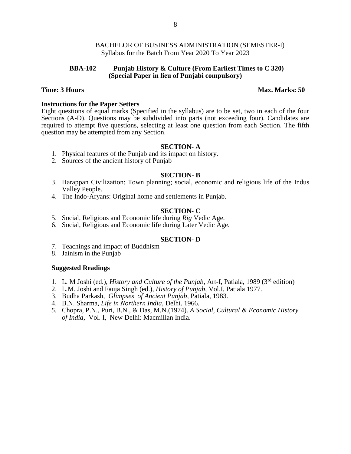#### **BBA-102 Punjab History & Culture (From Earliest Times to C 320) (Special Paper in lieu of Punjabi compulsory)**

#### **Time: 3 Hours Max. Marks: 50**

#### **Instructions for the Paper Setters**

Eight questions of equal marks (Specified in the syllabus) are to be set, two in each of the four Sections (A-D). Questions may be subdivided into parts (not exceeding four). Candidates are required to attempt five questions, selecting at least one question from each Section. The fifth question may be attempted from any Section.

#### **SECTION- A**

- 1. Physical features of the Punjab and its impact on history.
- 2. Sources of the ancient history of Punjab

#### **SECTION- B**

- 3. Harappan Civilization: Town planning; social, economic and religious life of the Indus Valley People.
- 4. The Indo-Aryans: Original home and settlements in Punjab.

#### **SECTION- C**

- 5. Social, Religious and Economic life during *Rig* Vedic Age.
- 6. Social, Religious and Economic life during Later Vedic Age.

#### **SECTION- D**

- 7. Teachings and impact of Buddhism
- 8. Jainism in the Punjab

#### **Suggested Readings**

- 1. L. M Joshi (ed.), *History and Culture of the Punjab*, Art-I, Patiala, 1989 (3rd edition)
- 2. L.M. Joshi and Fauja Singh (ed.), *History of Punjab*, Vol.I, Patiala 1977.
- 3. Budha Parkash, *Glimpses of Ancient Punjab*, Patiala, 1983.
- 4. B.N. Sharma, *Life in Northern India*, Delhi. 1966.
- *5.* Chopra, P.N., Puri, B.N., & Das, M.N.(1974). *A Social, Cultural & Economic History of India,* Vol. I, New Delhi: Macmillan India.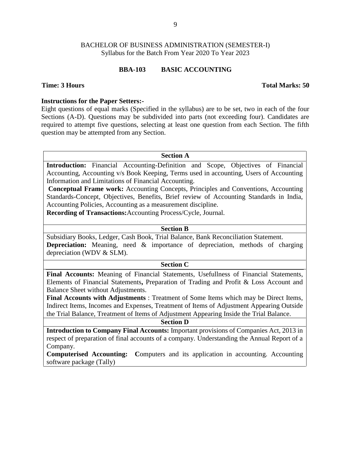#### **BBA-103 BASIC ACCOUNTING**

#### **Time: 3 Hours Total Marks: 50**

#### **Instructions for the Paper Setters:-**

Eight questions of equal marks (Specified in the syllabus) are to be set, two in each of the four Sections (A-D). Questions may be subdivided into parts (not exceeding four). Candidates are required to attempt five questions, selecting at least one question from each Section. The fifth question may be attempted from any Section.

#### **Section A**

**Introduction:** Financial Accounting-Definition and Scope, Objectives of Financial Accounting, Accounting v/s Book Keeping, Terms used in accounting, Users of Accounting Information and Limitations of Financial Accounting.

**Conceptual Frame work:** Accounting Concepts, Principles and Conventions, Accounting Standards-Concept, Objectives, Benefits, Brief review of Accounting Standards in India, Accounting Policies, Accounting as a measurement discipline.

**Recording of Transactions:**Accounting Process/Cycle, Journal.

#### **Section B**

Subsidiary Books, Ledger, Cash Book, Trial Balance, Bank Reconciliation Statement. **Depreciation:** Meaning, need & importance of depreciation, methods of charging depreciation (WDV & SLM).

#### **Section C**

**Final Accounts:** Meaning of Financial Statements, Usefullness of Financial Statements, Elements of Financial Statements**,** Preparation of Trading and Profit & Loss Account and Balance Sheet without Adjustments.

**Final Accounts with Adjustments** : Treatment of Some Items which may be Direct Items, Indirect Items, Incomes and Expenses, Treatment of Items of Adjustment Appearing Outside the Trial Balance, Treatment of Items of Adjustment Appearing Inside the Trial Balance.

#### **Section D**

**Introduction to Company Final Accounts:** Important provisions of Companies Act, 2013 in respect of preparation of final accounts of a company. Understanding the Annual Report of a Company.

**Computerised Accounting: C**omputers and its application in accounting. Accounting software package (Tally)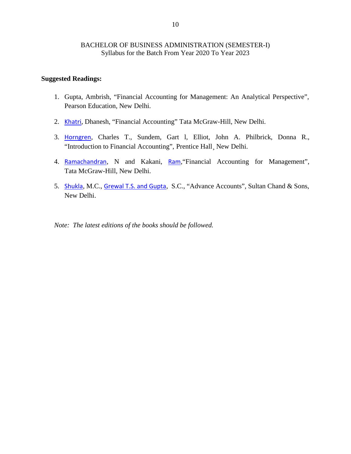#### **Suggested Readings:**

- 1. Gupta, Ambrish, "Financial Accounting for Management: An Analytical Perspective", Pearson Education, New Delhi.
- 2. Khatri, Dhanesh, "Financial Accounting" Tata McGraw-Hill, New Delhi.
- 3. Horngren, Charles T., Sundem, Gart l, Elliot, John A. Philbrick, Donna R., "Introduction to Financial Accounting", Prentice Hall¸ New Delhi.
- 4. Ramachandran, N and Kakani, Ram,"Financial Accounting for Management", Tata McGraw-Hill, New Delhi.
- 5. Shukla, M.C., Grewal T.S. and Gupta, S.C., "Advance Accounts", Sultan Chand & Sons, New Delhi.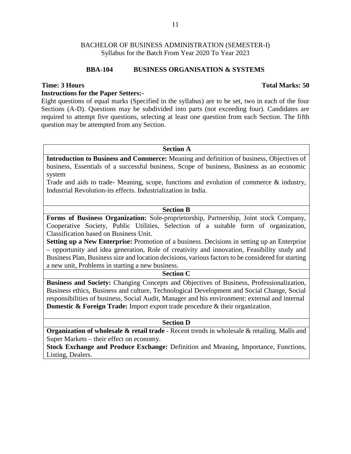#### **BBA-104 BUSINESS ORGANISATION & SYSTEMS**

#### **Time: 3 Hours Total Marks: 50**

#### **Instructions for the Paper Setters:-**

Eight questions of equal marks (Specified in the syllabus) are to be set, two in each of the four Sections (A-D). Questions may be subdivided into parts (not exceeding four). Candidates are required to attempt five questions, selecting at least one question from each Section. The fifth question may be attempted from any Section.

#### **Section A**

**Introduction to Business and Commerce:** Meaning and definition of business, Objectives of business, Essentials of a successful business, Scope of business, Business as an economic system

Trade and aids to trade- Meaning, scope, functions and evolution of commerce & industry, Industrial Revolution-its effects. Industrialization in India.

#### **Section B**

**Forms of Business Organization:** Sole-proprietorship, Partnership, Joint stock Company, Cooperative Society, Public Utilities, Selection of a suitable form of organization, Classification based on Business Unit.

**Setting up a New Enterprise:** Promotion of a business. Decisions in setting up an Enterprise – opportunity and idea generation, Role of creativity and innovation, Feasibility study and Business Plan, Business size and location decisions, various factors to be considered for starting a new unit, Problems in starting a new business.

#### **Section C**

**Business and Society:** Changing Concepts and Objectives of Business, Professionalization, Business ethics, Business and culture, Technological Development and Social Change, Social responsibilities of business, Social Audit, Manager and his environment: external and internal **Domestic & Foreign Trade:** Import export trade procedure & their organization.

#### **Section D**

**Organization of wholesale & retail trade** - Recent trends in wholesale & retailing. Malls and Super Markets – their effect on economy.

**Stock Exchange and Produce Exchange:** Definition and Meaning, Importance, Functions, Listing, Dealers.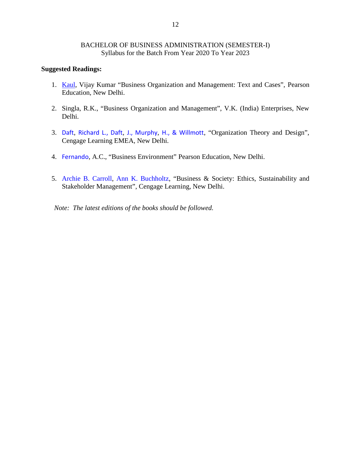#### **Suggested Readings:**

- 1. Kaul, Vijay Kumar "Business Organization and Management: Text and Cases", Pearson Education, New Delhi.
- 2. Singla, R.K., "Business Organization and Management", V.K. (India) Enterprises, New Delhi.
- 3. Daft, Richard L., Daft, J., Murphy, H., & Willmott, "Organization Theory and Design", Cengage Learning EMEA, New Delhi.
- 4. Fernando, A.C., "Business Environment" Pearson Education, New Delhi.
- 5. Archie B. Carroll, Ann K. Buchholtz, "Business & Society: Ethics, Sustainability and Stakeholder Management", Cengage Learning, New Delhi.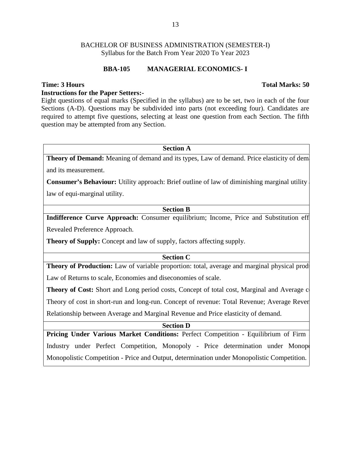#### **BBA-105 MANAGERIAL ECONOMICS- I**

#### **Instructions for the Paper Setters:-**

Eight questions of equal marks (Specified in the syllabus) are to be set, two in each of the four Sections (A-D). Questions may be subdivided into parts (not exceeding four). Candidates are required to attempt five questions, selecting at least one question from each Section. The fifth question may be attempted from any Section.

#### **Section A**

**Theory of Demand:** Meaning of demand and its types, Law of demand. Price elasticity of demands and its measurement.

**Consumer's Behaviour:** Utility approach: Brief outline of law of diminishing marginal utility law of equi-marginal utility.

#### **Section B**

**Indifference Curve Approach:** Consumer equilibrium; Income, Price and Substitution eff Revealed Preference Approach.

**Theory of Supply:** Concept and law of supply, factors affecting supply.

#### **Section C**

**Theory of Production:** Law of variable proportion: total, average and marginal physical prod Law of Returns to scale, Economies and diseconomies of scale.

**Theory of Cost:** Short and Long period costs, Concept of total cost, Marginal and Average c Theory of cost in short-run and long-run. Concept of revenue: Total Revenue; Average Reven Relationship between Average and Marginal Revenue and Price elasticity of demand.

#### **Section D**

**Pricing Under Various Market Conditions: Perfect Competition - Equilibrium of Firm** Industry under Perfect Competition, Monopoly - Price determination under Monopoly Monopolistic Competition - Price and Output, determination under Monopolistic Competition.

#### **Time: 3 Hours Total Marks: 50**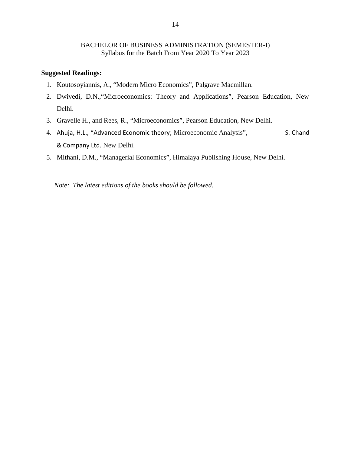#### **Suggested Readings:**

- 1. Koutosoyiannis, A., "Modern Micro Economics", Palgrave Macmillan.
- 2. Dwivedi, D.N.,"Microeconomics: Theory and Applications", Pearson Education, New Delhi.
- 3. Gravelle H., and Rees, R., "Microeconomics", Pearson Education, New Delhi.
- 4. Ahuja, H.L., "Advanced Economic theory; Microeconomic Analysis", S. Chand & Company Ltd. New Delhi.
- 5. Mithani, D.M., "Managerial Economics", Himalaya Publishing House, New Delhi.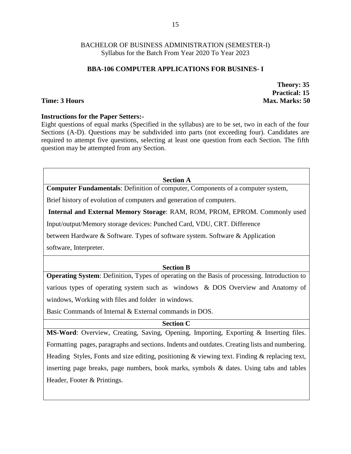### **BBA-106 COMPUTER APPLICATIONS FOR BUSINES- I**

**Theory: 35 Practical: 15 Time: 3 Hours Max. Marks: 50** 

#### **Instructions for the Paper Setters:-**

Eight questions of equal marks (Specified in the syllabus) are to be set, two in each of the four Sections (A-D). Questions may be subdivided into parts (not exceeding four). Candidates are required to attempt five questions, selecting at least one question from each Section. The fifth question may be attempted from any Section.

#### **Section A**

**Computer Fundamentals**: Definition of computer, Components of a computer system,

Brief history of evolution of computers and generation of computers.

**Internal and External Memory Storage**: RAM, ROM, PROM, EPROM. Commonly used

Input/output/Memory storage devices: Punched Card, VDU, CRT. Difference

between Hardware & Software. Types of software system. Software & Application

software, Interpreter.

### **Section B**

**Operating System**: Definition, Types of operating on the Basis of processing. Introduction to various types of operating system such as windows & DOS Overview and Anatomy of windows, Working with files and folder in windows.

Basic Commands of Internal & External commands in DOS.

### **Section C**

**MS-Word**: Overview, Creating, Saving, Opening, Importing, Exporting & Inserting files. Formatting pages, paragraphs and sections. Indents and outdates. Creating lists and numbering. Heading Styles, Fonts and size editing, positioning & viewing text. Finding & replacing text, inserting page breaks, page numbers, book marks, symbols & dates. Using tabs and tables Header, Footer & Printings.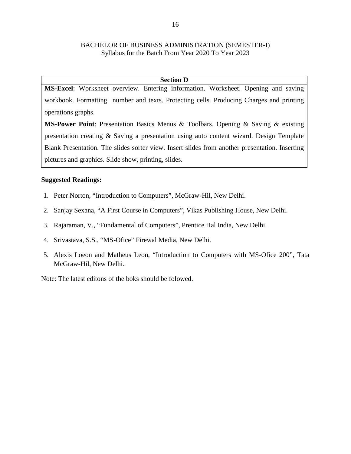#### **Section D**

**MS-Excel**: Worksheet overview. Entering information. Worksheet. Opening and saving workbook. Formatting number and texts. Protecting cells. Producing Charges and printing operations graphs.

**MS-Power Point**: Presentation Basics Menus & Toolbars. Opening & Saving & existing presentation creating & Saving a presentation using auto content wizard. Design Template Blank Presentation. The slides sorter view. Insert slides from another presentation. Inserting pictures and graphics. Slide show, printing, slides.

#### **Suggested Readings:**

- 1. Peter Norton, "Introduction to Computers", McGraw-Hil, New Delhi.
- 2. Sanjay Sexana, "A First Course in Computers", Vikas Publishing House, New Delhi.
- 3. Rajaraman, V., "Fundamental of Computers", Prentice Hal India, New Delhi.
- 4. Srivastava, S.S., "MS-Ofice" Firewal Media, New Delhi.
- 5. Alexis Loeon and Matheus Leon, "Introduction to Computers with MS-Ofice 200", Tata McGraw-Hil, New Delhi.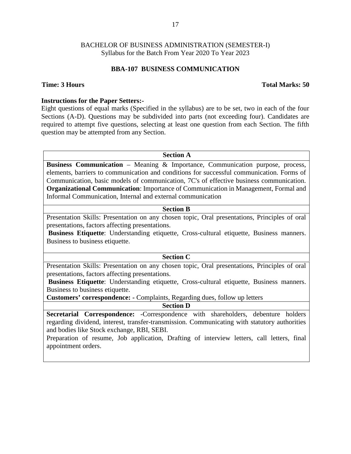#### **BBA-107 BUSINESS COMMUNICATION**

#### **Time: 3 Hours Total Marks: 50**

#### **Instructions for the Paper Setters:-**

Eight questions of equal marks (Specified in the syllabus) are to be set, two in each of the four Sections (A-D). Questions may be subdivided into parts (not exceeding four). Candidates are required to attempt five questions, selecting at least one question from each Section. The fifth question may be attempted from any Section.

#### **Section A**

**Business Communication** – Meaning & Importance, Communication purpose, process, elements, barriers to communication and conditions for successful communication. Forms of Communication, basic models of communication, 7C's of effective business communication. **Organizational Communication**: Importance of Communication in Management, Formal and Informal Communication, Internal and external communication

#### **Section B**

Presentation Skills: Presentation on any chosen topic, Oral presentations, Principles of oral presentations, factors affecting presentations.

**Business Etiquette**: Understanding etiquette, Cross-cultural etiquette, Business manners. Business to business etiquette.

#### **Section C**

Presentation Skills: Presentation on any chosen topic, Oral presentations, Principles of oral presentations, factors affecting presentations.

**Business Etiquette**: Understanding etiquette, Cross-cultural etiquette, Business manners. Business to business etiquette.

**Customers' correspondence: -** Complaints, Regarding dues, follow up letters

**Section D**

**Secretarial Correspondence:** -Correspondence with shareholders, debenture holders regarding dividend, interest, transfer-transmission. Communicating with statutory authorities and bodies like Stock exchange, RBI, SEBI.

Preparation of resume, Job application, Drafting of interview letters, call letters, final appointment orders.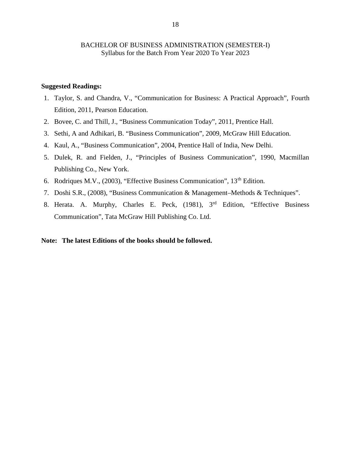#### **Suggested Readings:**

- 1. Taylor, S. and Chandra, V., "Communication for Business: A Practical Approach", Fourth Edition, 2011, Pearson Education.
- 2. Bovee, C. and Thill, J., "Business Communication Today", 2011, Prentice Hall.
- 3. Sethi, A and Adhikari, B. "Business Communication", 2009, McGraw Hill Education.
- 4. Kaul, A., "Business Communication", 2004, Prentice Hall of India, New Delhi.
- 5. Dulek, R. and Fielden, J., "Principles of Business Communication", 1990, Macmillan Publishing Co., New York.
- 6. Rodriques M.V., (2003), "Effective Business Communication", 13<sup>th</sup> Edition.
- 7. Doshi S.R., (2008), "Business Communication & Management–Methods & Techniques".
- 8. Herata. A. Murphy, Charles E. Peck, (1981), 3rd Edition, "Effective Business Communication", Tata McGraw Hill Publishing Co. Ltd.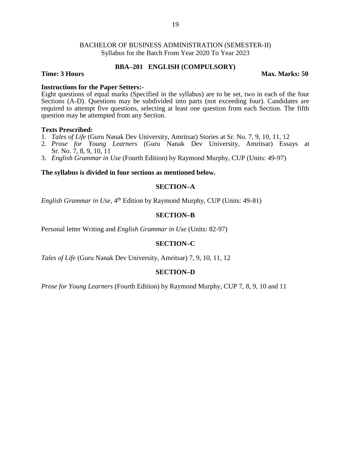#### **BBA–201 ENGLISH (COMPULSORY)**

**Time: 3 Hours Max. Marks: 50** 

#### **Instructions for the Paper Setters:-**

Eight questions of equal marks (Specified in the syllabus) are to be set, two in each of the four Sections (A-D). Questions may be subdivided into parts (not exceeding four). Candidates are required to attempt five questions, selecting at least one question from each Section. The fifth question may be attempted from any Section.

#### **Texts Prescribed:**

- 1. *Tales of Life* (Guru Nanak Dev University, Amritsar) Stories at Sr. No. 7, 9, 10, 11, 12
- 2. *Prose for Young Learners* (Guru Nanak Dev University, Amritsar) Essays at Sr. No. 7, 8, 9, 10, 11
- 3. *English Grammar in Use* (Fourth Edition) by Raymond Murphy, CUP (Units: 49-97)

#### **The syllabus is divided in four sections as mentioned below.**

#### **SECTION–A**

*English Grammar in Use*, 4<sup>th</sup> Edition by Raymond Murphy, CUP (Units: 49-81)

#### **SECTION–B**

Personal letter Writing and *English Grammar in Use* (Units: 82-97)

#### **SECTION–C**

*Tales of Life* (Guru Nanak Dev University, Amritsar) 7, 9, 10, 11, 12

#### **SECTION–D**

*Prose for Young Learners* (Fourth Edition) by Raymond Murphy, CUP 7, 8, 9, 10 and 11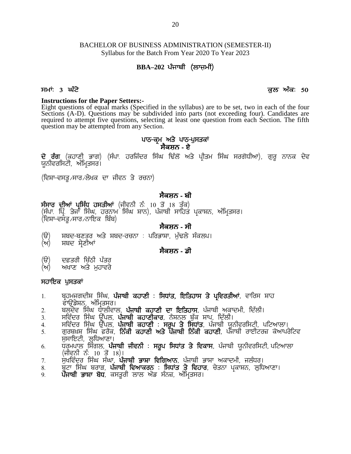# BACHELOR OF BUSINESS ADMINISTRATION (SEMESTER-II) Syllabus for the Batch From Year 2020 To Year 2023  $20$ <br> **BBA**<br> **BBA**–202 ਪੰਜਾਬੀ (ਲਾਜ਼ਮੀ)<br> **BBA–202 ਪੰਜਾਬੀ (ਲਾਜ਼ਮੀ)** BACHELOR OF BUSINESS ADMINISTRATION (SEMESTER-II)<br>
Syllabus for the Batch From Year 2020 To Year 2023<br> **BBA-202 ਪੰਜਾਬੀ (ਲਾਜ਼ਮੀ)**<br> **ਸਮਾਂ: 3 ਘੰਟੇ**<br> **Instructions for the Paper Setters:-**<br> **Instructions for the Paper Setters**

**Instructions for the Paper Setters:-** Eight questions of equal marks (Specified in the syllabus) are to be set, two in each of the four Sections (A-D). Questions may be subdivided into parts (not exceeding four). Candidates are required to attempt five questions, selecting at least one question from each Section. The fifth question may be attempted from any Section. -<br>ecified in the syllabus) are to be set, t<br>subdivided into parts (not exceeding<br>selecting at least one question from e<br>Section.<br>ਪਾਠ-ਕ੍ਰਮ ਅਤੇ ਪਾਠ-ਪੁਸਤਕਾਂ<br>ਜ਼ੋਕਸ਼ਨ - ਏ<br>ਸ਼ਰ ਸਿੰਘ ਢਿੱਲੋਂ ਅਤੇ ਪੀਤਮ ਸਿੰਘ ਸਰਗੋ Eight questions of equal marks (Specified in the syllabus) are to be set, two in each of the four Sections (A-D). Questions may be subdivided into parts (not exceeding four). Candidates are required to attempt five quest

# **ਸੈਕਸ਼ਨ - ਏ**

question may be attempted from any Section.<br>ਪਾਠ-ਕ੍ਰਮ ਅ<br>ਦੋ ਰੰਗ (ਕਹਾਣੀ ਭਾਗ) (ਸੰਪਾ. ਹਰਜਿੰਦਰ ਸਿੰਘ ਸੈਕਾ<br>ਯੂਨੀਵਰਸਿਟੀ, ਅੰਮ੍ਰਿਤਸਰ।<br>(ਵਿਸ਼ਾ-ਵਸਤੂ ⁄ਸਾਰ ⁄ਲੇਖਕ ਦਾ ਜੀਵਨ ਤੇ ਰਚਨਾ)<br>ਸੈਕਸ **ਦੋ ਰੰਗ** (ਕਹਾਣੀ ਭਾਗ) (ਸੰਪਾ ਹਰਜਿੰਦਰ ਸਿੰਘ ਢਿੱਲੋਂ ਅਤੇ ਪ੍ਰੀਤਮ ਸਿੰਘ ਸਰਗੋਧੀਆ), ਗੁਰੂ ਨਾਨਕ ਦੇਵ<br>ਯੂਨੀਵਰਸਿਟੀ, ਅੰਮ੍ਰਿਤਸਰ।<br>(ਵਿਸ਼ਾ-ਵਸਤੂ ਸਾਰ ਲੇਖਕ ਦਾ ਜੀਵਨ ਤੇ ਰਚਨਾ)<br>ਸੰਸਾਰ ਦੀਆਂ ਪ੍ਰਸਿੱਧ ਹਸਤੀਆਂ (ਜੀਵਨੀ ਨੰ 10 ਤੋਂ 18 ਤੱਕ)<br>(ਸੰਪਾ ਪਿੰ ਤੇਜਾ ਸਿੰਘ,

#### **ਸੈਕਸ਼ਨ - ਬੀ**

ਯੂਨੀਵਰਸਿਟੀ, ਅੰਮ੍ਰਿਤਸਰ।<br>(ਵਿਸ਼ਾ-ਵਸਤੂ ਸਾਰ ਲੇਖਕ ਦਾ ਜੀਵਨ ਤੇ ਰਚਨਾ)<br>ਸੰਸਾਰ ਦੀਆਂ ਪ੍ਰਸਿੱਧ ਹਸਤੀਆਂ (ਜੀਵਨੀ ਨੰ 10 ਤੋਂ 18 ਤੱਕ)<br>(ਸੰਪਾ. ਪਿ੍ੰ. ਤੇਜਾ ਸਿੰਘ, ਹਰਨਾਮ ਸਿੰਘ ਸ਼ਾਨ), ਪੰਜਾਬੀ ਸਾਹਿਤ ਪ੍ਰਕਾਸ਼ਨ, ਅੰਮ੍ਰਿਤਸਰ।<br>(ਵਿਸ਼ਾ-ਵਸਤੂ ਸਾਰ ਨਾਇਕ ਬਿੰਬ)<br>) **ਸੈ** (ਵਿਸ਼ਾ–ਵਸੰਤ∠ਸਾਰ∠ਨਾਇਕ ਬਿੰਬ) ਸੰਸਾਰ ਦੀਆਂ ਪ੍ਰਸਿੱਧ ਹਸਤੀਆਂ (ਜੀਵਨੀ ਨੰ: 10 ਤੋਂ 18 ਤੱਕ)<br>(ਸੰਪਾ. ਪ੍ਰਿੰ. ਤੇਜਾ ਸਿੰਘ, ਹਰਨਾਮ ਸਿੰਘ ਸ਼ਾਨ), ਪੰਜਾਬੀ ਸਾਹਿਤ ਪ੍ਰਕਾਸ਼ਨ, ਅੰਮ੍ਰਿਤਸਰ।<br>(ਵਿਸ਼ਾ-ਵਸਤੂ ਸਾਰ ਨਾਇਕ ਬਿੰਬ)<br>(ੳ) ਸ਼ਬਦ-ਬਣਤਰ ਅਤੇ ਸ਼ਬਦ-ਰਚਨਾ : ਪਰਿਭਾਸ਼ਾ, ਮੁੱਢਲੇ ਸੰਕਲਪ।<br>(ਅ) ਸ਼ਬਦ ਸ (ਵਿਸ਼ਾ-ਵਸੇਤੂ ਸਾਰ ਨਾਇਕ ਬਿੰਬ)<br>(ੳ) ਸ਼ਬਦ-ਬਣਤਰ ਅਤੇ ਸ਼ਬਦ-ਰਚਨਾ : ਪਰਿਭ<br>(ਅ) ਸ਼ਬਦ ਸ਼੍ਰੇਣੀਆਂ<br>(ੳ) ਦਫ਼ਤਰੀ ਚਿੱਠੀ ਪੱਤਰ<br>(ਅ) ਅਖਾਣ ਅਤੇ ਮੁਹਾਵਰੇ<br>ਸਹਾਇਕ ਪੁਸਤਕਾਂ

#### **ਸੈਕਸ਼ਨ - ਸੀ**

- (ੳ) ਸ਼ਬਦ-ਬਣਤਰ ਅਤੇ ਸ਼ਬਦ-ਰਚਨਾ : ਪਰਿਭਾਸ਼ਾ, ਮੁੱਢਲੇ ਸੰਕਲਪ।<br>(ਅ) ਸ਼ਬਦ ਸ਼ੇਣੀਆਂ
- 

#### **ਸੈਕਸ਼ਨ - ਡੀ**

- (ੳ) ਦਫ਼ਤਰੀ ਚਿੱਠੀ ਪੱਤਰ<br>(ਅ) ਅਖਾਣ ਅਤੇ ਮਹਾਵਰੇ
- 

#### ਸਹਾਇਕ ਪਸਤਕਾਂ

- (ਅ) ਸ਼ੁਕਦ ਸ੍ਰਣਾਆਂ<br>(ੳ) ਦਫ਼ਤਰੀ ਚਿੱਠੀ ਪੱਤਰ<br>(ਅ) ਅਖਾਣ ਅਤੇ ਮੁਹਾਵਰੇ<br>ਸਹਾਇਕ ਪੁਸਤਕਾਂ<br>1. ਬ੍ਰਹਮਜਗਦੀਸ਼ ਸਿੰਘ, **ਪੰਜਾਬੀ ਕਹਾਣੀ : ਸਿਧਾਂਤ, ਇਤਿਹਾਸ ਤੇ ਪ੍ਰਵਿਰਤੀਆਂ**, ਵਾਰਿਸ ਸ਼ਾਹ<br>2. ਬਲੁਦੇਵ ਸਿੰਘ ਧਾਲੀਵਾਲ, **ਪੰਜਾਬੀ ਕਹਾਣੀ ਦਾ ਇਤਿਹਾਸ**, ਪੰਜਾਬੀ ਅਕਾਦਮੀ, ਦ ਦਫ਼ਤਰੀ ਚਿੱਠੀ ਪੱਤਰ<br>ਅਖਾਣ ਅਤੇ ਮੁਹਾਵਰੇ<br>ਪੁ<mark>ਸਤਕਾਂ</mark><br>ਬ੍ਰਹਮਜਗਦੀਸ਼ ਸਿੰਘ, **ਪੰਜਾਬੀ ਕਹਾਣੀ**<br>ਫਾਉਂਡੇਸ਼ਨ, ਅੰਮ੍ਰਿਤਸਰ।<br>ਬਾਵੇਂਦਰ ਸਿੰਘ ਉੱਪਲ, **ਪੰਜਾਬੀ ਕਹਾ**ਰ<br>ਸਵਿੰਦਰ ਸਿੰਘ ਉੱਪਲ, **ਪੰਜਾਬੀ ਕਹਾ**ਰ (ੳ) ਦਫ਼ਤਰੀ ਚਿੱਠੀ ਪੱਤਰ<br>(ਅ) ਅਖਾਣ ਅਤੇ ਮੁਹਾਵਰੇ<br>ਸਹਾ<mark>ਇਕ ਪੁਸਤਕਾਂ</mark><br>1. ਬਹੁਮਜਗਦੀਸ਼ ਸਿੰਘ, **ਪੰਜਾਬੀ ਕਹਾਣੀ : ਸਿਧਾਂਤ, ਇਤਿਹਾਸ ਤੇ ਪ੍ਰਵਿਰਤੀਆਂ**, ਵਾਰਿਸ ਸ਼ਾਹ<br>2. ਬਲਦੇਵ ਸਿੰਘ ਧਾਲੀਵਾਲ, **ਪੰਜਾਬੀ ਕਹਾਣੀ ਦਾ ਇਤਿਹਾਸ**, ਪੰਜਾਬੀ ਅਕਾਦਮੀ, ਦਿੱਲੀ।<br>3. ਸਵਿੰਦਰ ਸਿ (ਅ) - ਅਖਾਣ ਅਤੇ ਮੁਹਾਵਰੇ<br>**ਸਹਾਇਕ ਪੁਸਤਕਾਂ**<br>1. - ਬ੍ਰਹਮਜਗਦੀਸ਼ ਸਿੰਘ, **ਪੰਜਾਬੀ ਕਹਾਣੀ : ਸਿਧਾਂਤ, ਇਤਿਹਾਸ ਤੇ ਪ੍ਰਵਿਰਤੀਆਂ**, ਵਾਰਿਸ ਸ<br>2. - ਬਲਦੇਵ ਸਿੰਘ ਧਾਲੀਵਾਲ, **ਪੰਜਾਬੀ ਕਹਾਣੀ ਦਾ ਇਤਿਹਾਸ**, ਪੰਜਾਬੀ ਅਕਾਦਮੀ, ਦਿੱਲੀ।<br>3. - ਸਵਿੰਦਰ ਸਿੰਘ ਉੱਪਲ, **ਪੰਜਾਬੀ**
- 
- 
- 
- **ਸਹਾਇਕ ਪੁਸਤਕਾਂ**<br>1. ਬ੍ਰਹਮਜਗਦੀਸ਼ ਸਿੰਘ, **ਪੰਜਾਬੀ ਕਹਾਣੀ : ਸਿਧਾਂਤ, ਇਤਿਹਾਸ ਤੇ ਪ੍ਰਵਿਰਤੀਆਂ**, ਵਾਰਿਸ ਸ਼ਾਹ<br>2. ਬਲਦੇਵ ਸਿੰਘ ਧਾਲੀਵਾਲ, **ਪੰਜਾਬੀ ਕਹਾਣੀ ਦਾ ਇਤਿਹਾਸ**, ਪੰਜਾਬੀ ਅਕਾਦਮੀ, ਦਿੱਲੀ।<br>3. ਸਵਿੰਦਰ ਸਿੰਘ ਉੱਪਲ, **ਪੰਜਾਬੀ ਕਹਾਣੀ ਦਾ ਇਤਿਹਾਸ ਸਹਾਇਕ ਪੁਸਤਕਾਂ**<br>1. ਬ੍ਰਹਮਜਗਦੀਸ਼ ਸਿੰਘ, **ਪੰਜਾਬੀ ਕਹਾਣੀ : ਸਿਧਾਂਤ, ਇਤਿਹਾਸ ਤੇ ਪ੍ਰਵਿਰਤੀਆਂ**, ਵਾਰਿਸ ਸ਼ਾਹ<br>2. ਬਲਦੇਵ ਸਿੰਘ ਧਾਲੀਵਾਲ, **ਪੰਜਾਬੀ ਕਹਾਣੀ ਦਾ ਇਤਿਹਾਸ**, ਪੰਜਾਬੀ ਅਕਾਦਮੀ, ਦਿੱਲੀ।<br>3. ਸਵਿੰਦਰ ਸਿੰਘ ਉੱਪਲ, **ਪੰਜਾਬੀ ਕਹਾਣੀ ਦਾ ਇਤਿਹਾ**
- ਬ੍ਰਹਮਜਗਦੀਸ਼ ਸਿੰਘ, **ਪੰਜਾਬੀ ਕਹਾਣੀ : ਸਿ**<br>ਫਾਉਂਡੇਸ਼ਨ, ਅੰਮ੍ਰਿਤਸਰ।<br>ਬਲਦੇਵ ਸਿੰਘ ਧਾਲੀਵਾਲ, **ਪੰਜਾਬੀ ਕਹਾਣੀ**<br>ਸਵਿੰਦਰ ਸਿੰਘ ਉੱਪਲ, **ਪੰਜਾਬੀ ਕਹਾਣੀ : ਸ**<br>ਗੁਰਬਖ਼ਸ਼ ਸਿੰਘ ਫ਼ਰੈਂਕ, **ਨਿੱਕੀ ਕਹਾਣੀ ਅਤੇ**<br>ਸੁਸਾਇਟੀ, ਲੁਧਿਆਣਾ।<br>ਧਰਮਪਾਲ ਸਿੰਗਲ, **ਪੰਜਾਬੀ ਜੀਵਨੀ :** 1. ਬਹਮਜਗਦੀਸ਼ ਸਿੰਘ, **ਪੰਜਾਬੀ ਕਹਾਣੀ : ਸਿਧਾਂਤ, ਇਤਿਹਾਸ ਤੇ ਪ੍ਰਵਿਰਤੀਆਂ**, ਵਾਰਿਸ ਸ਼ਾਹ<br>2. ਬਲਦੇਵ ਸਿੰਘ ਧਾਲੀਵਾਲ, **ਪੰਜਾਬੀ ਕਹਾਣੀ ਦਾ ਇਤਿਹਾਸ**, ਪੰਜਾਬੀ ਅਕਾਦਮੀ, ਦਿੱਲੀ।<br>3. ਸਵਿੰਦਰ ਸਿੰਘ ਉੱਪਲ, **ਪੰਜਾਬੀ ਕਹਾਣੀ ਦਾ ਇਤਿਹਾਸ**, ਪੰਜਾਬੀ ਅਕਾਦਮੀ, ਦਿੱਲੀ।<br>4. (ਜੀਵਨੀ ਨੰਂ 10 ਤੋਂ 18)।<br>ਸੁਖਵਿੰਦਰ ਸਿੰਘ ਸੰਘਾ, **ਪੰਜਾਬੀ ਭਾਸ਼ਾ ਵਿਗਿਆਨ**, ਪੰਜਾਬੀ ਭਾਸ਼ਾ ਅਕਾਦਮੀ, ਜਲੰਧਰ। 2. ਬਲਦੇਵ ਸਿੰਘ ਧਾਲੀਵਾਲ, **ਪੰਜਾਬੀ ਕਹਾਣੀ ਦਾ ਇਤਿਹਾਸ**, ਪੰਜਾਬੀ ਅਕਾਦਮੀ, ਦਿੱਲੀ।<br>3. ਸਵਿੰਦਰ ਸਿੰਘ ਉੱਪਲ, **ਪੰਜਾਬੀ ਕਹਾਣੀਕਾਰ**, ਨੈਸ਼ਨਲ ਬੁੱਕ ਸ਼ਾਪ, ਦਿੱਲੀ।<br>4. ਸਵਿੰਦਰ ਸਿੰਘ ਉੱਪਲ, **ਪੰਜਾਬੀ ਕਹਾਣੀ : ਸਰੂਪ ਤੇ ਸਿਧਾਂਤ**, ਪੰਜਾਬੀ ਯੂਨੀਵਰਸਿਟੀ, ਪਟਿਆਲਾ।<br>5. 3. ਸਵਿੰਦਰ ਸਿੰਘ ਉਪਲ, **ਪੰਜਾਬੀ ਕਹਾਣੀਕਾਰ**, ਨੈਸ਼ਨਲ ਬੁੱਕ ਸ਼ਾਪ, ਦਿੱਲੀ।<br>4. ਸਵਿੰਦਰ ਸਿੰਘ ਉੱਪਲ, **ਪੰਜਾਬੀ ਕਹਾਣੀ : ਸਰੂਪ ਤੇ ਸਿਧਾਂਤ**, ਪੰਜਾਬੀ ਯੂਨੀਵਰਸਿਟੀ, ਪਟਿਆਲਾ।<br>5. ਗੁਰਬਖ਼ਸ਼ ਸਿੰਘ ਫ਼ਰੈਂਕ, **ਨਿੱਕੀ ਕਹਾਣੀ ਅਤੇ ਪੰਜਾਬੀ ਨਿੱਕੀ ਕਹਾਣੀ**, ਪੰਜਾਬੀ ਰਾਈਟਰ 4. ਸਵਿੰਦਰ ਸਿੰਘ ਉੱਪਲ, **ਪੰਜਾਬੀ ਕਹਾਣੀ : ਸਰੂਪ ਤੇ ਸਿਧਾਂਤ**, ਪੰਜਾਬੀ ਯੂਨੀਵਰਸਿਟੀ, ਪਟਿਆਲਾ।<br>5. ਗੁਰਬਖ਼ਸ਼ ਸਿੰਘ ਫ਼ਰੈਂਕ, **ਨਿੱਕੀ ਕਹਾਣੀ ਅਤੇ ਪੰਜਾਬੀ ਨਿੱਕੀ ਕਹਾਣੀ**, ਪੰਜਾਬੀ ਰਾਈਟਰਜ਼ ਕੋਆਪਰੇਟਿਵ<br>ਸੁਸਾਇਟੀ, ਲੁਧਿਆਣਾ।<br>(ਜੀਵਨੀ ਨੰ: 10 ਤੋਂ 18)।<br>7. ਸੁਖਵਿੰਦ
- 
- 
-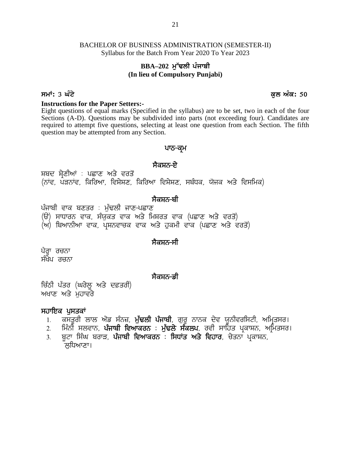### **BBA**–202 ਮੁੱਢਲੀ ਪੰਜਾਬੀ **(In lieu of Compulsory Punjabi)**

#### **smW: 3 GMty kul AMk: 50**

**Instructions for the Paper Setters:-**

Eight questions of equal marks (Specified in the syllabus) are to be set, two in each of the four Sections (A-D). Questions may be subdivided into parts (not exceeding four). Candidates are required to attempt five questions, selecting at least one question from each Section. The fifth question may be attempted from any Section. ed in the syllabus) are to be set, two<br>divided into parts (not exceeding for<br>cting at least one question from eac<br>tion.<br>**ਪਾਠ-ਕ੍ਰਮ**<br>ਸੈਕਸ਼ਨ-ਏ<br>ਸ<sup>ਿ</sup>ਵਿਸ਼ੇਸ਼ਣ, ਸਬੰਧਕ, ਯੋਜਕ ਅਤੇ ਵਿਸ

### ਪਾਠ<del>-</del>ਕ੍ਰਮ

required to attempt five questions, selecting at least one question from each section.<br>question may be attempted from any Section.<br>ਪਾਠ–ਕ੍ਰਮ<br>ਸੋਕਸ਼ਨ–ਏ<br>(ਨਾਂਵ, ਪੜਨਾਂਵ, ਕਿਰਿਆ, ਵਿਸ਼ੇਸ਼ਣ, ਕਿਰਿਆ ਵਿਸ਼ੇਸ਼ਣ, ਸਬੰਧਕ, ਯੋਜਕ ਅਤੇ ਵਿਸਮਿਕ)<br> ਼ **ਸੈਕਸ਼ਨ-ਏ**<br>ਸ਼ਬਦ ਸ਼੍ਰੇਣੀਆਂ : ਪਛਾਣ ਅਤੇ ਵਰਤੋਂ<br>(ਨਾਂਵ, ਪੜਨਾਂਵ, ਕਿਰਿਆ, ਵਿਸ਼ੇਸ਼ਣ, ਕਿਰਿਆ ਵਿਸ਼ੇਸ਼ਣ, ਸ<br>ਪੰਜਾਬੀ ਵਾਕ ਬਣਤਰ : ਮੁੱਢਲੀ ਜਾਣ-ਪਛਾਣ<br>(ੳ) ਸਾਧਾਰਨ ਵਾਕ, ਸੰਯੁਕਤ ਵਾਕ ਅਤੇ ਮਿਸ਼ਰਤ ਵਾਕ<br>(ਅ) ਬਿਆਨੀਆ ਵਾਕ, ਪਸ਼ਨਵਾਚਕ ਵਾਕ ਅਤੇ ਹਕਮੀ ਵ ਸਬਦ ਸ੍ਰੇਣੀਆਂ : ਪਛਾਣ ਅਤੇ ਵਰਤੌਂ<br>(ਨਾਂਵ, ਪੜਨਾਂਵ, ਕਿਰਿਆ, ਵਿਸ਼ੇਸ਼ਣ, ਕਿਰਿਆ ਵਿਸ਼ੇਸ਼ਣ, ਸਬੰਧਕ, ਯੋਜਕ ਅਤੇ ਵਿਸਮਿ<br>ਪੰਜਾਬੀ ਵਾਕ ਬਣਤਰ : ਮੁੱਢਲੀ ਜਾਣ-ਪਛਾਣ<br>(ੳ) ਸਾਧਾਰਨ ਵਾਕ, ਸੰਯੁਕਤ ਵਾਕ ਅਤੇ ਮਿਸ਼ਰਤ ਵਾਕ (ਪਛਾਣ ਅਤੇ ਵਰਤੌਂ)<br>(ਅ) ਬਿਆਨੀਆ ਵਾਕ, ਪ੍ਰਸ਼ਨਵਾਚਕ

### <u>ਸੈਕਸ਼ਨ-ਬੀ</u>

ਪੰਜਾਬੀ ਵਾਕ ਬਣਤਰ : ਮੁੱਢਲੀ ਜਾਣ-ਪਛਾਣ<br>(ੳ) ਸਾਧਾਰਨ ਵਾਕ, ਸੰਯੁਕਤ ਵਾਕ ਅਤੇ ਮਿਸ਼ਰਤ ਵਾਕ (ਪਛਾਣ ਅਤੇ ਵਰਤੋਂ)<br>(ਅ) ਬਿਆਨੀਆ ਵਾਕ, ਪ੍ਰਸ਼ਨਵਾਚਕ ਵਾਕ ਅਤੇ ਹੁਕਮੀ ਵਾਕ (ਪਛਾਣ ਅਤੇ ਵ<br>ਪੈਰ੍ਹਾ ਰਚਨਾ<br>ਸੰਖੇਪ ਰਚਨਾ

(ਅ) ਬਿਆਨੀਆ ਵਾਕ, ਪਸ਼ਨਵਾਚਕ ਵਾਕ ਅਤੇ ਹੁਕਮੀ ਵਾਕ (ਪਛਾਣ ਅਤੇ ਵਰਤੋਂ)

### ਸੈਕਸ਼ਨ<del>-</del>ਸੀ

ਪੈਰ੍ਹਾ ਰਚਨਾ

#### <u>ਸੈਕਸ਼ਨ–</u>ਡੀ

ੰ<br>ਪੈਗ੍ਹਾ ਰਚਨਾ<br>ਸੰਖੇਪ ਰਚਨਾ<br>ਚਿੱਠੀ ਪੱਤਰ (ਘਰੇਲੂ ਅਤੇ ਦਫ਼ਤਰੀ)<br>ਅਖਾਣ ਅਤੇ ਮੁਹਾਵਰੇ ਪੈਰ੍ਹਾ ਰਚਨਾ<br>ਸੰਖੇਪ ਰਚਨਾ<br>ਚਿੱਠੀ ਪੱਤਰ (ਘਰੇਲੂ ਅਤੇ ਦਫ਼ਤਰੀ)<br>ਅਖਾਣ ਅਤੇ ਮੁਹਾਵਰੇ<br>ਸਹਾਇਕ ਪਸਤਕਾਂ ਸੰਖੇਪ ਰਚਨਾ<br>ਚਿੱਠੀ ਪੱਤਰ (ਘਰੇਲੂ ਅਤੇ ਦਫ਼ਤਰੀ)<br>ਅਖਾਣ ਅਤੇ ਮੁਹਾਵਰੇ<br>**ਸਹਾਇਕ ਪੁਸਤਕਾਂ**<br>1. ਕਸਤੂਰੀ ਲਾਲ ਐਂਡ ਸੰਨਜ਼, **ਮੁੱਢਨ**<br>2. ਮਿੰਨੀ ਸਲਵਾਨ, **ਪੰਜਾਬੀ ਵਿਆਕਰ** 

- 
- ਸੈ**ਕਸ਼ਨ-ਡੀ<br>ਰੀ ਪੱਤਰ (ਘਰੇਲੂ ਅਤੇ ਦਫ਼ਤਰੀ)<br>ਖਾਣ ਅਤੇ ਮੁਹਾਵਰੇ<br>1. ਕਸਤੂਰੀ ਲਾਲ ਐਂਡ ਸੰਨਜ਼, <b>ਮੁੰਢਲੀ ਪੰਜਾਬੀ**, ਗੁਰੂ ਨਾਨਕ ਦੇਵ ਯੂਨੀਵਰਸਿਟੀ, ਅਮ੍ਰਿਤਸਰ।<br>2. ਸਿੰਨੀ ਸਲਵਾਨ, **ਪੰਜਾਬੀ ਵਿਆਕਰਨ : ਮੁੱਢਲੇ ਸੰਕਲਪ**, ਰਵੀ ਸਾਹਿਤ ਪ੍ਰਕਾਸ਼ਨ, ਅਮਿਤਸਰ।<br>3. ਬਟਾ ਸ
- ਨੀ ਪੱਤਰ (ਘਰੇਲੂ ਅਤੇ ਦਫ਼ਤਰੀ)<br>ਖਾਣ ਅਤੇ ਮੁਹਾਵਰੇ<br>ਖਾਣ ਅਤੇ ਮੁਹਾਵਰੇ<br>1. ਕਸਤੂਰੀ ਲਾਲ ਐਂਡ ਸੰਨਜ਼, **ਮੁੱਢਲੀ ਪੰਜਾਬੀ**, ਗੁਰੂ ਨਾਨਕ ਦੇਵ ਯੂਨੀਵਰਸਿਟੀ, ਅਮ੍ਰਿਤਸਰ।<br>2. ਮਿੰਨੀ ਸਲਵਾਨ, **ਪੰਜਾਬੀ ਵਿਆਕਰਨ : ਮੁੱਢਲੇ ਸੰਕਲਪ**, ਰਵੀ ਸਾਹਿਤ ਪ੍ਰਕਾਸ਼ਨ, ਅਮਿਤਸਰ।<br>3. ਬ ੱਠੀ ਪੱਤਰ (ਘਰੇਲੂ ਅਤੇ ਦਫ਼ਤਰੀ)<br>ਖਾਣ ਅਤੇ ਮੁਹਾਵਰੇ<br>1. ਕਸਤੂਰੀ ਲਾਲ ਐਂਡ ਸੰਨਜ਼, **ਮੁੱਢਲੀ ਪੰਜਾਬੀ**, ਗੁਰੂ ਨਾਨਕ ਦੇਵ ਯੂਨੀਵਰਸਿਟੀ, ਅਮ੍ਰਿਤਸ<br>2. ਮਿੰਨੀ ਸਲਵਾਨ, **ਪੰਜਾਬੀ ਵਿਆਕਰਨ : ਮੁੱਢਲੇ ਸੰਕਲਪ**, ਰਵੀ ਸਾਹਿਤ ਪ੍ਰਕਾਸ਼ਨ, ਅਮਿਤ<br>3. ਬੂਟਾ ਸਿੰਘ ਬਰਾੜ, **ਪੰਜਾ**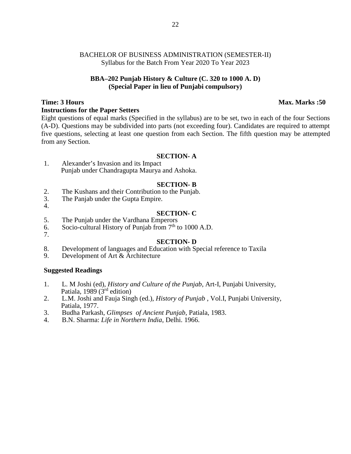#### **BBA–202 Punjab History & Culture (C. 320 to 1000 A. D) (Special Paper in lieu of Punjabi compulsory)**

#### **Time: 3 Hours Max. Marks :50**

#### **Instructions for the Paper Setters**

Eight questions of equal marks (Specified in the syllabus) are to be set, two in each of the four Sections (A-D). Questions may be subdivided into parts (not exceeding four). Candidates are required to attempt five questions, selecting at least one question from each Section. The fifth question may be attempted from any Section.

#### **SECTION- A**

1. Alexander's Invasion and its Impact Punjab under Chandragupta Maurya and Ashoka.

#### **SECTION- B**

- 2. The Kushans and their Contribution to the Punjab.<br>3. The Paniab under the Gupta Empire.
- The Panjab under the Gupta Empire. 4.

- **SECTION- C** 5. The Punjab under the Vardhana Emperors
- 6. Socio-cultural History of Punjab from  $7<sup>th</sup>$  to 1000 A.D.
- 7.

#### **SECTION- D**

- 8. Development of languages and Education with Special reference to Taxila<br>9. Development of Art & Architecture
- Development of Art & Architecture

#### **Suggested Readings**

- 1. L. M Joshi (ed), *History and Culture of the Punjab*, Art-I, Punjabi University, Patiala, 1989 (3<sup>rd</sup> edition)
- 2. L.M. Joshi and Fauja Singh (ed.), *History of Punjab* , Vol.I, Punjabi University, Patiala, 1977.
- 3. Budha Parkash, *Glimpses of Ancient Punjab*, Patiala, 1983.
- 4. B.N. Sharma: *Life in Northern India*, Delhi. 1966.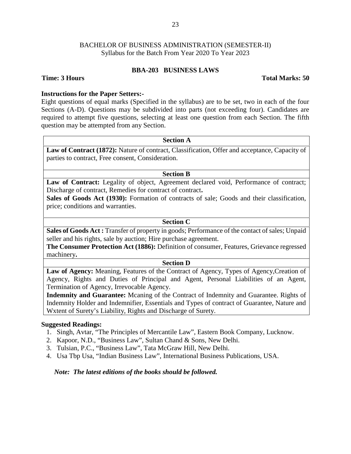#### **BBA-203 BUSINESS LAWS**

#### **Time: 3 Hours Total Marks: 50**

#### **Instructions for the Paper Setters:-**

Eight questions of equal marks (Specified in the syllabus) are to be set, two in each of the four Sections (A-D). Questions may be subdivided into parts (not exceeding four). Candidates are required to attempt five questions, selecting at least one question from each Section. The fifth question may be attempted from any Section.

#### **Section A**

Law of Contract (1872): Nature of contract, Classification, Offer and acceptance, Capacity of parties to contract, Free consent, Consideration.

#### **Section B**

Law of Contract: Legality of object, Agreement declared void, Performance of contract; Discharge of contract, Remedies for contract of contract**.**

**Sales of Goods Act (1930):** Formation of contracts of sale; Goods and their classification, price; conditions and warranties.

#### **Section C**

**Sales of Goods Act :** Transfer of property in goods; Performance of the contact of sales; Unpaid seller and his rights, sale by auction; Hire purchase agreement.

**The Consumer Protection Act (1886):** Definition of consumer, Features, Grievance regressed machinery**.**

#### **Section D**

**Law of Agency:** Meaning, Features of the Contract of Agency, Types of Agency,Creation of Agency, Rights and Duties of Principal and Agent, Personal Liabilities of an Agent, Termination of Agency, Irrevocable Agency.

**Indemnity and Guarantee:** Mcaning of the Contract of Indemnity and Guarantee. Rights of Indemnity Holder and Indemnifier, Essentials and Types of contract of Guarantee, Nature and Wxtent of Surety's Liability, Rights and Discharge of Surety.

#### **Suggested Readings:**

- 1. Singh, Avtar, "The Principles of Mercantile Law", Eastern Book Company, Lucknow.
- 2. Kapoor, N.D., "Business Law", Sultan Chand & Sons, New Delhi.
- 3. Tulsian, P.C., "Business Law", Tata McGraw Hill, New Delhi.
- 4. Usa Tbp Usa, "Indian Business Law", International Business Publications, USA.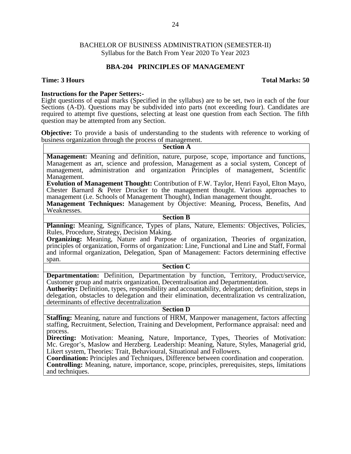#### **BBA-204 PRINCIPLES OF MANAGEMENT**

#### **Time: 3 Hours Total Marks: 50**

**Instructions for the Paper Setters:-**<br>Eight questions of equal marks (Specified in the syllabus) are to be set, two in each of the four Sections (A-D). Questions may be subdivided into parts (not exceeding four). Candidates are required to attempt five questions, selecting at least one question from each Section. The fifth question may be attempted from any Section.

**Objective:** To provide a basis of understanding to the students with reference to working of business organization through the process of management. **Section A**

**Management:** Meaning and definition, nature, purpose, scope, importance and functions, Management as art, science and profession, Management as a social system, Concept of management, administration and organization Principles of management, Scientific Management.

**Evolution of Management Thought:** Contribution of F.W. Taylor, Henri Fayol, Elton Mayo, Chester Barnard & Peter Drucker to the management thought. Various approaches to management (i.e. Schools of Management Thought), Indian management thought.

**Management Techniques:** Management by Objective: Meaning, Process, Benefits, And Weaknesses.

#### **Section B**

Planning: Meaning, Significance, Types of plans, Nature, Elements: Objectives, Policies, Rules, Procedure, Strategy, Decision Making.

**Organizing:** Meaning, Nature and Purpose of organization, Theories of organization, principles of organization, Forms of organization: Line, Functional and Line and Staff, Formal and informal organization, Delegation, Span of Management: Factors determining effective span.

#### **Section C**

**Departmentation:** Definition, Departmentation by function, Territory, Product/service, Customer group and matrix organization, Decentralisation and Departmentation.

**Authority:** Definition, types, responsibility and accountability, delegation; definition, steps in delegation, obstacles to delegation and their elimination, decentralization vs centralization, determinants of effective decentralization

#### **Section D**

**Staffing:** Meaning, nature and functions of HRM, Manpower management, factors affecting staffing, Recruitment, Selection, Training and Development, Performance appraisal: need and process.

**Directing:** Motivation: Meaning, Nature, Importance, Types, Theories of Motivation: Mc. Gregor's, Maslow and Herzberg. Leadership: Meaning, Nature, Styles, Managerial grid, Likert system, Theories: Trait, Behavioural, Situational and Followers.

**Coordination:** Principles and Techniques, Difference between coordination and cooperation. **Controlling:** Meaning, nature, importance, scope, principles, prerequisites, steps, limitations and techniques.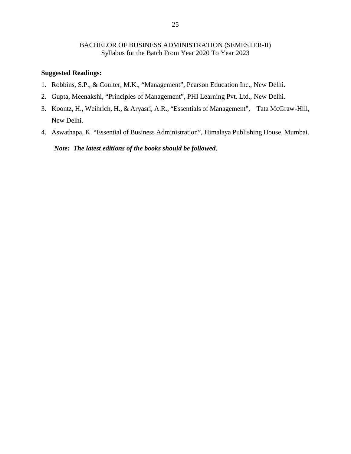#### **Suggested Readings:**

- 1. Robbins, S.P., & Coulter, M.K., "Management", Pearson Education Inc., New Delhi.
- 2. Gupta, Meenakshi, "Principles of Management", PHI Learning Pvt. Ltd., New Delhi.
- 3. Koontz, H., Weihrich, H., & Aryasri, A.R., "Essentials of Management", Tata McGraw-Hill, New Delhi.
- 4. Aswathapa, K. "Essential of Business Administration", Himalaya Publishing House, Mumbai.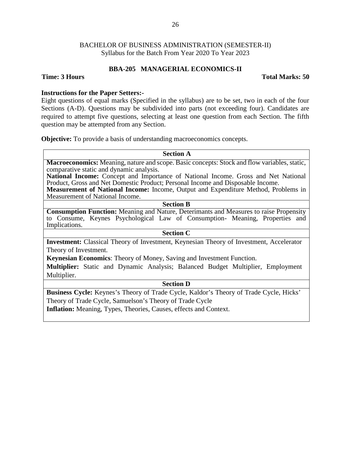#### **BBA-205 MANAGERIAL ECONOMICS-II**

#### **Time: 3 Hours Total Marks: 50**

#### **Instructions for the Paper Setters:-**

Eight questions of equal marks (Specified in the syllabus) are to be set, two in each of the four Sections (A-D). Questions may be subdivided into parts (not exceeding four). Candidates are required to attempt five questions, selecting at least one question from each Section. The fifth question may be attempted from any Section.

**Objective:** To provide a basis of understanding macroeconomics concepts.

| <b>Section A</b>                                                                                                                                                      |
|-----------------------------------------------------------------------------------------------------------------------------------------------------------------------|
| Macroeconomics: Meaning, nature and scope. Basic concepts: Stock and flow variables, static,                                                                          |
| comparative static and dynamic analysis.                                                                                                                              |
| National Income: Concept and Importance of National Income. Gross and Net National<br>Product, Gross and Net Domestic Product; Personal Income and Disposable Income. |
| <b>Measurement of National Income:</b> Income, Output and Expenditure Method, Problems in                                                                             |
| Measurement of National Income.                                                                                                                                       |
| <b>Section B</b>                                                                                                                                                      |
| <b>Consumption Function:</b> Meaning and Nature, Deterimants and Measures to raise Propensity                                                                         |
| to Consume, Keynes Psychological Law of Consumption- Meaning, Properties and                                                                                          |
| Implications.                                                                                                                                                         |
| <b>Section C</b>                                                                                                                                                      |
| <b>Investment:</b> Classical Theory of Investment, Keynesian Theory of Investment, Accelerator                                                                        |
| Theory of Investment.                                                                                                                                                 |
|                                                                                                                                                                       |

**Keynesian Economics**: Theory of Money, Saving and Investment Function.

**Multiplier:** Static and Dynamic Analysis; Balanced Budget Multiplier, Employment Multiplier.

### **Section D**

**Business Cycle:** Keynes's Theory of Trade Cycle, Kaldor's Theory of Trade Cycle, Hicks' Theory of Trade Cycle, Samuelson's Theory of Trade Cycle

**Inflation:** Meaning, Types, Theories, Causes, effects and Context.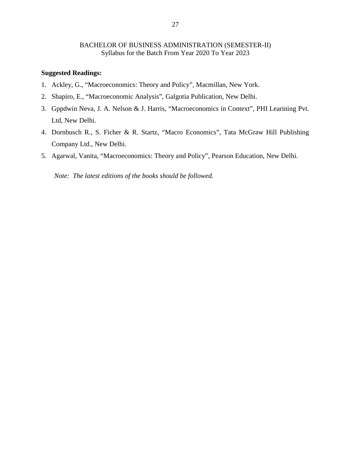#### **Suggested Readings:**

- 1. Ackley, G., "Macroeconomics: Theory and Policy", Macmillan, New York.
- 2. Shapiro, E., "Macroeconomic Analysis", Galgotia Publication, New Delhi.
- 3. Gppdwin Neva, J. A. Nelson & J. Harris, "Macroeconomics in Context", PHI Learining Pvt. Ltd, New Delhi.
- 4. Dornbusch R., S. Ficher & R. Startz, "Macro Economics", Tata McGraw Hill Publishing Company Ltd., New Delhi.
- 5. Agarwal, Vanita, "Macroeconomics: Theory and Policy", Pearson Education, New Delhi.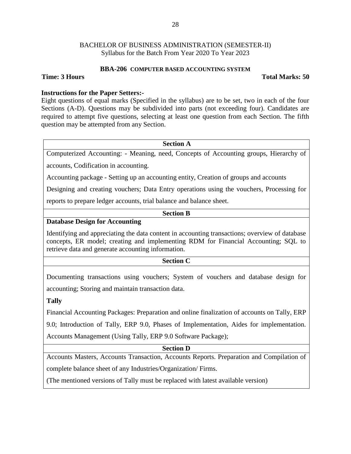#### **BBA-206 COMPUTER BASED ACCOUNTING SYSTEM**

#### **Time: 3 Hours Total Marks: 50**

#### **Instructions for the Paper Setters:-**

Eight questions of equal marks (Specified in the syllabus) are to be set, two in each of the four Sections (A-D). Questions may be subdivided into parts (not exceeding four). Candidates are required to attempt five questions, selecting at least one question from each Section. The fifth question may be attempted from any Section.

#### **Section A**

Computerized Accounting: - Meaning, need, Concepts of Accounting groups, Hierarchy of

accounts, Codification in accounting.

Accounting package - Setting up an accounting entity, Creation of groups and accounts

Designing and creating vouchers; Data Entry operations using the vouchers, Processing for

reports to prepare ledger accounts, trial balance and balance sheet.

#### **Section B**

#### **Database Design for Accounting**

Identifying and appreciating the data content in accounting transactions; overview of database concepts, ER model; creating and implementing RDM for Financial Accounting; SQL to retrieve data and generate accounting information.

#### **Section C**

Documenting transactions using vouchers; System of vouchers and database design for accounting; Storing and maintain transaction data.

#### **Tally**

Financial Accounting Packages: Preparation and online finalization of accounts on Tally, ERP

9.0; Introduction of Tally, ERP 9.0, Phases of Implementation, Aides for implementation. Accounts Management (Using Tally, ERP 9.0 Software Package);

#### **Section D**

Accounts Masters, Accounts Transaction, Accounts Reports. Preparation and Compilation of complete balance sheet of any Industries/Organization/ Firms.

(The mentioned versions of Tally must be replaced with latest available version)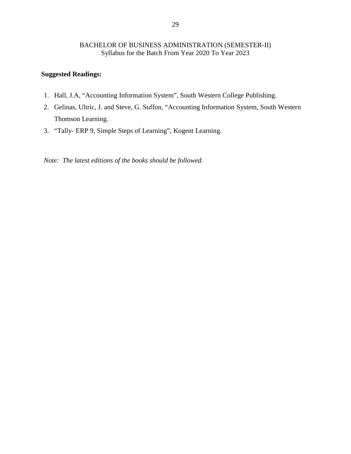### **Suggested Readings:**

- 1. Hall, J.A, "Accounting Information System", South Western College Publishing.
- 2. Gelinas, Ultric, J. and Steve, G. Suffon, "Accounting Information System, South Western Thomson Learning.
- 3. "Tally- ERP 9, Simple Steps of Learning", Kogent Learning.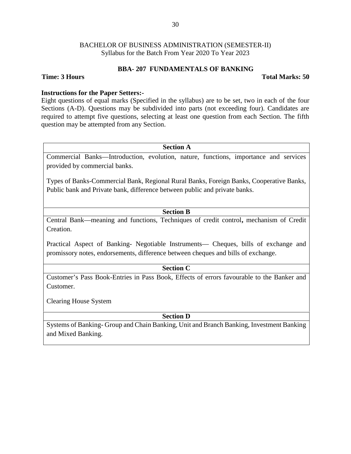#### **BBA- 207 FUNDAMENTALS OF BANKING**

#### **Time: 3 Hours Total Marks: 50**

#### **Instructions for the Paper Setters:-**

Eight questions of equal marks (Specified in the syllabus) are to be set, two in each of the four Sections (A-D). Questions may be subdivided into parts (not exceeding four). Candidates are required to attempt five questions, selecting at least one question from each Section. The fifth question may be attempted from any Section.

#### **Section A**

Commercial Banks—Introduction, evolution, nature, functions, importance and services provided by commercial banks.

Types of Banks-Commercial Bank, Regional Rural Banks, Foreign Banks, Cooperative Banks, Public bank and Private bank, difference between public and private banks.

### **Section B**

Central Bank—meaning and functions, Techniques of credit control**,** mechanism of Credit Creation.

Practical Aspect of Banking- Negotiable Instruments— Cheques, bills of exchange and promissory notes, endorsements, difference between cheques and bills of exchange.

#### **Section C**

Customer's Pass Book-Entries in Pass Book, Effects of errors favourable to the Banker and Customer.

Clearing House System

#### **Section D**

Systems of Banking- Group and Chain Banking, Unit and Branch Banking, Investment Banking and Mixed Banking.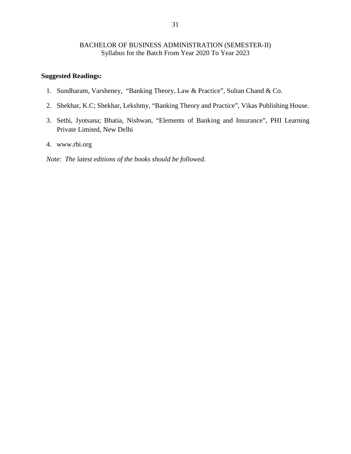#### **Suggested Readings:**

- 1. Sundharam, Varsheney, "Banking Theory, Law & Practice", Sultan Chand & Co.
- 2. Shekhar, K.C; Shekhar, Lekshmy, "Banking Theory and Practice", Vikas Publishing House.
- 3. Sethi, Jyotsana; Bhatia, Nishwan, "Elements of Banking and Insurance", PHI Learning Private Limited, New Delhi
- 4. www.rbi.org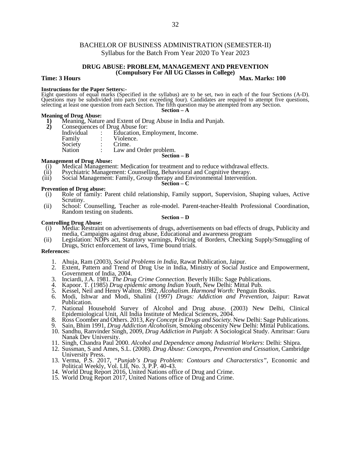#### **DRUG ABUSE: PROBLEM, MANAGEMENT AND PREVENTION (Compulsory For All UG Classes in College)**

#### **Time: 3 Hours Max.** Marks: 100

**Instructions for the Paper Setters:-** Eight questions of equal marks (Specified in the syllabus) are to be set, two in each of the four Sections (A-D). Questions may be subdivided into parts (not exceeding four). Candidates are required to attempt five questions, selecting at least one question from each Section. The fifth question may be attempted from any Section. **Section – A**

## **Meaning of Drug Abuse:**<br>**1)** Meaning, Nature

- **1)** Meaning, Nature and Extent of Drug Abuse in India and Punjab.
- - **2)** Consequences of Drug Abuse for:<br>
	Individual : Education, En Individual : Education, Employment, Income.<br>
	Family : Violence. Violence.<br>Crime. Society<br>Nation Law and Order problem. **Section – B**

#### **Management of Drug Abuse:**

- (i) Medical Management: Medication for treatment and to reduce withdrawal effects.<br>(ii) Psychiatric Management: Counselling, Behavioural and Cognitive therapy.
- Psychiatric Management: Counselling, Behavioural and Cognitive therapy.
- (iii) Social Management: Family, Group therapy and Environmental Intervention.

#### **Section – C**

- **Prevention of Drug abuse:**
- (i) Role of family: Parent child relationship, Family support, Supervision, Shaping values, Active Scrutiny.
- (ii) School: Counselling, Teacher as role-model. Parent-teacher-Health Professional Coordination, Random testing on students.

#### **Section – D**

- **Controlling Drug Abuse:** (i) Media: Restraint on advertisements of drugs, advertisements on bad effects of drugs, Publicity and media, Campaigns against drug abuse, Educational and awareness program
- (ii) Legislation: NDPs act, Statutory warnings, Policing of Borders, Checking Supply/Smuggling of Drugs, Strict enforcement of laws, Time bound trials.

#### **References:**

- 1. Ahuja, Ram (2003), *Social Problems in India*, Rawat Publication, Jaipur.
- 2. Extent, Pattern and Trend of Drug Use in India, Ministry of Social Justice and Empowerment, Government of India, 2004.
- 3. Inciardi, J.A. 1981. *The Drug Crime Connection.* Beverly Hills: Sage Publications.
- 4. Kapoor. T. (1985) *Drug epidemic among Indian Youth*, New Delhi: Mittal Pub.
- 5. Kessel, Neil and Henry Walton. 1982, *Alcohalism. Harmond Worth:* Penguin Books.
- 6. Modi, Ishwar and Modi, Shalini (1997) *Drugs: Addiction and Prevention*, Jaipur: Rawat Publication.
- 7. National Household Survey of Alcohol and Drug abuse. (2003) New Delhi, Clinical Epidemiological Unit, All India Institute of Medical Sciences, 2004.
- 8. Ross Coomber and Others. 2013, *Key Concept in Drugs and Society.* New Delhi: Sage Publications.
- 9. Sain, Bhim 1991, *Drug Addiction Alcoholism,* Smoking obscenity New Delhi: Mittal Publications.
- 10. Sandhu, Ranvinder Singh, 2009, *Drug Addiction in Punjab*: A Sociological Study. Amritsar: Guru Nanak Dev University.
- 11. Singh, Chandra Paul 2000. *Alcohol and Dependence among Industrial Workers*: Delhi: Shipra.
- 12. Sussman, S and Ames, S.L. (2008). *Drug Abuse: Concepts, Prevention and Cessation,* Cambridge University Press.
- 13. Verma, P.S. 2017, "*Punjab's Drug Problem: Contours and Characterstics",* Economic and Political Weekly, Vol. LII, No. 3, P.P. 40-43.
- 14. World Drug Report 2016, United Nations office of Drug and Crime.
- 15. World Drug Report 2017, United Nations office of Drug and Crime.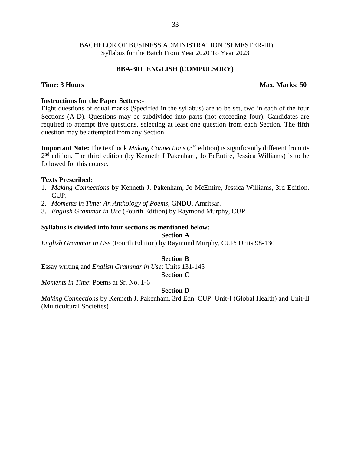#### **BBA-301 ENGLISH (COMPULSORY)**

#### **Time: 3 Hours Max. Marks: 50**

#### **Instructions for the Paper Setters:-**

Eight questions of equal marks (Specified in the syllabus) are to be set, two in each of the four Sections (A-D). Questions may be subdivided into parts (not exceeding four). Candidates are required to attempt five questions, selecting at least one question from each Section. The fifth question may be attempted from any Section.

**Important Note:** The textbook *Making Connections* (3<sup>rd</sup> edition) is significantly different from its 2<sup>nd</sup> edition. The third edition (by Kenneth J Pakenham, Jo EcEntire, Jessica Williams) is to be followed for this course.

#### **Texts Prescribed:**

- 1. *Making Connections* by Kenneth J. Pakenham, Jo McEntire, Jessica Williams, 3rd Edition. CUP.
- 2. *Moments in Time: An Anthology of Poems*, GNDU, Amritsar.
- 3. *English Grammar in Use* (Fourth Edition) by Raymond Murphy, CUP

#### **Syllabus is divided into four sections as mentioned below:**

**Section A**

*English Grammar in Use* (Fourth Edition) by Raymond Murphy, CUP: Units 98-130

#### **Section B**

Essay writing and *English Grammar in Use*: Units 131-145

#### **Section C**

*Moments in Time*: Poems at Sr. No. 1-6

#### **Section D**

*Making Connections* by Kenneth J. Pakenham, 3rd Edn. CUP: Unit-I (Global Health) and Unit-II (Multicultural Societies)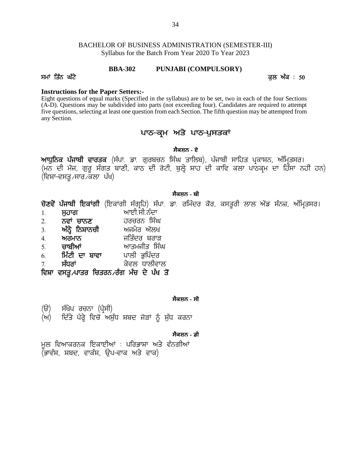# BACHELOR OF BUSINESS ADMINISTRATION (SEMESTER-III) Syllabus for the Batch From Year 2020 To Year 2023 BACHELOR OF BUSINESS ADMINISTRATION (SEMESTER-III)<br>Syllabus for the Batch From Year 2020 To Year 2023<br>**BBA-302** PUNJABI (COMPULSORY)<br>Instructions for the Paper Setters:-

#### **BBA-302 PUNJABI (COMPULSORY)**

#### **Instructions for the Paper Setters:-**

Eight questions of equal marks (Specified in the syllabus) are to be set, two in each of the four Sections (A-D). Questions may be subdivided into parts (not exceeding four). Candidates are required to attempt five questions, selecting at least one question from each Section. The fifth question may be attempted from any Section. ges means of the syllabus) are to be set, two in each of the four S<br>ito parts (not exceeding four). Candidates are required to<br>stion from each Section. The fifth question may be attempt<br>ਪਾਠ–ਕ੍ਰਮ ਅਤੇ ਪਾਠ–ਪੁਸਤਕਾਂ<br>ਸੈਕਸ਼ਨ - ਏ

#### **ਸੈਕਸ਼ਨ - ਏ**

(A-D). Questions may be subdivided into parts (not exceeding four). Candidates are required to attempt<br>five questions, selecting at least one question from each Section. The fifth question may be attempted from<br>any Secti ಗೇ questions, sciecting at icast one question homicach section.<br>any Section.<br>**आयुठिव ਪੰਜਾਬੀ ਵਾਰਤਕ** (ਸੰਪਾ. ਡਾ. ਗੁਰਬਚਨ ਸਿੰਘ ਤਾਲਿਬ), ਪੰਜਾਬੀ ਸਾਹਿਤ ਪ੍ਰਕਾਸ਼ਨ, ਅੰਮ੍ਰਿਤਸਰ।<br>(ਮਨ ਦੀ ਮੌਜ, ਗੁਰੂ ਸੰਗਤ ਬਾਣੀ, ਕਾਠ ਦੀ ਰੋਟੀ, ਬੁਲ੍ਹੇ ਸ਼ਾਹ ਦ **ਪਾਠ–ਕ੍ਰਮ ਅਤੇ ਪਾਠ-ਪੁਸਤਕਾਂ**<br>ਅ**ਧੁਨਿਕ ਪੰਜਾਬੀ ਵਾਰਤਕ** (ਸੰਪਾ ਡਾ ਗੁਰਬਚਨ ਸਿੰਘ ਤਾਲਿਬ), ਪੰਜਾਬੀ ਸਾਹਿਤ ਪ੍ਰਕਾਸ਼ਨ, ਅੰਮ੍ਰਿਤਸਰ।<br>(ਮਨ ਦੀ ਮੌਜ, ਗੁਰੂ ਸੰਗਤ ਬਾਣੀ, ਕਾਠ ਦੀ ਰੋਟੀ, ਬੁਲ੍ਹੇ ਸ਼ਾਹ ਦੀ ਕਾਵਿ ਕਲਾ ਪਾਠਕ੍ਰਮ ਦਾ ਹਿੰਸਾ ਨ<br>(ਵਿਸ਼ਾ–ਵਸਤ ਸਾਰ ਕਲਾ ਪੱਖ) **ਅਧੁਨਿਕ ਪੰਜਾਬੀ ਵਾਰਤਕ** (ਸੰਪਾ. ਡਾ. ਗੁਰਬਚਨ ਸਿੰਘ ਤਾਲਿਬ), ਪੰਜਾਬੀ ਸਾਹਿਤ ਪ੍ਰਕਾਸ਼ਨ, ਅੰਮ੍ਰਿਤਸਰ।<br>(ਮਨ ਦੀ ਮੋਜ, ਗੁਰੂ ਸੰਗਤ ਬਾਣੀ, ਕਾਠ ਦੀ ਰੋਟੀ, ਬੁਲ੍ਹੇ ਸ਼ਾਹ ਦੀ ਕਾਵਿ ਕਲਾ ਪਾਠਕ੍ਰਮ ਦਾ ਹਿੰਸਾ ਨਹੀਂ ਹਨ)<br>(ਵਿਸ਼ਾ-ਵਸਤੂ ਸਾਰ ਕਲਾ ਪੱਖ)<br>ਚੋ**ਣਵੇਂ ਪੰਜਾਬੀ ਇ** ਅਾਧੁਨਿਕ ਪੰਜਾਬੀ ਵਾਰਤਕ (ਸੰਪਾ ਡਾ. ਗੁਰਬਚਨ ਸਿੰਘ ਤਾਲਿਬ), ਪੰਜਾਬੀ<br>(ਮਨ ਦੀ ਮੌਜ, ਗੁਰੂ ਸੰਗਤ ਬਾਣੀ, ਕਾਠ ਦੀ ਰੋਟੀ, ਬੁਲ੍ਹੇ ਸ਼ਾਹ ਦੀ ਕਾਵਿ<br>(ਵਿਸ਼ਾ-ਵਸਤੂ*/*ਸਾਰ*/ਕਲਾ ਪੱਖ)*<br>ਚੋਣਵੇਂ ਪੰਜਾਬੀ ਇਕਾਂਗੀ (ਇਕਾਂਗੀ ਸੰਗ੍ਰਹਿ) ਸੰਪਾ. ਡਾ. ਰਮਿੰਦਰ ਕੋਰ, ਕਸ<br>1. ਸੁਹਾਗ 2H **BtK ukBD** jouoB f; zx

#### **ਸੈਕਸ਼ਨ - ਬੀ**

(ਵਿਸ਼ਾ–ਵਸਤੂ<sub>⁄</sub>ਸਾਰ ਕਲਾ ਪੱਖ)<br>**ਚੋਣਵੇਂ ਪੰਜਾਬੀ ਇਕਾਂਗੀ** (ਇਕਾਂਗੀ ਸੰਗ੍ਰਹਿ) ਸੰਪਾ. ਡਾ. ਰਮਿੰਦਰ ਕੋਰ, ਕਸ<br>1. **ਸੁਹਾਗ ਅ**ਾਈ.ਸੀ.ਨੰਦਾ<br>2. **ਨਵਾਂ ਚਾਨਣ ਹਰਚਰਨ ਸਿੰਘ**<br>3. **ਅੰਨ੍ਹੇ ਨਿਸ਼ਾਨਚੀ ਅ**ਜਮੇਰ ਔਲਖ<br>4. **ਅਰਮਾਨ ਜਤਿੰ**ਦਰ ਬਰਾੜ<br>5. **ਚਾਬੀਆਂ ਅਾਤਮਜੀਤ ਸਿੰਘ ਚੋਣਵੇਂ ਪੰਜਾਬੀ ਇਕਾਂਗੀ** (ਇਕਾਂਗੀ ਸੰਗ੍ਰਹਿ) ਸੰਪਾ ਡਾ ਰਮਿੰਦਰ ਕੌਰ, ਕਸਤੂਰ<br>1. **ਸੁਹਾਗ ਆ**ਈ.ਸੀ.ਨੰਦਾ<br>2. **ਨਵਾਂ ਚਾਨਣ ਹਰਚਰਨ ਸਿੰਘ**<br>3. **ਅੰਨ੍ਹੇ ਨਿਸ਼ਾਨਚੀ ਅਜਮੇਰ ਔਲਖ**<br>4. **ਅਰਮਾਨ ਜਤਿੰਦਰ ਬਰਾੜ**<br>5. **ਚਾਬੀਆਂ ਆਤਮਜੀਤ ਸਿੰਘ**<br>6. **ਮਿੰਟੀ ਦਾ ਬਾਵਾ** 6H **fw`Nh dk pktk** gkbh G[fg zdo

- 
- 
- 
- 4H **nowkB** ifszdo pokV
- 
- 
- 

1. **ਸੁਹਾਗ** ਆਈ.ਸੀ.ਨੰਦਾ<br>2. **ਨਵਾਂ ਚਾਨਣ** ਹਰਚਰਨ ਸਿੰਘ<br>3. **ਅੰਨ੍ਹੇ ਨਿਸ਼ਾਨਚੀ** ਅਜਮੇਰ ਔਲਖ<br>4. **ਅਰਮਾਨ ਜ**ਤਿੰਦਰ ਬਰਾੜ<br>5. **ਚਾਬੀਆਂ ਆਤਮਜੀਤ ਸਿੰਘ**<br>6. **ਮਿੱਟੀ ਦਾ ਬਾਵਾ** ਪਾਲੀ ਭੁਪਿੰਦਰ<br>7. ਸੱਧਰਾਂ ਕੇਵਲ ਧਾਲੀਵਾਲ<br>ਵਿਸ਼ਾ ਵਸਤੂ<sub>⁄</sub>ਪਾਤਰ ਚਿਤਰਨ ਰੰਗ ਮੰਚ ਦੇ ਪੱਖ ਤ 2. ਨਵਾਂ ਚਾਨਣ ਹਰਚਰਨ ਸਿੰਘ<br>3. **ਅੰਨ੍ਹੇ ਨਿਸ਼ਾਨਚੀ ਅ**ਜਮੇਰ ਔਲਖ<br>4. **ਅਰਮਾਨ ਜ**ਤਿੰਦਰ ਬਰਾੜ<br>5. ਚਾਬੀਆਂ ਆਤਮਜੀਤ ਸਿੰਘ<br>6. ਮਿੱਟੀ ਦਾ ਬਾਵਾ ਪਾਲੀ ਭੁਪਿੰਦਰ<br>7. ਸੱਧਰਾਂ ਕੇਵਲ ਧਾਲੀਵਾਲ<br>ਵਿਸ਼ਾ ਵਸਤੂ<sub>/</sub>ਪਾਤਰ ਚਿਤਰਨ ਰੰਗ ਮੰਚ ਦੇ ਪੱਖ ਤੋਂ

**ਸੈਕਸ਼ਨ - ਸੀ**

(6. **ਮਿੰਟੀ ਦਾ ਬਾਵਾ ਤ**ਾ ਪਾਲੀ ਭੁਪਿੰਦਰ<br>7. **ਸੱਧਰਾਂ ਤਾਰ ਕੁ**ਵਲ ਧਾਲੀਵਾਲ<br>**ਵਿਸ਼ਾ ਵਸਤੂ ਪਾਤਰ ਚਿਤਰਨ ਰੰਗ ਮੰਚ ਦੇ ਪੱਖ ਤੋਂ<br>(ੳ) ਸੰਖੇਪ ਰਚਨਾ (ਪ੍ਰੈਸੀ)<br>(ਅ) ਦਿੱਤੇ ਪੈਰ੍ਹੇ ਵਿਚੋਂ ਅਸ਼ੱਧ ਸ਼ਬਦ ਜੋੜਾਂ ਨੰ ਸ਼ੱਧ ਕਰਨਾ** (n) fd`s/ g?oQ / ftu' \_ nF[`X Fpd i'VK ~ F[`X eoBk

#### **ਸੈਕਸ਼ਨ - ਡੀ**

(ੳ) ਸੰਖੇਪ ਰਚਨਾ (ਪ੍ਰੈਸੀ)<br>(ਅ) ਦਿੱਤੇ ਪੈਰ੍ਹੇ ਵਿਚੋਂ ਅਸ਼ੁੱਧ ਸ਼ਬਦ ਜੋੜਾਂ ਨੂੰ ਸ਼ੁੱਧ ਕਰਨਾ<br>ਸੈਕਸ਼ਨ - ਡੀ<br>ਮੂਲ ਵਿਆਕਰਨਕ ਇਕਾਈਆਂ : ਪਰਿਭਾਸ਼ਾ ਅਤੇ ਵੰਨਗੀਆਂ<br>(ਭਾਵੰਸ਼, ਸ਼ਬਦ, ਵਾਕੰਸ਼, ਉਪ-ਵਾਕ ਅਤੇ ਵਾਕ)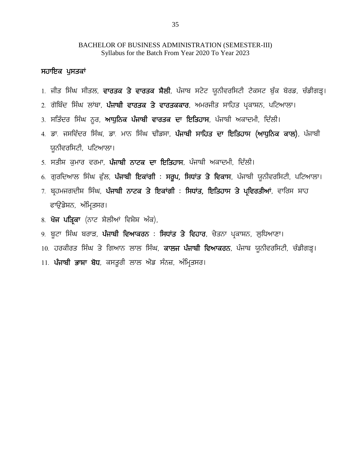# BACHELOR OF BUSINESS ADMINISTRATION (SEMESTER-III) Syllabus for the Batch From Year 2020 To Year 2023 **BACHELOR OF BUSIN**<br>Syllabus for the<br>ਸਹਾਇਕ ਪੁਸਤਕਾਂ<br>1 ਜੀਤ ਸਿੰਘ ਸੀਟਲ ਵਾਰਤਕ ਤੇ ਵਾਰ BACHELOR OF BUSINESS ADMINISTRATION (SEMESTER-III)<br>1. ਸੀਤ **ਪੁਸਤਕਾਂ**<br>1. ਜੀਤ ਸਿੰਘ ਸੀਤਲ, **ਵਾਰਤਕ ਤੇ ਵਾਰਤਕ ਸੈਲੀ**, ਪੰਜਾਬ ਸਟੇਟ ਯੂਨੀਵਰਸਿਟੀ ਟੈਕਸਟ ਬੁੱਕ ਬੋਰਡ, ਚੰਡੀਗੜ੍ਹ।<br>2. ਗੋਬਿੰਦ ਸਿੰਘ ਲਾਂਬਾ, **ਪੰਜਾਬੀ ਵਾਰਤਕ ਤੇ ਵਾਰਤਕਕਾਰ**, ਅਮਰਜੀਤ ਸਾਹਿਤ

- Syllabus for the Batch From Year 2020 To Year 2023<br>ਸਹਾ<mark>ਇਕ ਪੁਸਤਕਾਂ</mark><br>1. ਜੀਤ ਸਿੰਘ ਸੀਤਲ, **ਵਾਰਤਕ ਤੇ ਵਾਰਤਕ ਸੈਲੀ**, ਪੰਜਾਬ ਸਟੇਟ ਯੂਨੀਵਰਸਿਟੀ ਟੈਕਸਟ ਬੁੱਕ ਬੋਰਡ, ਚੰਡੀਗੜ੍ਹ<br>2. ਗੋਬਿੰਦ ਸਿੰਘ ਲਾਂਬਾ, **ਪੰਜਾਬੀ ਵਾਰਤਕ ਤੇ ਵਾਰਤਕਕਾਰ**, ਅਮਰਜੀਤ ਸਾਹਿਤ ਪ
- **ਸਹਾਇਕ ਪੁਸਤਕਾਂ**<br>1. ਜੀਤ ਸਿੰਘ ਸੀਤਲ, **ਵਾਰਤਕ ਤੇ ਵਾਰਤਕ ਸੈਲੀ**, ਪੰਜਾਬ ਸਟੇਟ ਯੂਨੀਵਰਸਿਟੀ ਟੈਕਸਟ ਬੁੱਕ ਬੋਰਡ<br>2. ਗੋਬਿੰਦ ਸਿੰਘ ਲਾਂਬਾ, **ਪੰਜਾਬੀ ਵਾਰਤਕ ਤੇ ਵਾਰਤਕਕਾਰ**, ਅਮਰਜੀਤ ਸਾਹਿਤ ਪ੍ਰਕਾਸ਼ਨ, ਪਟਿਆਲਾ।<br>3. ਸਤਿੰਦਰ ਸਿੰਘ ਨੁਰ, **ਆਧੁਨਿਕ ਪੰਜਾਬੀ ਵਾਰਤਕ ਦਾ**
- 
- 1. ਜੀਤ ਸਿੰਘ ਸੀਤਲ, **ਵਾਰਤਕ ਤੇ ਵਾਰਤਕ ਸੈਲੀ**, ਪੰਜਾਬ ਸਟੇਟ ਯੂਨੀਵਰਸਿਟੀ ਟੈਕਸਟ ਬੁੱਕ ਬੋਰਡ, ਚੰਡੀਗੜ੍ਹ।<br>2. ਗੋਬਿੰਦ ਸਿੰਘ ਲਾਂਬਾ, **ਪੰਜਾਬੀ ਵਾਰਤਕ ਤੇ ਵਾਰਤਕਕਾਰ**, ਅਮਰਜੀਤ ਸਾਹਿਤ ਪ੍ਰਕਾਸ਼ਨ, ਪਟਿਆਲਾ।<br>3. ਸਤਿੰਦਰ ਸਿੰਘ ਨੂਰ, **ਆਧੁਨਿਕ ਪੰਜਾਬੀ ਵਾਰਤਕ ਦਾ ਇਤਿਹਾ** ਯੂਨੀਵਰਸਿਟੀ, ਪਟਿਆਲਾ। 4. ਡਾ. ਜਸਵਿੰਦਰ ਸਿੰਘ, ਡਾ. ਮਾਨ ਸਿੰਘ ਢੀਂਡਸਾ, **ਪੰਜਾਬੀ ਸਾਹਿਤ ਦਾ ਇਤਿਹਾਸ (ਆਧੁਨਿਕ ਕਾਲ)**, ਪੰਜਾਬੀ<br>ਯੂਨੀਵਰਸਿਟੀ, ਪਟਿਆਲਾ।<br>5. ਸਤੀਸ਼ ਕੁਮਾਰ ਵਰਮਾ, **ਪੰਜਾਬੀ ਨਾਟਕ ਦਾ ਇਤਿਹਾਸ**, ਪੰਜਾਬੀ ਅਕਾਦਮੀ, ਦਿੱਲੀ।<br>6. ਗੁਰਦਿਆਲ ਸਿੰਘ ਫੁੱਲ, **ਪੰਜਾਬੀ ਇਕਾਂਗੀ : ਸਰੂਪ,** <sub>5:</sub> ਸਤਿਦਰ ਜਿਕ ਦੂਰ, ਸੰਪ੍ਰੋਲੈਕ ਪੰਜਾਬੀ ਵਾਰਤਕਾਂ ਦਾ ਦਿਤਿ**ਰਾਜ, ਬਜ਼ਾਬੀ ਸਾਹਿਤ ਦਾ ਇਤਿਹਾਸ (ਆਧੁਨਿਕ ਕਾਲ)**, ਪੰਜਾਬੀ<br>4. ਡਾ. ਜਸਵਿੰਦਰ ਸਿੰਘ, ਡਾ. ਮਾਨ ਸਿੰਘ ਢੀਂਡਸਾ, **ਪੰਜਾਬੀ ਸਾਹਿਤ ਦਾ ਇਤਿਹਾਸ (ਆਧੁਨਿਕ ਕਾਲ)**, ਪੰਜਾਬੀ<br>5. ਸਤੀਸ਼ ਕੁਮਾਰ ਵਰਮਾ, **ਪੰਜਾਬੀ**
- 
- 
- <del>-</del> ਡਾ. ਜਸਵਿਦਰ ਜਿਕ, ਡਾ. ਸਾਰ ਜਿਕ ਫੈਡਸ, ਬਜ਼ਾਬਜ ਸਾਹਿਤ ਦਾ ਵਿਤਿਹਾਸ (ਸਾਬੁਨਿਕ ਕਾਰ), ਬਜ਼ਾਬਜ<br>ਯੂਨੀਵਰਸਿਟੀ, ਪਟਿਆਲਾ।<br>6. ਗੁਰਦਿਆਲ ਸਿੰਘ ਫੁੱਲ, **ਪੰਜਾਬੀ ਨਾਟਕ ਦਾ ਇਤਿਹਾਸ**, ਪੰਜਾਬੀ ਅਕਾਦਮੀ, ਦਿੱਲੀ।<br>7. ਬ੍ਰਹਮਜਗਦੀਸ਼ ਸਿੰਘ, **ਪੰਜਾਬੀ ਨਾਟਕ ਤੇ ਇਕਾਂਗੀ : ਸ** ckT[ \_v /FB, n zfw qs;o. <sub>3.</sub> ਸੰਤਾਸ਼ਾ ਕੁੰਸਾਰ ਵਰਸ, ਪੰਜਾਬੀ ਦਿਕਾਂਗੀ : ਸਰੂਪ, ਸਿਧਾਂਤ ਤੇ ਵਿਕ<br>6. ਗੁਰਦਿਆਲ ਸਿੰਘ ਫੁੱਲ, <mark>ਪੰਜਾਬੀ ਇਕਾਂਗੀ : ਸਰੂਪ, ਸਿਧਾਂਤ ਤੇ ਵਿਕ</mark><br>7. ਬ੍ਰਹਮਜਗਦੀਸ਼ ਸਿੰਘ, <mark>ਪੰਜਾਬੀ ਨਾਟਕ ਤੇ ਇਕਾਂਗੀ : ਸਿਧਾਂਤ, ਇਤਿਹਾ</mark><br>8. **ਖੋਜ ਪਤ੍ਰਿਕਾ** (ਨਾਟ ਸੈਲੀਆਂ ਵਿਸ਼ੇਸ਼ <sub>0.</sub> ਯੁਗਦਸਾਲ ਜਿਲ ਫੁਲ, ਬਜਾਬਜਾਇਕਾਗਾ : ਸੰਬੂਬ, ਜਿਬਾਂਤ ਤੇ ਵਿਕਾਸ, ਬਜਾਬਜਾ ਯੂਨਾਵਰਸਿਟਾ, ਬੰਦਾਸ<br>7. ਬ੍ਰਹਮਜਗਦੀਸ਼ ਸਿੰਘ, **ਪੰਜਾਬੀ ਨਾਟਕ ਤੇ ਇਕਾਂਗੀ : ਸਿਧਾਂਤ, ਇਤਿਹਾਸ ਤੇ ਪ੍ਰਵਿਰਤੀਆਂ**, ਵਾਰਿਸ ਸ਼ਾਹ<br>8. **ਖੋਜ ਪਤ੍ਰਿਕਾ** (ਨਾਟ ਸ਼ੈਲੀਆਂ ਵਿਸ਼ੇਸ਼ ਅੰਕ),<br>9. : ਪ੍ਰਤਸਜਗਦਸ਼ਾ ਸਾਕ, ਪਜਾਬੀ ਲਾਦਕ ਤਾਂ ਦਿਕਾਂਗੀ : ਜਿਬਾਤ, ਜ਼ਿਤਤਾਜ ਤਾਂ ਪ੍ਰਵਰਤਸ਼ਾ, ਵਾਰਸ ਸ਼ਾਂਤ<br>ਫਾਉਂਡੇਸ਼ਨ, ਅੰਮ੍ਰਿਤਸਰ।<br>8. <mark>ਖੋਜ ਪਤ੍ਰਿਕਾ</mark> (ਨਾਟ ਸ਼ੈਲੀਆਂ ਵਿਸ਼ੇਸ਼ ਅੰਕ),<br>9. ਬੂਟਾ ਸਿੰਘ ਬਰਾੜ, **ਪੰਜਾਬੀ ਵਿਆਕਰਨ : ਸਿਧਾਂਤ ਤੇ ਵਿਹਾਰ**, ਚੇਤਨਾ ਪ੍ਰਕਾਸ਼ਨ,
- 
- ਚਾਰੁਭਸ਼ਲ, ਸੰਸਾਰਸਤਾ<br>8. **ਖੋਜ ਪਤ੍ਰਿਕਾ** (ਨਾਟ ਸ਼ੈਲੀਆਂ ਵਿਸ਼ੇਸ਼ ਅੰਕ),<br>9. ਬੂਟਾ ਸਿੰਘ ਬਰਾੜ, **ਪੰਜਾਬੀ ਵਿਆਕਰਨ : ਸਿਧਾਂਤ ਤੇ ਵਿਹਾਰ**, ਚੇਤਨਾ ਪ੍ਰਕਾਸ਼ਨ, ਲੁ<br>10. ਹਰਕੀਰਤ ਸਿੰਘ ਤੇ ਗਿਆਨ ਲਾਲ ਸਿੰਘ, **ਕਾਲਜ ਪੰਜਾਬੀ ਵਿਆਕਰਨ**, ਪੰਜਾਬ ਯੂ<br>11. **ਪੰਜਾਬੀ ਭਾਸ਼ਾ**
- 
-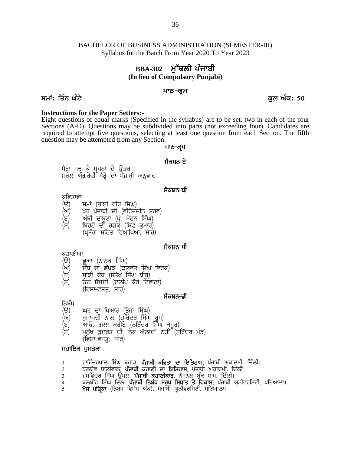# **BBA-302** ਮੱਢਲੀ ਪੰਜਾਬੀ **(In lieu of Compulsory Punjabi)**

### ਪਾਠ**-ਕੁ**ਮ

ਸਮਾਂ: ਤਿੰਨ ਘੰਟੇ ਕਿਹਾ ਕਿ ਇਹ ਕਿਸੇ ਵਿੱਚ ਕਿਹਾ ਕਿ ਇਹ ਕਿਸੇ ਵਿੱਚ ਕਿਸੇ ਵਿੱਚ ਕਿਸੇ ਵਿੱਚ ਕਿਸੇ ਵਿੱਚ ਕਿਸੇ ਵਿੱਚ ਕਿਸੇ ਵਿੱਚ ਕਿਸੇ

**Instructions for the Paper Setters:-**<br>Eight questions of equal marks (Specified in the syllabus) are to be set, two in each of the four<br>Sections (A-D). Questions may be subdivided into parts (not exceeding four). Candida Sections (A-D). Questions may be subdivided into parts (not exceeding four). Candidates are required to attempt five questions, selecting at least one question from each Section. The fifth question may be attempted from any Section. the syllabus) are to be set, two<br>led into parts (not exceeding for at least one question from each<br>**थाठ-व्यू** में<br>मैवम्<del>नठ-ष्टे</del> destions of equal marks (specified in the synals of A-D). Questions may be subdivided into j<br>a) to attempt five questions, selecting at least<br>in may be attempted from any Section.<br>a)<br>ਪਾਠ–ਕ੍ਰਮ<br>ਪੈਰ੍ਹਾ ਪੜ੍ਹ ਕੇ ਪ੍ਰਸ਼ਨਾਂ ਦੇ ਉੱ

(J) n zph dkp{Nk (gq'H w'jB f;zx)

# <sup>:</sup> ਪਾਠ–ਕ੍ਰਮ<br>ਮੈਕਸ਼ਨ–ਏ<br>ਸੈਕਸ਼ਨ–ਏ<br>ਸੈਕਸ਼ਨ–ਬੀ

- ਕਵਿਤਾਵਾਂ<br>*(*ੳ) ਸਮਾਂ (ਭਾਈ ਵੀਰ ਸਿੰਘ)
- (ਅ) ਖ਼ੈਰ ਪੰਜਾਬੀ ਦੀ (ਫ਼ੀਰੋਜ਼ਦੀਨ ਸਰਫ਼)
- 
- (ਸ) ਬਿਰਹੋਂ ਦੀ ਰੜਕ (ਸ਼ਿਵ ਕੁਮਾਰ)
	- (ਪਸੰਗ ਸਹਿਤ ਵਿਆਖਿਆ; ਸਾਰ)

# **; ?eff**<br>ਸੈਕਸ਼ਨ<del>-</del>ਸੀ<br><sup>ਸੈਕਸ਼ਨ-ਸੀ</sup>

# ਕਹਾਣੀਆਂ<br>(ੳ) ਭ

- 
- (ੳ) ਭੂਆ (ਨਾਨਕ ਸਿੰਘ)<br>(ਅ) ਦੱਧ ਦਾ ਛੱਪੜ (ਕਲਵੰਤ ਸਿੰਘ ਵਿਰਕ)
- (ੲ) ਸਾਂਝੀ ਕੰਧ (ਸੰਤੋਖ ਸਿੰਘ ਧੀਰ)
- (c) ਅੰਬੀ ਦਾਕੂਟਾਂ (ਪ੍ਰ. ਸੋਹਨ ਜਿੰਘ)<br>(ਸ) ਬਿਰਹੋਂ ਦੀ ਰੜਕ (ਸ਼ਿਵ ਕੁਮਾਰ)<br>- (ਪ੍ਰਸੰਗ ਸਹਿਤ ਵਿਆਖਿਆ, ਸਾਰ)<br>ਕਹਾਣੀਆਂ<br>(ੳ) ਭੂਆ (ਨਾਨਕ ਸਿੰਘ)<br>(ਅ) ਦੁੱਧ ਦਾ ਛੱਪੜ (ਕੁਲਵੰਤ ਸਿੰਘ ਵਿਰਕ)<br>(ਸ) ਉਹ ਸੋਚਦੀ (ਦਲੀਪ ਕੌਰ ਟਿਵਾਣਾ)<br>(ਸ) ਉਹ ਸੋਚਦੀ (ਦਲੀਪ ਕੌਰ (ਸ) ਉਹ ਸੋਚਦੀ (ਦਲੀਪ ਕੋਰ ਟਿਵਾਣਾ)<br>(ਵਿਸ਼ਾ-ਵਸਤ: ਸਾਰ) <sub>-</sub><br>ਭੂਆ (ਨਾਨਕ ਸਿੰਘ)<br>ਦੁੱਧ ਦਾ ਛੱਪੜ (ਕੁਲਵੰਤ ਸਿੰਘ ਵਿਰਕ)<br>ਸਾਂਝੀ ਕੰਧ (ਸੰਤੋਖ ਸਿੰਘ ਧੀਰ)<br>ਉਹ ਸੋਚਦੀ (ਦਲੀਪ ਕੌਰ ਟਿਵਾਣਾ)<br>(ਵਿਸ਼ਾ-ਵਸਤੂ<sub>;</sub> ਸਾਰ)<br>ਘਰ ਦਾ ਪਿਆਰ (ਤੇਜਾ ਸਿੰਘ)<br>ਘਰ ਦਾ ਪਿਆਰ (ਤੇਜਾ ਸਿੰਘ)

- ਨਿਬੰਧ<br>(ੳ)
- (ੳ) ਘਰ ਦਾ ਪਿਆਰ (ਤੇਜਾ ਸਿੰਘ)<br>(ਅ) ਖ਼ਸ਼ਾਮਦੀ ਨਾਲ (ਹਰਿੰਦਰ ਸਿੰਘ (ਅ) ਮੁਸ਼ਾਮਦੀ ਨਾਲ (ਹਰਿੰਦਰ ਸਿੰਘ ਰੂਪ) <sub>ਪ</sub>
- 
- (ੲ) ਅਾਓ, ਗੱਲਾਂ ਕਰੀਏ (ਨਰਿੰਦਰ ਸਿੰੰਘ ਕਪੂਰ)<br>(ਸ) ਮਨੁੱਖ ਕੁਦਰਤ ਦੀ 'ਨੇਕ ਔਲਾਦ' ਨਹੀਂ (ਸੁਰਿੰਦਰ ਮੰਡ) (ਸ) ਦੂਹ ਸਚਦਾ (ਦਲਾਕ ਕਰ ਵਿਵਾਣਾ)<br>(ਵਿਸ਼ਾ–ਵਸਤੂ; ਸਾਰ) **ਸੈਕਸ਼ਨ–ਡੀ**<br>ਨਿਬੰਧ<br>(ੳ) ਘਰ ਦਾ ਪਿਆਰ (ਤੇਜਾ ਸਿੰਘ)<br>(ਅ) ਖ਼ੁਸ਼ਾਮਦੀ ਨਾਲ (ਹਰਿੰਦਰ ਸਿੰਘ ਰੂਪ)<br>(ੲ) ਆਓ, ਗੱਲਾਂ ਕਰੀਏ (ਨਰਿੰਦਰ ਸਿੰਘ ਕਪੂਰ)<br>(ਸ) ਮਨੁੱਖ ਕੁਦਰਤ ਦੀ 'ਨੇਕ ਔਲਾਦ' ਨਹੀਂ (ਸੁਰਿੰਦਰ ਮੰਡ)<br>ਸਹਾਇਕ (ਵਿਸ਼ਾ–ਵਸਤ; ਸਾਰ) ਨਿਬੰਧ<br>(ੳ) ਘਰ ਦਾ ਪਿਆਰ (ਤੇਜਾ ਸਿੰਘ)<br>(ਅ) ਖ਼ੁਸ਼ਾਮਦੀ ਨਾਲ (ਹਰਿੰਦਰ ਸਿੰਘ<br>(ੲ) ਆਓ, ਗੱਲਾਂ ਕਰੀਏ (ਨਰਿੰਦਰ ਸ਼ਿੰ<br>(ਸ) ਮਨੁੱਖ ਕੁਦਰਤ ਦੀ 'ਨੇਕ ਔਲਾਦ<br>ਸ**ਹਾਇਕ ਪੁਸਤਕਾਂ**<br>ਸ**ਹਾਇਕ ਪੁਸਤਕਾਂ**<br>1. ਰਾਜਿੰਦਰਪਾਲ ਸਿੰਘ ਬਰਾੜ, **ਪੰਜਾਬੀ** (ਅ) - ਬੁਸ਼ਾਸਦਾ ਨਾਲ (ਹੀਰਦਰ ਸਿੰਘ ਰੂਪ)<br>(ੲ) - ਆਓ, ਗੱਲਾਂ ਕਰੀਏ (ਨਰਿੰਦਰ ਸਿੰਘ ਕਪੂਰ)<br>(ਸ) - ਮਨੁੱਖ ਕੁਦਰਤ ਦੀ 'ਨੋਕ ਔਲਾਦ' ਨਹੀਂ (ਸੁਰਿੰਦਰ ਮੰਡ)<br>**ਸਹਾਇਕ ਪੁਸਤਕਾਂ**<br>1. - ਰਾਜਿੰਦਰਪਾਲ ਸਿੰਘ ਬਰਾੜ, **ਪੰਜਾਬੀ ਕਵਿਤਾ ਦਾ ਇਤਿਹਾਸ**, ਪੰਜਾਬੀ ਅਕਾਦਮੀ, ਦਿੱਲੀ।<br>2. (ੲ) ਆਓ, ਗਲਾ ਕੋਗੋੲ (ਨੀਰਦੋਰ ਸਿੰਘ ਕਪੂਰੇ)<br>(ਸ) ਮਨੁੱਖ ਕੁਦਰਤ ਦੀ 'ਨੋਕ ਔਲਾਦ' ਨਹੀਂ (ਸੁਰਿੰਦਰ ਮੰਡ)<br>ਸ**ਹਾਇਕ ਪੁਸਤਕਾਂ**<br>1. ਰਾਜਿੰਦਰਪਾਲ ਸਿੰਘ ਬਰਾੜ, **ਪੰਜਾਬੀ ਕਵਿਤਾ ਦਾ ਇਤਿਹਾਸ**, ਪੰਜਾਬੀ ਅਕਾਦਮੀ, ਦਿੱਲੀ।<br>2. ਬਲਦੇਵ ਧਾਲੀਵਾਲ, **ਪੰਜਾਬੀ ਕਹਾਣੀ ਦਾ ਇ** (ਸ) ਮਨੁਖ ਕੁਦਰਤ ਦਾ ਨਕ ਅਲਾਦ ਨਹਾ (ਸੁਰਿਦਰ ਮਡ)<br>ਸ**ਹਾਇਕ ਪੁਸਤਕਾਂ**<br>ਸ**ਹਾਇਕ ਪੁਸਤਕਾਂ**<br>1. ਰਾਜਿੰਦਰਪਾਲ ਸਿੰਘ ਬਰਾੜ, **ਪੰਜਾਬੀ ਕਵਿਤਾ ਦਾ ਇਤਿਹਾਸ**, ਪੰਜਾਬੀ ਅਕਾਦਮੀ, ਦਿੱਲੀ।<br>2. ਜਸਵਿੰਦਰ ਸਿੰਘ ਉੱਪਲ, **ਪੰਜਾਬੀ ਕਹਾਣੀਕਾਰ**, ਨੈਸ਼ਨਲ ਬੁੱਕ ਸ਼ਾਪ, ਦਿੱਲ

- 
- 
- 
- (ਵਿਸ਼ਾ–ਵਸਤੂ; ਸਾਰ)<br>**ਸਹਾਇਕ ਪੁਸਤਕਾਂ**<br>1. ਗਜੰਦਰਪਾਲ ਸਿੰਘ ਬਰਾੜ, **ਪੰਜਾਬੀ ਕਵਿਤਾ ਦਾ ਇਤਿਹਾਸ**, ਪੰਜਾਬੀ ਅਕਾਦਮੀ, ਦਿੱਲੀ।<br>2. ਬਲਦੇਵ ਧਾਲੀਵਾਲ, **ਪੰਜਾਬੀ ਕਹਾਣੀਕਾਰ,** ਨੈਸ਼ਨਲ ਬੁੱਕ ਸ਼ਾਪ, ਦਿੱਲੀ।<br>3. ਜਸਵਿੰਦਰ ਸਿੰਘ ਉੱਪਲ, **ਪੰਜਾਬੀ ਕਹਾਣੀਕਾਰ**, ਨ **ਸਹਾਇਕ ਪੁਸਤਕਾਂ**<br>1. ਰਾਜਿੰਦਰਪਾਲ ਸਿੰਘ ਬਰਾੜ, **ਪੰਜਾਬੀ ਕਵਿਤਾ ਦਾ ਇਤਿਹਾਸ**, ਪੰਜਾਬੀ ਅਕਾਦਮੀ, ਦਿੱਲੀ।<br>2. ਬਲਦੇਵ ਧਾਲੀਵਾਲ, **ਪੰਜਾਬੀ ਕਹਾਣੀ ਦਾ ਇਤਿਹਾਸ**, ਪੰਜਾਬੀ ਅਕਾਦਮੀ, ਦਿੱਲੀ।<br>3. ਜਸਵਿੰਦਰ ਸਿੰਘ ਉੱਪਲ, **ਪੰਜਾਬੀ ਕਹਾਣੀਕਾਰ**, ਨੈਸ਼ਨਲ ਬੁੱਕ
-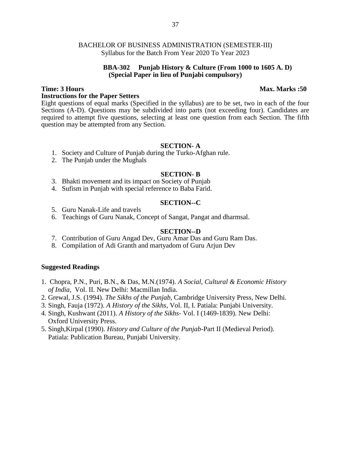### **BBA-302 Punjab History & Culture (From 1000 to 1605 A. D) (Special Paper in lieu of Punjabi compulsory)**

### **Instructions for the Paper Setters**

Eight questions of equal marks (Specified in the syllabus) are to be set, two in each of the four Sections (A-D). Questions may be subdivided into parts (not exceeding four). Candidates are required to attempt five questions, selecting at least one question from each Section. The fifth question may be attempted from any Section.

### **SECTION- A**

- 1. Society and Culture of Punjab during the Turko-Afghan rule.
- 2. The Punjab under the Mughals

### **SECTION- B**

- 3. Bhakti movement and its impact on Society of Punjab
- 4. Sufism in Punjab with special reference to Baba Farid.

### **SECTION--C**

- 5. Guru Nanak-Life and travels
- 6. Teachings of Guru Nanak, Concept of Sangat, Pangat and dharmsal.

### **SECTION--D**

- 7. Contribution of Guru Angad Dev, Guru Amar Das and Guru Ram Das.
- 8. Compilation of Adi Granth and martyadom of Guru Arjun Dev

### **Suggested Readings**

- 1. Chopra, P.N., Puri, B.N., & Das, M.N.(1974). *A Social, Cultural & Economic History of India,* Vol. II. New Delhi: Macmillan India.
- 2. Grewal, J.S. (1994). *The Sikhs of the Punjab*, Cambridge University Press, New Delhi.
- 3. Singh, Fauja (1972). *A History of the Sikhs*, Vol. II, I. Patiala: Punjabi University.
- 4. Singh, Kushwant (2011). *A History of the Sikhs-* Vol. I (1469-1839). New Delhi: Oxford University Press.
- 5. Singh,Kirpal (1990). *History and Culture of the Punjab*-Part II (Medieval Period). Patiala: Publication Bureau, Punjabi University.

### **Time: 3 Hours Max. Marks :50**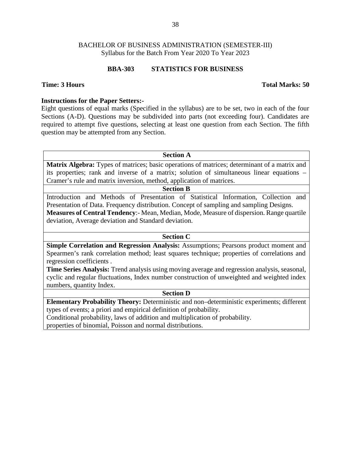### **BBA-303 STATISTICS FOR BUSINESS**

### **Time: 3 Hours Total Marks: 50**

# **Instructions for the Paper Setters:-**

Eight questions of equal marks (Specified in the syllabus) are to be set, two in each of the four Sections (A-D). Questions may be subdivided into parts (not exceeding four). Candidates are required to attempt five questions, selecting at least one question from each Section. The fifth question may be attempted from any Section.

**Section A**

**Matrix Algebra:** Types of matrices; basic operations of matrices; determinant of a matrix and its properties; rank and inverse of a matrix; solution of simultaneous linear equations – Cramer's rule and matrix inversion, method, application of matrices.

# **Section B**

Introduction and Methods of Presentation of Statistical Information, Collection and Presentation of Data. Frequency distribution. Concept of sampling and sampling Designs. **Measures of Central Tendency**:- Mean, Median, Mode, Measure of dispersion. Range quartile deviation, Average deviation and Standard deviation.

# **Section C**

**Simple Correlation and Regression Analysis:** Assumptions; Pearsons product moment and Spearmen's rank correlation method; least squares technique; properties of correlations and regression coefficients .

**Time Series Analysis:** Trend analysis using moving average and regression analysis, seasonal, cyclic and regular fluctuations, Index number construction of unweighted and weighted index numbers, quantity Index.

### **Section D**

**Elementary Probability Theory:** Deterministic and non–deterministic experiments; different types of events; a priori and empirical definition of probability.

Conditional probability, laws of addition and multiplication of probability.

properties of binomial, Poisson and normal distributions.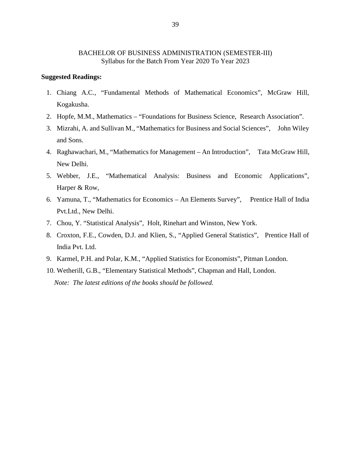### **Suggested Readings:**

- 1. Chiang A.C., "Fundamental Methods of Mathematical Economics", McGraw Hill, Kogakusha.
- 2. Hopfe, M.M., Mathematics "Foundations for Business Science, Research Association".
- 3. Mizrahi, A. and Sullivan M., "Mathematics for Business and Social Sciences", John Wiley and Sons.
- 4. Raghawachari, M., "Mathematics for Management An Introduction", Tata McGraw Hill, New Delhi.
- 5. Webber, J.E., "Mathematical Analysis: Business and Economic Applications", Harper & Row,
- 6. Yamuna, T., "Mathematics for Economics An Elements Survey", Prentice Hall of India Pvt.Ltd., New Delhi.
- 7. Chou, Y. "Statistical Analysis", Holt, Rinehart and Winston, New York.
- 8. Croxton, F.E., Cowden, D.J. and Klien, S., "Applied General Statistics", Prentice Hall of India Pvt. Ltd.
- 9. Karmel, P.H. and Polar, K.M., "Applied Statistics for Economists", Pitman London.
- 10. Wetherill, G.B., "Elementary Statistical Methods", Chapman and Hall, London. *Note: The latest editions of the books should be followed.*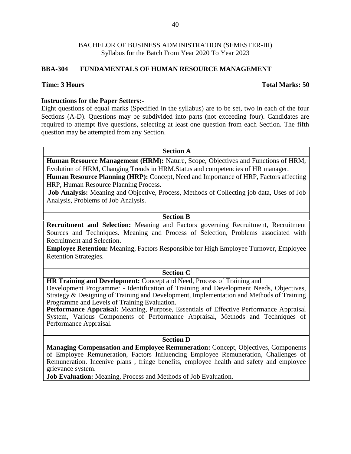# **BBA-304 FUNDAMENTALS OF HUMAN RESOURCE MANAGEMENT**

### **Time: 3 Hours Total Marks: 50**

# **Instructions for the Paper Setters:-**

Eight questions of equal marks (Specified in the syllabus) are to be set, two in each of the four Sections (A-D). Questions may be subdivided into parts (not exceeding four). Candidates are required to attempt five questions, selecting at least one question from each Section. The fifth question may be attempted from any Section.

**Section A**

**Human Resource Management (HRM):** Nature, Scope, Objectives and Functions of HRM, Evolution of HRM, Changing Trends in HRM.Status and competencies of HR manager. **Human Resource Planning (HRP):** Concept, Need and Importance of HRP, Factors affecting

HRP, Human Resource Planning Process.

**Job Analysis:** Meaning and Objective, Process, Methods of Collecting job data, Uses of Job Analysis, Problems of Job Analysis.

### **Section B**

**Recruitment and Selection:** Meaning and Factors governing Recruitment, Recruitment Sources and Techniques. Meaning and Process of Selection, Problems associated with Recruitment and Selection.

**Employee Retention:** Meaning, Factors Responsible for High Employee Turnover, Employee Retention Strategies.

# **Section C**

**HR Training and Development:** Concept and Need, Process of Training and

Development Programme: - Identification of Training and Development Needs, Objectives, Strategy & Designing of Training and Development, Implementation and Methods of Training Programme and Levels of Training Evaluation.

**Performance Appraisal:** Meaning, Purpose, Essentials of Effective Performance Appraisal System, Various Components of Performance Appraisal, Methods and Techniques of Performance Appraisal.

### **Section D**

**Managing Compensation and Employee Remuneration:** Concept, Objectives, Components of Employee Remuneration, Factors Influencing Employee Remuneration, Challenges of Remuneration. Incenive plans , fringe benefits, employee health and safety and employee grievance system.

**Job Evaluation:** Meaning, Process and Methods of Job Evaluation.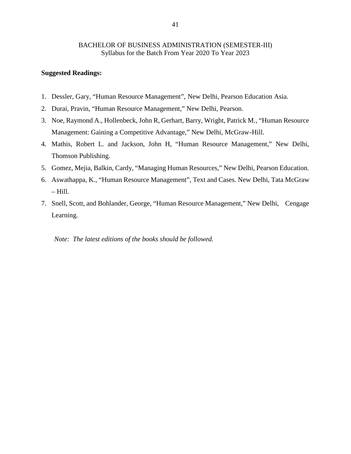### **Suggested Readings:**

- 1. Dessler, Gary, "Human Resource Management", New Delhi, Pearson Education Asia.
- 2. Durai, Pravin, "Human Resource Management," New Delhi, Pearson.
- 3. Noe, Raymond A., Hollenbeck, John R, Gerhart, Barry, Wright, Patrick M., "Human Resource Management: Gaining a Competitive Advantage," New Delhi, McGraw-Hill.
- 4. Mathis, Robert L. and Jackson, John H, "Human Resource Management," New Delhi, Thomson Publishing.
- 5. Gomez, Mejia, Balkin, Cardy, "Managing Human Resources," New Delhi, Pearson Education.
- 6. Aswathappa, K., "Human Resource Management", Text and Cases. New Delhi, Tata McGraw – Hill.
- 7. Snell, Scott, and Bohlander, George, "Human Resource Management," New Delhi, Cengage Learning.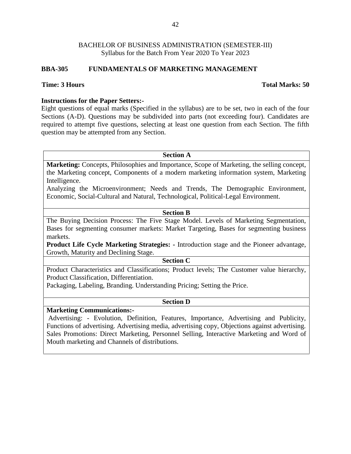# **BBA-305 FUNDAMENTALS OF MARKETING MANAGEMENT**

### **Time: 3 Hours Total Marks: 50**

# **Instructions for the Paper Setters:-**

Eight questions of equal marks (Specified in the syllabus) are to be set, two in each of the four Sections (A-D). Questions may be subdivided into parts (not exceeding four). Candidates are required to attempt five questions, selecting at least one question from each Section. The fifth question may be attempted from any Section.

**Section A**

**Marketing:** Concepts, Philosophies and Importance, Scope of Marketing, the selling concept, the Marketing concept, Components of a modern marketing information system, Marketing Intelligence.

Analyzing the Microenvironment; Needs and Trends, The Demographic Environment, Economic, Social-Cultural and Natural, Technological, Political-Legal Environment.

### **Section B**

The Buying Decision Process: The Five Stage Model. Levels of Marketing Segmentation, Bases for segmenting consumer markets: Market Targeting, Bases for segmenting business markets.

**Product Life Cycle Marketing Strategies: -** Introduction stage and the Pioneer advantage, Growth, Maturity and Declining Stage.

### **Section C**

Product Characteristics and Classifications; Product levels; The Customer value hierarchy, Product Classification, Differentiation.

Packaging, Labeling, Branding. Understanding Pricing; Setting the Price.

### **Section D**

# **Marketing Communications:-**

Advertising: - Evolution, Definition, Features, Importance, Advertising and Publicity, Functions of advertising. Advertising media, advertising copy, Objections against advertising. Sales Promotions: Direct Marketing, Personnel Selling, Interactive Marketing and Word of Mouth marketing and Channels of distributions.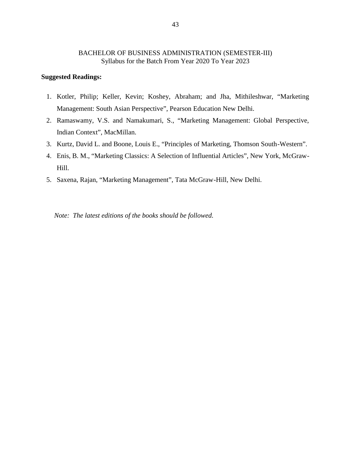### **Suggested Readings:**

- 1. Kotler, Philip; Keller, Kevin; Koshey, Abraham; and Jha, Mithileshwar, "Marketing Management: South Asian Perspective", Pearson Education New Delhi.
- 2. Ramaswamy, V.S. and Namakumari, S., "Marketing Management: Global Perspective, Indian Context", MacMillan.
- 3. Kurtz, David L. and Boone, Louis E., "Principles of Marketing, Thomson South-Western".
- 4. Enis, B. M., "Marketing Classics: A Selection of Influential Articles", New York, McGraw- Hill.
- 5. Saxena, Rajan, "Marketing Management", Tata McGraw-Hill, New Delhi.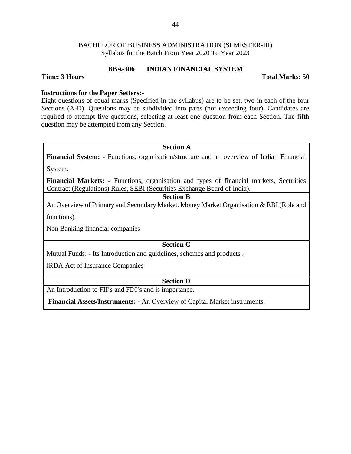### **BBA-306 INDIAN FINANCIAL SYSTEM**

### **Time: 3 Hours Total Marks: 50**

### **Instructions for the Paper Setters:-**

Eight questions of equal marks (Specified in the syllabus) are to be set, two in each of the four Sections (A-D). Questions may be subdivided into parts (not exceeding four). Candidates are required to attempt five questions, selecting at least one question from each Section. The fifth question may be attempted from any Section.

### **Section A**

**Financial System: -** Functions, organisation/structure and an overview of Indian Financial

System.

**Financial Markets: -** Functions, organisation and types of financial markets, Securities Contract (Regulations) Rules, SEBI (Securities Exchange Board of India).

### **Section B**

An Overview of Primary and Secondary Market. Money Market Organisation & RBI (Role and

functions).

Non Banking financial companies

**Section C**

Mutual Funds: - Its Introduction and guidelines, schemes and products .

IRDA Act of Insurance Companies

### **Section D**

An Introduction to FII's and FDI's and is importance.

**Financial Assets/Instruments: -** An Overview of Capital Market instruments.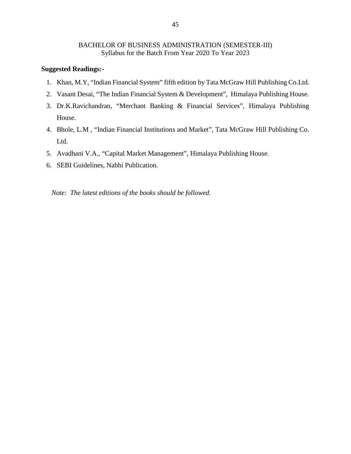### **Suggested Readings:-**

- 1. Khan, M.Y, "Indian Financial System" fifth edition by Tata McGraw Hill Publishing Co.Ltd.
- 2. Vasant Desai, "The Indian Financial System & Development", Himalaya Publishing House.
- 3. Dr.K.Ravichandran, "Merchant Banking & Financial Services", Himalaya Publishing House.
- 4. Bhole, L.M , "Indian Financial Institutions and Market", Tata McGraw Hill Publishing Co. Ltd.
- 5. Avadhani V.A., "Capital Market Management", Himalaya Publishing House.
- 6. SEBI Guidelines, Nabhi Publication.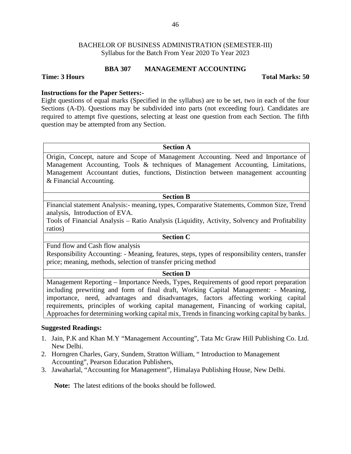### **BBA 307 MANAGEMENT ACCOUNTING**

### **Time: 3 Hours Total Marks: 50**

### **Instructions for the Paper Setters:-**

Eight questions of equal marks (Specified in the syllabus) are to be set, two in each of the four Sections (A-D). Questions may be subdivided into parts (not exceeding four). Candidates are required to attempt five questions, selecting at least one question from each Section. The fifth question may be attempted from any Section.

### **Section A**

Origin, Concept, nature and Scope of Management Accounting. Need and Importance of Management Accounting, Tools & techniques of Management Accounting, Limitations, Management Accountant duties, functions, Distinction between management accounting & Financial Accounting.

### **Section B**

Financial statement Analysis:- meaning, types, Comparative Statements, Common Size, Trend analysis, Introduction of EVA.

Tools of Financial Analysis – Ratio Analysis (Liquidity, Activity, Solvency and Profitability ratios)

# **Section C**

Fund flow and Cash flow analysis

Responsibility Accounting: - Meaning, features, steps, types of responsibility centers, transfer price; meaning, methods, selection of transfer pricing method

### **Section D**

Management Reporting – Importance Needs, Types, Requirements of good report preparation including prewriting and form of final draft, Working Capital Management: - Meaning, importance, need, advantages and disadvantages, factors affecting working capital requirements, principles of working capital management, Financing of working capital, Approaches for determining working capital mix, Trends in financing working capital by banks.

### **Suggested Readings:**

- 1. Jain, P.K and Khan M.Y "Management Accounting", Tata Mc Graw Hill Publishing Co. Ltd. New Delhi.
- 2. Horngren Charles, Gary, Sundem, Stratton William, " Introduction to Management Accounting", Pearson Education Publishers,
- 3. Jawaharlal, "Accounting for Management", Himalaya Publishing House, New Delhi.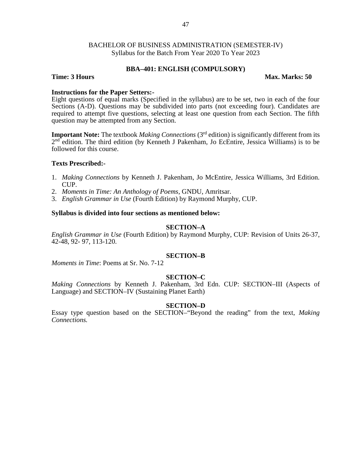### **BBA–401: ENGLISH (COMPULSORY)**

### **Time: 3 Hours Max. Marks: 50**

### **Instructions for the Paper Setters:-**

Eight questions of equal marks (Specified in the syllabus) are to be set, two in each of the four Sections (A-D). Questions may be subdivided into parts (not exceeding four). Candidates are required to attempt five questions, selecting at least one question from each Section. The fifth question may be attempted from any Section.

**Important Note:** The textbook *Making Connections* (3rd edition) is significantly different from its 2<sup>nd</sup> edition. The third edition (by Kenneth J Pakenham, Jo EcEntire, Jessica Williams) is to be followed for this course.

### **Texts Prescribed:-**

- 1. *Making Connections* by Kenneth J. Pakenham, Jo McEntire, Jessica Williams, 3rd Edition. CUP.
- 2. *Moments in Time: An Anthology of Poems*, GNDU, Amritsar.
- 3. *English Grammar in Use* (Fourth Edition) by Raymond Murphy, CUP.

### **Syllabus is divided into four sections as mentioned below:**

### **SECTION–A**

*English Grammar in Use* (Fourth Edition) by Raymond Murphy, CUP: Revision of Units 26-37, 42-48, 92- 97, 113-120.

### **SECTION–B**

*Moments in Time*: Poems at Sr. No. 7-12

### **SECTION–C**

*Making Connections* by Kenneth J. Pakenham, 3rd Edn. CUP: SECTION–III (Aspects of Language) and SECTION–IV (Sustaining Planet Earth)

### **SECTION–D**

Essay type question based on the SECTION–"Beyond the reading" from the text, *Making Connections.*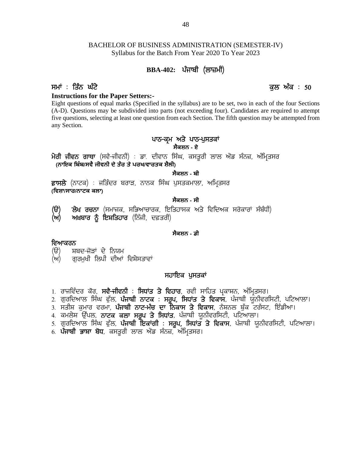# BACHELOR OF BUSINESS ADMINISTRATION (SEMESTER-IV) Syllabus for the Batch From Year 2020 To Year 2023 **BBA-402: g zikph (bk}wh) EXECUTE BUSINESS ADMINISTRATION (SEMESTER-IV)**<br>Syllabus for the Batch From Year 2020 To Year 2023<br>**BBA-402:** ਪੰਜਾਬੀ (ਲਾਜ਼ਮੀ)<br>**PHI** : ਤਿੰਨ ਘੰਟੇ<br>**Eight questions for the Paper Setters:-**<br>Eight questions of equal marks (Spe

### **Instructions for the Paper Setters:-**

Eight questions of equal marks (Specified in the syllabus) are to be set, two in each of the four Sections (A-D). Questions may be subdivided into parts (not exceeding four). Candidates are required to attempt five questions, selecting at least one question from each Section. The fifth question may be attempted from any Section. -<br>ied in the syllabus) are to be set, two in a<br>to parts (not exceeding four). Candidates<br>stion from each Section. The fifth questio<br>ਪਾਠ-ਕ੍ਰਮ ਅਤੇ ਪਾਠ-ਪੁਸਤਕਾਂ<br>ਸੈਕਸ਼ਨ - ਏ<br>ਦੀਵਾਨ ਸਿੰਘ ਕਸਤਰੀ ਲਾਲ ਐਂਡ ਸੰਨਜ  $\frac{L_2}{L_1}$  duestions of equal marks (specified in the synaous) are to be set, two in each of the four sections<br>(A-D). Questions may be subdivided into parts (not exceeding four). Candidates are required to attempt<br>fiv

# **ਸੈਕਸ਼ਨ - ਏ**

**ਪਾਠ-ਕ੍ਰਮ ਅਤ**<br>ਸੈਕਸ਼ਨ<br>(ਗਾਇਕ ਬਿੰਬ/ਸਵੈ ਜੀਵਨੀ ਦੇ ਤੇਰ ਤੇ ਪਰਖ/ਵਾਰਤਕ ਸ਼ੈਲੀ)<br>(ਨਾਇਕ ਬਿੰਬ/ਸਵੈ ਜੀਵਨੀ ਦੇ ਤੇਰ ਤੇ ਪਰਖ/ਵਾਰਤਕ ਸ਼ੈਲੀ)<br>ਅਸਲੇ (ਨਾਟਕ) : ਜਤਿੰਦਰ ਬਰਾਤ ਨਾਨਕ ਸਿੰਘ ਪਸਤਰ ਪਾਠ-ਕ੍ਰਮ ਅਤੇ ਪਾਠ-ਪੁਸਤਕਾਂ<br>ਮੈਰੀ ਜੀਵਨ ਗਾਥਾ (ਸਵੈ-ਜੀਵਨੀ) : ਡਾ. ਦੀਵਾਨ ਸਿੰਘ, ਕਸਤੂਰੀ ਲਾਲ ਐਂਡ ਸੰਨਜ਼,<br>(ਨਾਇਕ ਬਿੰਬ/ਸਵੈ ਜੀਵਨੀ ਦੇ ਤੇਰ ਤੇ ਪਰਖ/ਵਾਰਤਕ ਸ਼ੈਲੀ)<br>ਫ਼ਾਸਲੇ (ਨਾਟਕ) : ਜਤਿੰਦਰ ਬਰਾੜ, ਨਾਨਕ ਸਿੰਘ ਪੁਸਤਕਮਾਲਾ, ਅਮ੍ਰਿਤਸਰ<br>(ਵਿਸ਼ਾ/ਸਾਰ/ਨਾਟਕ ਕਲਾ)<br>

# **ਸੈਕਸ਼ਨ - ਬੀ**

**(ਿਵਸ਼ਾ/ਸਾਰ/ਨਾਟਕ ਕਲਾ)**

### **ਸੈਕਸ਼ਨ - ਸੀ**

ਮਗ ਜ਼ਿਵਨ ਗਾਂਧਾ (ਸੰਵਜ਼ਜ਼ਿਵਨ) : ਡਾ. ਦਵਿਸ਼ਨ ਸਿੰਘ, ਕੰਸਤੂਗ ਲਾਲ ਅੰਡ ਸਨਜ਼, ਅਮ੍ਰਿਤਸਰ<br>(**ਨਾਇਕ ਬਿੰਬ/ਸਵੈ ਜੀਵਨੀ ਦੇ ਤੈਰ ਤੇ ਪਰਖ/ਵਾਰਤਕ ਸ਼ੈਲੀ)<br>ਫ਼ਾਸਲੇ (ਨਾਟਕ) : ਜਤਿੰਦਰ ਬਰਾੜ, ਨਾਨਕ ਸਿੰਘ ਪੁਸਤਕਮਾਲਾ, ਅਮ੍ਰਿਤਸਰ<br>(ਵਿਸ਼ਾ<mark>/ਸਾਰ/ਨਾਟਕ ਕਲਾ)</mark><br>(***ਚੋ***) ਲੇਖ ਰ (ਅ) ਅਖ਼ਬਾਰ ਨੂੰ ਇਸ਼ਤਿਹਾਰ** (ਨਿੱਜੀ, ਦਫ਼ਤਰੀ) (**ੳ) ਲੇਖ ਰਚਨਾ** (ਸਮਾਜਕ, ਸਭਿਆਚਾਰਕ, ਇਤਿਗ<br>(ਅ) ਅਖ਼<mark>ਬਾਰ ਨੂੰ ਇਸ਼ਤਿਹਾਰ</mark> (ਨਿੱਜੀ, ਦਫ਼ਤਰੀ)<br>ਵਿਆਕਰਨ<br>(ੳ) ਸ਼ਬਦ-ਜੋੜਾਂ ਦੇ ਨਿਯਮ<br>(ਅ) ਗੁਰਮੁਖੀ ਲਿਪੀ ਦੀਆਂ ਵਿਸ਼ੇਸਤਾਵਾਂ

### **ਸੈਕਸ਼ਨ - ਡੀ**

- **ਵਿਆਕਰਨ**<br>*(*ੳ) ਸ਼ਬਦ<del>-ਜੋ</del>ੜਾਂ ਦੇ ਨਿਯਮ
- (ਅ) ਗਰਮਖੀ ਲਿਪੀ ਦੀਆਂ ਵਿਸ਼ੇਸਤਾਵਾਂ

### ਸਹਾਇਕ ਪਸਤਕਾ<u>ਂ</u>

- 
- **ਵਿਆਕਰਨ**<br>(ੳ) ਸ਼ਬਦ-ਜੋੜਾਂ ਦੇ ਨਿਯਮ<br>(ਅ) ਗੁਰਮੁਖੀ ਲਿਪੀ ਦੀਆਂ ਵਿਸ਼ੇਸਤਾਵਾਂ<br>1. ਰਾਜਵਿੰਦਰ ਕੋਰ, **ਸਵੈ-ਜੀਵਨੀ : ਸਿਧਾਂਤ ਤੇ ਵਿਹਾਰ**, ਰਵੀ ਸਾਹਿਤ ਪ੍ਰਕਾਸ਼ਨ, ਅੰਮ੍ਰਿਤਸਰ।<br>2. ਗੁਰਦਿਆਲ ਸਿੰਘ ਫੁੱਲ, **ਪੰਜਾਬੀ ਨਾਟਕ : ਸਰੂਪ, ਸਿਧਾਂਤ ਤੇ ਵਿਕਾਸ**, ਪੰਜਾਬੀ ਯੂਨੀਵਰਸ (ੳ) ਸ਼ਬਦ-ਜੋੜਾਂ ਦੇ ਨਿਯਮ<br>(ਅ) ਗੁਰਮੁਖੀ ਲਿਪੀ ਦੀਆਂ ਵਿਸ਼ੇਸਤਾਵਾਂ<br>1. ਰਾਜਵਿੰਦਰ ਕੋਰ, **ਸਵੈ-ਜੀਵਨੀ : ਸਿਧਾਂਤ ਤੇ ਵਿਹਾਰ**, ਰਵੀ ਸਾਹਿਤ ਪ੍ਰਕਾਸ਼ਨ, ਅੰਮ੍ਰਿਤਸਰ।<br>2. ਗੁਰਦਿਆਲ ਸਿੰਘ ਫੁੱਲ, **ਪੰਜਾਬੀ ਨਾਟਕ : ਸਰੂਪ, ਸਿਧਾਂਤ ਤੇ ਵਿਕਾਸ**, ਪੰਜਾਬੀ ਯੂਨੀਵਰਸਿਟੀ, ਪਟਿ (ਅ) ਗੁਰਮੁਖੀ ਲਿਪੀ ਦੀਆਂ ਵਿਸ਼ੇਸਤਾਵਾਂ<br>**1. ਰਾਜਵਿੰਦਰ ਕੋਰ, ਸਵੈ<del>-ਜੀਵ</del>ਨੀ : ਸਿਧਾਂਤ ਤੇ ਵਿਹਾਰ, ਰ**ਵੀ ਸਾਹਿਤ ਪ੍ਰਕਾਸ਼ਨ, ਅੰਮ੍ਰਿਤਸਰ।<br>2. ਗੁਰਦਿਆਲ ਸਿੰਘ ਫੁੱਲ, **ਪੰਜਾਬੀ ਨਾਟਕ : ਸਰੂਪ, ਸਿਧਾਂਤ ਤੇ ਵਿਕਾਸ**, ਪੰਜਾਬੀ ਯੂਨੀਵਰਸਿਟੀ, ਪਟਿਆਲਾ।<br>3. ਸਤੀਸ਼ ਕੁਮਾਰ ਵਰ ਮ ਰਾਜਵਿੰਦਰ ਕੌਰ, **ਸਵੈ-ਜੀਵਨੀ : ਸਿਧਾਂਤ ਤੇ ਵਿਹਾਰ**, ਰਵੀ ਸਾਹਿਤ ਪ੍ਰਕਾਸ਼ਨ, ਅੰਮ੍ਰਿਤਸਰ।<br>1. ਰਾਜਵਿੰਦਰ ਕੌਰ, **ਸਵੈ-ਜੀਵਨੀ : ਸਿਧਾਂਤ ਤੇ ਵਿਹਾਰ, ਰ**ਵੀ ਸਾਹਿਤ ਪ੍ਰਕਾਸ਼ਨ, ਅੰਮ੍ਰਿਤਸਰ।<br>3. ਸਤੀਸ਼ ਕੁਮਾਰ ਵਰਮਾ, **ਪੰਜਾਬੀ ਨਾਟ-ਮੰਚ ਦਾ ਨਿਕਾਸ ਤੇ ਵਿਕਾਸ**, ਨੰਸ਼ਨਲ **ਸਹਾਇਕ ਪੁਸਤਕਾਂ**<br>1. ਰਾਜਵਿੰਦਰ ਕੋਰ, **ਸਵੈ-ਜੀਵਨੀ : ਸਿਧਾਂਤ ਤੇ ਵਿਹਾਰ**, ਰਵੀ ਸਾਹਿਤ ਪ੍ਰਕਾਸ਼ਨ, ਅੰਮ੍ਰਿਤਸਰ।<br>2. ਗੁਰਦਿਆਲ ਸਿੰਘ ਫੁੱਲ, **ਪੰਜਾਬੀ ਨਾਟ-ਮੰਚ ਦਾ ਨਿਕਾਸ ਤੇ ਵਿਕਾਸ**, ਪੰਜਾਬੀ ਯੂਨੀਵਰਸਿਟੀ, ਪਟਿਆਲਾ।<br>4. ਕਮਲੇਸ਼ ਉੱਪਲ, **ਨਾਟਕ ਕਲਾ ਸਰੂਪ ਤੇ ਸਿਧਾਂਤ** 1. ਰਾਜਵਿੰਦਰ ਕੋਰ, **ਸਵ<del>ੈ ਜ</del>ੀਵਨੀ : ਸਿਧਾਂਤ ਤੇ ਵਿਹਾਰ**, ਰਵੀ ਸਾਹਿਤ ਪ੍ਰਕਾਸ਼ਨ, ਅੰਮ੍ਰਿਤਾ<br>2. ਗੁਰਦਿਆਲ ਸਿੰਘ ਫੁੱਲ, **ਪੰਜਾਬੀ ਨਾਟਕ : ਸਰੂਪ, ਸਿਧਾਂਤ ਤੇ ਵਿਕਾਸ**, ਪੰਜਾਬੀ ਯੂਨੀ<br>3. ਸਤੀਸ਼ ਕੁਮਾਰ ਵਰਮਾ, **ਪੰਜਾਬੀ ਨਾਟ-ਮੰਚ ਦਾ ਨਿਕਾਸ ਤੇ ਵਿਕਾਸ**, ਨੈਸ਼ਨਲ ਬੁੱਕ
- 
- 
- 
-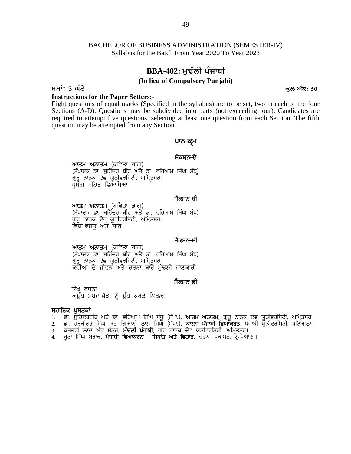# **BBA-402: ਮਢੱਲੀ ਪੰਜਾਬੀ**

### **(In lieu of Compulsory Punjabi)**

# **smW: 3 GMty kul AMk: 50**

**Instructions for the Paper Setters:-**

Eight questions of equal marks (Specified in the syllabus) are to be set, two in each of the four Sections (A-D). Questions may be subdivided into parts (not exceeding four). Candidates are required to attempt five questions, selecting at least one question from each Section. The fifth question may be attempted from any Section. led into parts (not exceee<sub>)</sub><br>i at least one question from<br>**-<br>भारा-न्यूभ**<br>मैवम्नर<del>ु रे</del><br>मिंथ मँयू)

# ਪਾਠ<del>-</del>ਕਮ

**ਆਤਮ ਅਨਾਤਮ** (ਕਵਿਤਾ ਭਾਗ)<br>(ਸੰਪਾਦਕ ਡਾ. ਸਹਿੰਦਰ ਬੀਰ ਅਤੇ ਡਾ. ਵਰਿਆਮ ਸਿੰਘ ਸੰਧ<u>)</u> h may be attempted nom any section.<br>• ਪਾਠ–ਕ੍ਰਮ<br>ਅਾਤਮ ਅਨਾਤਮ (ਕਵਿਤਾ ਭਾਗ)<br>(ਸੰਪਾਦਕ ਡਾ. ਸੁਹਿੰਦਰ ਬੀਰ ਅਤੇ ਡਾ. ਵਰਿਆਮ ਸਿੰਘ ਸੰਧ੍ਰ)<br>ਗੁਰੂ ਨਾਨਕ ਦੇਵ ਯੂਨੀਵਰਸਿਟੀ, ਅੰਮ੍ਰਿਤਸਰ।<br>ਪ੍ਰਸੰਗ ਸਹਿਤ ਵਿਆਖਿਆ ਸੈਕਸ਼ਨ<del>-ਏ</del><br>ਸਿੰਘ ਸੰਧ੍ਰ<sup>)</sup><br>ਸੈਕਸ਼ਨ<del>-ਬੀ</del><br>ਸਿੰਘ ਸੰਧ੍ਰ<sup>)</sup>

**ਆਤਮ ਅਨਾਤਮ** (ਕਵਿਤਾ ਭਾਗ)<br>(ਸੰਪਾਦਕ ਡਾ. ਸੁਹਿੰਦਰ ਬੀਰ ਅਤੇ ਡਾ. ਵਰਿਆਮ ਸਿੰਘ ਸੰਧ<u>)</u> (ਸੰਪਾਦਕ ਡਾ. ਸੁਹਿੰਦਰ ਬੀਰ ਅਤੇ ਡਾ. ਵਰਿਆਮ ਸਿੰਘ ਸੰਧ੍ਰ)<br>ਗੁਰੂ ਨਾਨਕ ਦੇਵ ਯੂਨੀਵਰਸਿਟੀ, ਅੰਮ੍ਰਿਤਸਰ।<br>ਪ੍ਰਸੰਗ ਸਹਿਤ ਵਿਆਖਿਆ<br>**ਅਾਤਮ ਅਨਾਤਮ** (ਕਵਿਤਾ ਭਾਗ)<br>(ਸੰਪਾਦਕ ਡਾ. ਸੁਹਿੰਦਰ ਬੀਰ ਅਤੇ ਡਾ. ਵਰਿਆਮ ਸਿੰਘ ਸੰਧ੍ਰ)<br>ਗੁਰੂ ਨਾਨਕ ਦੇਵ ਯੂਨੀਵਰਸਿਟੀ, ਅੰਮ੍ਰਿਤਸਰ।<br>ਵਿ ਗੁਰੂ ਨਾਨਕ ਦੇਵ ਯੂਨੀਵਰਸਿਟੀ, ਅੰਮ੍ਰਿਤਸਰ।<br>ਵਿਸ਼ਾ–ਵਸਤ ਅਤੇ ਸਾਰ ਸੈਕਸ਼ਨ<del>-ਬੀ</del><br>ਸਿੰਘ ਸੰਧ੍ਰ<sup>)</sup><br>ਸੈਕਸ਼ਨ<del>-</del>ਸੀ<br>ਸਿੰਘ ਸੰਧ੍ਰ<sup>)</sup>

**ਆਤਮ ਅਨਾਤਮ** (ਕਵਿਤਾ ਭਾਗ)<br>(ਸੰਪਾਦਕ ਡਾ. ਸੁਹਿੰਦਰ ਬੀਰ ਅਤੇ ਡਾ. ਵਰਿਆਮ ਸਿੰਘ ਸੰਧ<u>)</u> (ਸੰਪਾਦਕ ਡਾ. ਸੁਹਿੰਦਰ ਬੀਰ ਅਤੇ ਡਾ. ਵਰਿਆਮ ਸਿੰਘ ਸੰਧ੍ਰ)<br>ਗੁਰੂ ਨਾਨਕ ਦੇਵ ਯੂਨੀਵਰਸਿਟੀ, ਅੰਮ੍ਰਿਤਸਰ।<br>ਵਿਸ਼ਾ-ਵਸਤੂ ਅਤੇ ਸਾਰ<br>(ਸੰਪਾਦਕ ਡਾ. ਸੁਹਿੰਦਰ ਬੀਰ ਅਤੇ ਡਾ. ਵਰਿਆਮ ਸਿੰਘ ਸੰਧ੍ਰ)<br>ਗੁਰੂ ਨਾਨਕ ਦੇਵ ਯੂਨੀਵਰਸਿਟੀ, ਅੰਮ੍ਰਿਤਸਰ।<br>ਕਵੀਆਂ ਦੇ ਜੀਵਨ ਅਤੇ ਰਚਨਾ ਬਾਰੇ ਸੈਕਸ਼ਨ<del>-</del>ਸੀ<br>ਸਿੰਘ ਸੰਧ੍ਰ<sup>)</sup><br>ਜਾਣਕਾਰੀ<br>ਸੈਕਸ਼ਨ<del>-ਡੀ</del> **ਅ'ਤਮ ਅਨਾਤਮ** (ਕੀਵਤਾ ਭਾਗ)<br>(ਸੰਪਾਦਕ ਡਾ. ਸੁਹਿੰਦਰ ਬੀਰ ਅਤੇ ਡਾ. ਵਰਿਆਮ ਸਿੰਘ ਸੰਧ੍ਰ)<br>ਗੁਰੂ ਨਾਨਕ ਦੇਵ ਯੂਨੀਵਰਸਿਟੀ, ਅੰਮ੍ਰਿਤਸਰ।<br>ਕਵੀਆਂ ਦੇ ਜੀਵਨ ਅਤੇ ਰਚਨਾ ਬਾਰੇ ਮੁੱਢਲੀ ਜਾਣਕਾਰੀ<br>ਲੇਖ ਰਚਨਾ<br>ਅਸ਼ੁੱਧ ਸ਼ਬਦ-ਜੋੜਾਂ ਨੂੰ ਸ਼ੁੱਧ ਕਰਕੇ ਲਿਖਣਾ<br>**ਪੁਸਤਕਾਂ** 

ਲੇਖ ਰਚਨਾ<br>ਅਸ਼ੁੱਧ ਸ਼ਬਦ<del>-</del>ਜੋੜਾਂ ਨੂੰ ਸ਼ੁੱਧ ਕਰਕੇ ਲਿਖਣਾ ਗੁਰੂ ਨਾਨਕ ਦਵ ਯੂਨਾਵਗਸਟਾ, ਅ<br>ਕਵੀਆਂ ਦੇ ਜੀਵਨ ਅਤੇ ਰਚਨਾ<br>ਅਸ਼ੁੱਧ ਸ਼ਬਦ-ਜੋੜਾਂ ਨੂੰ ਸ਼ੁੱਧ ਕਰਕੇ<br>ਸ**ਹਾਇਕ ਪੁਸਤਕਾਂ**<br>1. ਡਾ. ਸੁਹਿੰਦਰਬੀਰ ਅਤੇ ਡਾ. ਵਰਿਆਮ 1<br>2. ਡਾ. ਹਰਕੀਰਤ ਸਿੰਘ ਅਤੇ ਗਿਆਨੀ ਲੂ

**ੱ**ਲੇਖ ਰਚਨਾ<br>ਅਸ਼ੁੱਧ ਸ਼ਬਦ-ਜੋੜਾਂ ਨੂੰ ਸ਼ੁੱਧ ਕਰਕੇ ਲਿਖਣਾ<br>ਸ**ਹਾਇਕ ਪੁਸਤਕਾਂ**<br>1. ਡਾ. ਸੁਹਿੰਦਰਬੀਰ ਅਤੇ ਡਾ. ਵਰਿਆਮ ਸਿੰਘ ਸੰਧੂ (ਸੰਪਾ.), **ਆਤਮ ਅਨਾਤਮ**, ਗੁਰੂ ਨਾਨਕ ਦੇਵ ਯੂਨੀਵਰਸਿਟੀ, ਅੰਮ੍ਰਿਤਸਰ।<br>2. ਡਾ. ਹਰਕੀਰਤ ਸਿੰਘ ਅਤੇ ਗਿਆਨੀ ਲਾਲ ਸਿੰਘ (ਸੰਪਾ.), **ਕਾ** ਼ ਲੇਖ ਰਚਨਾ<br>ਅਸ਼ੁੱਧ ਸ਼ਬਦ-ਜੋੜਾਂ ਨੂੰ ਸ਼ੁੱਧ ਕਰਕੇ ਲਿਖਣਾ<br>1. ਡਾ. ਸੁਹਿੰਦਰਬੀਰ ਅਤੇ ਡਾ. ਵਰਿਆਮ ਸਿੰਘ ਸੰਧੂ (ਸੰਪਾ.), **ਆਤਮ ਅਨਾਤਮ**, ਗੁਰੂ ਨਾਨਕ ਦੇਵ ਯੂਨੀਵਰਸਿਟੀ, ਅੰਮ੍ਰਿਤਸਰ।<br>2. ਡਾ. ਸੁਹਿੰਦਰਬੀਰ ਅਤੇ ਡਾ. ਵਰਿਆਮ ਸਿੰਘ ਸੰਧੂ (ਸੰਪਾ.), **ਕਾਲਜ ਪੰਜਾਬੀ ਵਿਆਕਰ** ਲੇਖ ਰਚਨਾ<br>ਅਸ਼ੁੱਧ ਸ਼ਬਦ-ਜੋੜਾਂ ਨੂੰ ਸ਼ੁੱਧ ਕਰਕੇ ਲਿਖਣਾ<br>1. ਡਾ. ਸੁਹਿੰਦਰਬੀਰ ਅਤੇ ਡਾ. ਵਰਿਆਮ ਸਿੰਘ ਸੰਧੂ (ਸੰਪਾ.), **ਆਤਮ ਅਨਾਤਮ**, ਗੁਰੂ ਨਾਨਕ ਦੇਵ ਯੂਨੀ<br>2. ਡਾ. ਹਰਕੀਰਤ ਸਿੰਘ ਅਤੇ ਗਿਆਨੀ ਲਾਲ ਸਿੰਘ (ਸੰਪਾ.), **ਕਾਲਜ ਪੰਜਾਬੀ ਵਿਆਕਰਨ**, ਪੰਜਾਬੀ ਯੂਨੀ<u>ਂ</u><br>3. ਕਸ ਅਸੁੱਧ ਸ਼ਬਦ-ਜੋੜਾਂ ਨੂੰ ਸ਼ੁੱਧ ਕਰਕੇ ਲਿਖਣਾ<br>ਸ**ਹਾਇਕ ਪੁਸਤਕਾਂ**<br>1. ਡਾ. ਸੁਹਿੰਦਰਬੀਰ ਅਤੇ ਡਾ. ਵਰਿਆਮ ਸਿੰਘ ਸੰਧੂ (ਸੰਪਾ.), **ਆਤਮ ਅਨਾਤਮ,** ਗੁਰੂ ਨਾਨਕ ਦੇਵ ਯੂ<br>2. ਡਾ. ਹਰਕੀਰਤ ਸਿੰਘ ਅਤੇ ਗਿਆਨੀ ਲਾਲ ਸਿੰਘ (ਸੰਪਾ.), **ਕਾਲਜ ਪੰਜਾਬੀ ਵਿਆਕਰਨ**, ਪੰਜਾਬੀ ਯੂ<br>3. ਕਸਤ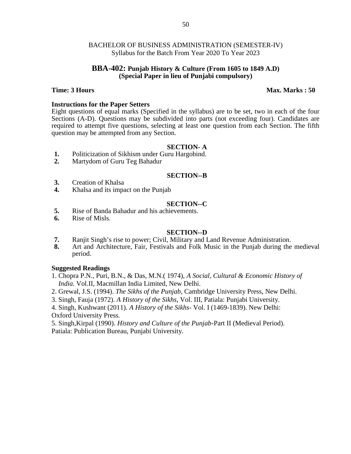### **BBA-402: Punjab History & Culture (From 1605 to 1849 A.D) (Special Paper in lieu of Punjabi compulsory)**

### **Time: 3 Hours Max. Marks : 50**

### **Instructions for the Paper Setters**

Eight questions of equal marks (Specified in the syllabus) are to be set, two in each of the four Sections (A-D). Questions may be subdivided into parts (not exceeding four). Candidates are required to attempt five questions, selecting at least one question from each Section. The fifth question may be attempted from any Section.

### **SECTION- A**

- 1. Politicization of Sikhism under Guru Hargobind.<br>2. Martydom of Guru Teg Bahadur
- **2.** Martydom of Guru Teg Bahadur

### **SECTION--B**

- **3.** Creation of Khalsa
- **4.** Khalsa and its impact on the Punjab

### **SECTION--C**

- **5.** Rise of Banda Bahadur and his achievements.
- **6.** Rise of Misls.

### **SECTION--D**

- **7.** Ranjit Singh's rise to power; Civil, Military and Land Revenue Administration.
- **8.** Art and Architecture, Fair, Festivals and Folk Music in the Punjab during the medieval period.

### **Suggested Readings**

- 1. Chopra P.N., Puri, B.N., & Das, M.N.( 1974), *A Social, Cultural & Economic History of India.* Vol.II, Macmillan India Limited, New Delhi.
- 2. Grewal, J.S. (1994). *The Sikhs of the Punjab*, Cambridge University Press, New Delhi.
- 3. Singh, Fauja (1972). *A History of the Sikhs*, Vol. III, Patiala: Punjabi University.
- 4. Singh, Kushwant (2011). *A History of the Sikhs-* Vol. I (1469-1839). New Delhi: Oxford University Press.

5. Singh,Kirpal (1990). *History and Culture of the Punjab*-Part II (Medieval Period). Patiala: Publication Bureau, Punjabi University.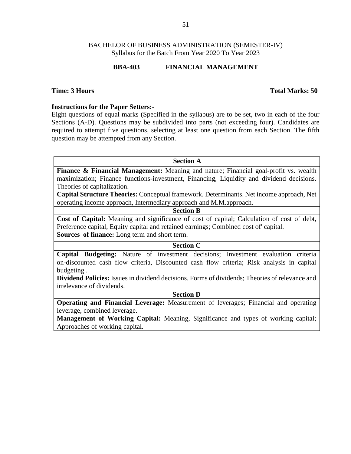### **BBA-403 FINANCIAL MANAGEMENT**

### **Time: 3 Hours Total Marks: 50**

### **Instructions for the Paper Setters:-**

Eight questions of equal marks (Specified in the syllabus) are to be set, two in each of the four Sections (A-D). Questions may be subdivided into parts (not exceeding four). Candidates are required to attempt five questions, selecting at least one question from each Section. The fifth question may be attempted from any Section.

**Section A Finance & Financial Management:** Meaning and nature; Financial goal-profit vs. wealth maximization; Finance functions-investment, Financing, Liquidity and dividend decisions. Theories of capitalization. **Capital Structure Theories:** Conceptual framework. Determinants. Net income approach, Net operating income approach, Intermediary approach and M.M.approach. **Section B Cost of Capital:** Meaning and significance of cost of capital; Calculation of cost of debt, Preference capital, Equity capital and retained earnings; Combined cost of' capital. **Sources of finance:** Long term and short term. **Section C Capital Budgeting:** Nature of investment decisions; Investment evaluation criteria on-discounted cash flow criteria, Discounted cash flow criteria; Risk analysis in capital budgeting .

**Dividend Policies:** Issues in dividend decisions. Forms of dividends; Theories of relevance and irrelevance of dividends.

### **Section D**

**Operating and Financial Leverage:** Measurement of leverages; Financial and operating leverage, combined leverage.

**Management of Working Capital:** Meaning, Significance and types of working capital; Approaches of working capital.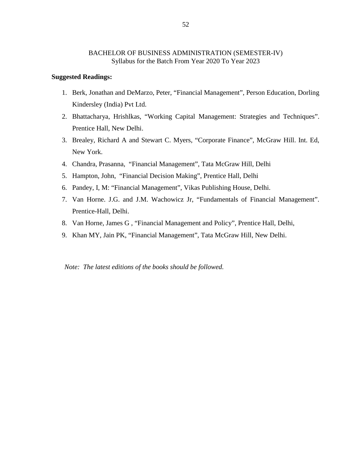### **Suggested Readings:**

- 1. Berk, Jonathan and DeMarzo, Peter, "Financial Management", Person Education, Dorling Kindersley (India) Pvt Ltd.
- 2. Bhattacharya, Hrishlkas, "Working Capital Management: Strategies and Techniques". Prentice Hall, New Delhi.
- 3. Brealey, Richard A and Stewart C. Myers, "Corporate Finance", McGraw Hill. Int. Ed, New York.
- 4. Chandra, Prasanna, "Financial Management", Tata McGraw Hill, Delhi
- 5. Hampton, John, "Financial Decision Making", Prentice Hall, Delhi
- 6. Pandey, I, M: "Financial Management", Vikas Publishing House, Delhi.
- 7. Van Horne. J.G. and J.M. Wachowicz Jr, "Fundamentals of Financial Management". Prentice-Hall, Delhi.
- 8. Van Horne, James G , "Financial Management and Policy", Prentice Hall, Delhi,
- 9. Khan MY, Jain PK, "Financial Management", Tata McGraw Hill, New Delhi.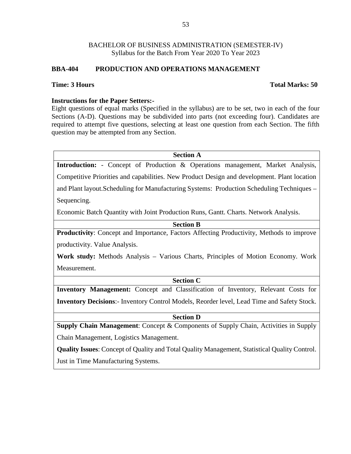# **BBA-404 PRODUCTION AND OPERATIONS MANAGEMENT**

# **Time: 3 Hours Total Marks: 50**

# **Instructions for the Paper Setters:-**

Eight questions of equal marks (Specified in the syllabus) are to be set, two in each of the four Sections (A-D). Questions may be subdivided into parts (not exceeding four). Candidates are required to attempt five questions, selecting at least one question from each Section. The fifth question may be attempted from any Section.

| <b>Section A</b>                                                                                     |
|------------------------------------------------------------------------------------------------------|
| Introduction: - Concept of Production & Operations management, Market Analysis,                      |
| Competitive Priorities and capabilities. New Product Design and development. Plant location          |
| and Plant layout. Scheduling for Manufacturing Systems: Production Scheduling Techniques -           |
| Sequencing.                                                                                          |
| Economic Batch Quantity with Joint Production Runs, Gantt. Charts. Network Analysis.                 |
| <b>Section B</b>                                                                                     |
| <b>Productivity:</b> Concept and Importance, Factors Affecting Productivity, Methods to improve      |
| productivity. Value Analysis.                                                                        |
| <b>Work study:</b> Methods Analysis – Various Charts, Principles of Motion Economy. Work             |
| Measurement.                                                                                         |
| <b>Section C</b>                                                                                     |
| Inventory Management: Concept and Classification of Inventory, Relevant Costs for                    |
| Inventory Decisions:- Inventory Control Models, Reorder level, Lead Time and Safety Stock.           |
| <b>Section D</b>                                                                                     |
| <b>Supply Chain Management:</b> Concept & Components of Supply Chain, Activities in Supply           |
| Chain Management, Logistics Management.                                                              |
| <b>Quality Issues:</b> Concept of Quality and Total Quality Management, Statistical Quality Control. |
| Just in Time Manufacturing Systems.                                                                  |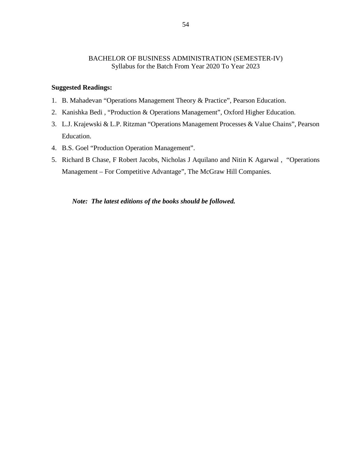### **Suggested Readings:**

- 1. B. Mahadevan "Operations Management Theory & Practice", Pearson Education.
- 2. Kanishka Bedi , "Production & Operations Management", Oxford Higher Education.
- 3. L.J. Krajewski & L.P. Ritzman "Operations Management Processes & Value Chains", Pearson Education.
- 4. B.S. Goel "Production Operation Management".
- 5. Richard B Chase, F Robert Jacobs, Nicholas J Aquilano and Nitin K Agarwal , "Operations Management – For Competitive Advantage", The McGraw Hill Companies.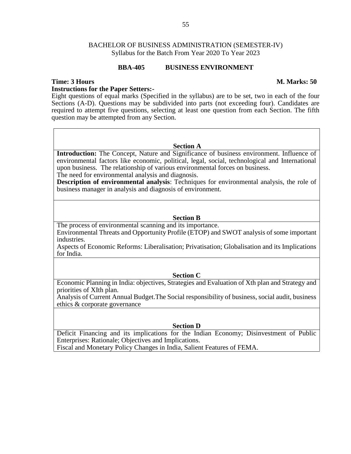### **BBA-405 BUSINESS ENVIRONMENT**

### **Time: 3 Hours M. Marks: 50**

### **Instructions for the Paper Setters:-**

Eight questions of equal marks (Specified in the syllabus) are to be set, two in each of the four Sections (A-D). Questions may be subdivided into parts (not exceeding four). Candidates are required to attempt five questions, selecting at least one question from each Section. The fifth question may be attempted from any Section.

### **Section A**

**Introduction:** The Concept, Nature and Significance of business environment. Influence of environmental factors like economic, political, legal, social, technological and International upon business. The relationship of various environmental forces on business. The need for environmental analysis and diagnosis.

**Description of environmental analysis**: Techniques for environmental analysis, the role of business manager in analysis and diagnosis of environment.

### **Section B**

The process of environmental scanning and its importance. Environmental Threats and Opportunity Profile (ETOP) and SWOT analysis of some important industries.

Aspects of Economic Reforms: Liberalisation; Privatisation; Globalisation and its Implications for India.

### **Section C**

Economic Planning in India: objectives, Strategies and Evaluation of Xth plan and Strategy and priorities of XIth plan.

Analysis of Current Annual Budget.The Social responsibility of business, social audit, business ethics & corporate governance

### **Section D**

Deficit Financing and its implications for the Indian Economy; Disinvestment of Public Enterprises: Rationale; Objectives and Implications.

Fiscal and Monetary Policy Changes in India, Salient Features of FEMA.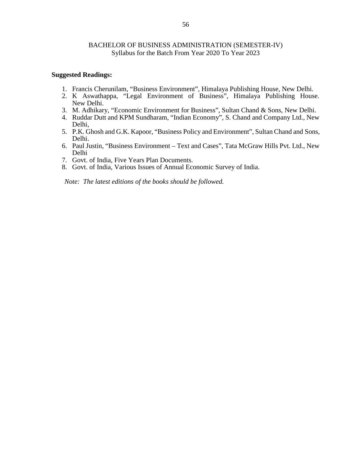### **Suggested Readings:**

- 1. Francis Cherunilam, "Business Environment", Himalaya Publishing House, New Delhi.
- 2. K Aswathappa, "Legal Environment of Business", Himalaya Publishing House. New Delhi.
- 3. M. Adhikary, "Economic Environment for Business", Sultan Chand & Sons, New Delhi.
- 4. Ruddar Dutt and KPM Sundharam, "Indian Economy", S. Chand and Company Ltd., New Delhi,
- 5. P.K. Ghosh and G.K. Kapoor, "Business Policy and Environment", Sultan Chand and Sons, Delhi.
- 6. Paul Justin, "Business Environment Text and Cases", Tata McGraw Hills Pvt. Ltd., New Delhi
- 7. Govt. of India, Five Years Plan Documents.
- 8. Govt. of India, Various Issues of Annual Economic Survey of India.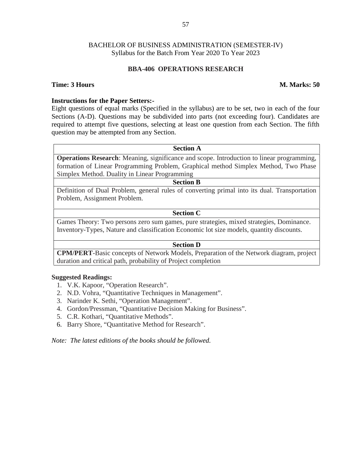### **BBA-406 OPERATIONS RESEARCH**

### **Time: 3 Hours M. Marks: 50**

# **Instructions for the Paper Setters:-**

Eight questions of equal marks (Specified in the syllabus) are to be set, two in each of the four Sections (A-D). Questions may be subdivided into parts (not exceeding four). Candidates are required to attempt five questions, selecting at least one question from each Section. The fifth question may be attempted from any Section.

**Section A Operations Research**: Meaning, significance and scope. Introduction to linear programming, formation of Linear Programming Problem, Graphical method Simplex Method, Two Phase Simplex Method. Duality in Linear Programming

Definition of Dual Problem, general rules of converting primal into its dual. Transportation Problem, Assignment Problem.

**Section B**

### **Section C**

Games Theory: Two persons zero sum games, pure strategies, mixed strategies, Dominance. Inventory-Types, Nature and classification Economic lot size models, quantity discounts.

### **Section D**

**CPM/PERT**-Basic concepts of Network Models, Preparation of the Network diagram, project duration and critical path, probability of Project completion

### **Suggested Readings:**

- 1. V.K. Kapoor, "Operation Research".
- 2. N.D. Vohra, "Quantitative Techniques in Management".
- 3. Narinder K. Sethi, "Operation Management".
- 4. Gordon/Pressman, "Quantitative Decision Making for Business".
- 5. C.R. Kothari, "Quantitative Methods".
- 6. Barry Shore, "Quantitative Method for Research".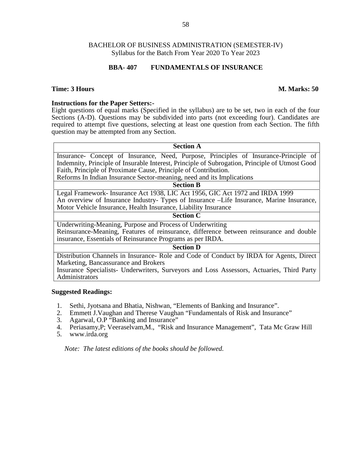### **BBA- 407 FUNDAMENTALS OF INSURANCE**

### **Time: 3 Hours M. Marks: 50**

### **Instructions for the Paper Setters:-**

Eight questions of equal marks (Specified in the syllabus) are to be set, two in each of the four Sections (A-D). Questions may be subdivided into parts (not exceeding four). Candidates are required to attempt five questions, selecting at least one question from each Section. The fifth question may be attempted from any Section.

| <b>Section A</b>                                                                               |
|------------------------------------------------------------------------------------------------|
| Insurance- Concept of Insurance, Need, Purpose, Principles of Insurance-Principle of           |
| Indemnity, Principle of Insurable Interest, Principle of Subrogation, Principle of Utmost Good |
| Faith, Principle of Proximate Cause, Principle of Contribution.                                |
| Reforms In Indian Insurance Sector-meaning, need and its Implications                          |
| <b>Section B</b>                                                                               |
| Legal Framework-Insurance Act 1938, LIC Act 1956, GIC Act 1972 and IRDA 1999                   |
| An overview of Insurance Industry- Types of Insurance - Life Insurance, Marine Insurance,      |
| Motor Vehicle Insurance, Health Insurance, Liability Insurance                                 |
| <b>Section C</b>                                                                               |
| Underwriting-Meaning, Purpose and Process of Underwriting                                      |
| Reinsurance-Meaning, Features of reinsurance, difference between reinsurance and double        |
| insurance, Essentials of Reinsurance Programs as per IRDA.                                     |
| <b>Section D</b>                                                                               |

Distribution Channels in Insurance- Role and Code of Conduct by IRDA for Agents, Direct Marketing, Bancassurance and Brokers

Insurance Specialists- Underwriters, Surveyors and Loss Assessors, Actuaries, Third Party Administrators

### **Suggested Readings:**

- 1. Sethi, Jyotsana and Bhatia, Nishwan, "Elements of Banking and Insurance".<br>2. Emmett J. Vaughan and Therese Vaughan "Fundamentals of Risk and Insurance".
- 2. Emmett J.Vaughan and Therese Vaughan "Fundamentals of Risk and Insurance"
- 3. Agarwal, O.P "Banking and Insurance"
- 4. Periasamy,P; Veeraselvam,M., "Risk and Insurance Management", Tata Mc Graw Hill
- 5. www.irda.org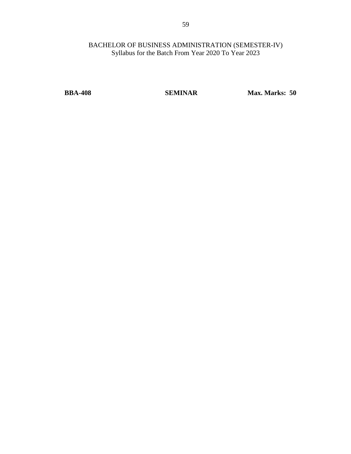**BBA-408 SEMINAR Max. Marks: 50**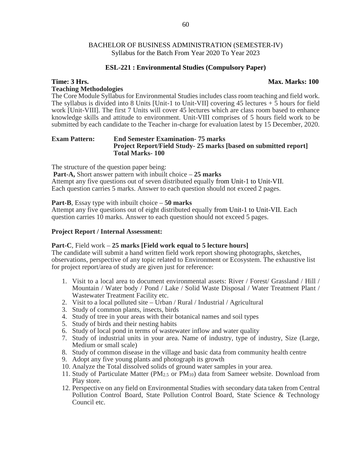### **ESL-221 : Environmental Studies (Compulsory Paper)**

### **Time: 3 Hrs. Max. Marks: 100 Teaching Methodologies**

The Core Module Syllabus for Environmental Studies includes class room teaching and field work. The syllabus is divided into 8 Units [Unit-1 to Unit-VII] covering 45 lectures + 5 hours for field work [Unit-VIII]. The first 7 Units will cover 45 lectures which are class room based to enhance knowledge skills and attitude to environment. Unit-VIII comprises of 5 hours field work to be submitted by each candidate to the Teacher in-charge for evaluation latest by 15 December, 2020.

### **Exam Pattern: End Semester Examination- 75 marks Project Report/Field Study- 25 marks [based on submitted report] Total Marks- 100**

The structure of the question paper being:

**Part-A,** Short answer pattern with inbuilt choice – **25 marks** Attempt any five questions out of seven distributed equally from Unit-1 to Unit-VII. Each question carries 5 marks. Answer to each question should not exceed 2 pages.

**Part-B**, Essay type with inbuilt choice – **50 marks**

Attempt any five questions out of eight distributed equally from Unit-1 to Unit-VII. Each question carries 10 marks. Answer to each question should not exceed 5 pages.

### **Project Report / Internal Assessment:**

### **Part-C**, Field work – **25 marks [Field work equal to 5 lecture hours]**

The candidate will submit a hand written field work report showing photographs, sketches, observations, perspective of any topic related to Environment or Ecosystem. The exhaustive list for project report/area of study are given just for reference:

- 1. Visit to a local area to document environmental assets: River / Forest/ Grassland / Hill / Mountain / Water body / Pond / Lake / Solid Waste Disposal / Water Treatment Plant / Wastewater Treatment Facility etc.
- 2. Visit to a local polluted site Urban / Rural / Industrial / Agricultural
- 3. Study of common plants, insects, birds
- 4. Study of tree in your areas with their botanical names and soil types
- 5. Study of birds and their nesting habits
- 6. Study of local pond in terms of wastewater inflow and water quality
- 7. Study of industrial units in your area. Name of industry, type of industry, Size (Large, Medium or small scale)
- 8. Study of common disease in the village and basic data from community health centre
- 9. Adopt any five young plants and photograph its growth
- 10. Analyze the Total dissolved solids of ground water samples in your area.
- 11. Study of Particulate Matter ( $PM_{2.5}$  or  $PM_{10}$ ) data from Sameer website. Download from Play store.
- 12. Perspective on any field on Environmental Studies with secondary data taken from Central Pollution Control Board, State Pollution Control Board, State Science & Technology Council etc.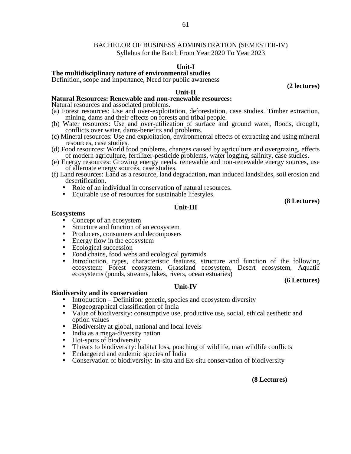# BACHELOR OF BUSINESS ADMINISTRATION (SEMESTER-IV)

Syllabus for the Batch From Year 2020 To Year 2023

### **Unit-I**

### **The multidisciplinary nature of environmental studies**

Definition, scope and importance, Need for public awareness

### **Unit-II**

### **Natural Resources: Renewable and non-renewable resources:**

Natural resources and associated problems.

- (a) Forest resources: Use and over-exploitation, deforestation, case studies. Timber extraction, mining, dams and their effects on forests and tribal people.
- (b) Water resources: Use and over-utilization of surface and ground water, floods, drought, conflicts over water, dams-benefits and problems.
- (c) Mineral resources: Use and exploitation, environmental effects of extracting and using mineral resources, case studies.
- (d) Food resources: World food problems, changes caused by agriculture and overgrazing, effects of modern agriculture, fertilizer-pesticide problems, water logging, salinity, case studies.
- (e) Energy resources: Growing energy needs, renewable and non-renewable energy sources, use of alternate energy sources, case studies.
- (f) Land resources: Land as a resource, land degradation, man induced landslides, soil erosion and
	- Role of an individual in conservation of natural resources.<br>
	 Equitable use of resources for sustainable lifestyles.
	-

**(8 Lectures)**

**(2 lectures)**

### **Unit-III**

- **Ecosystems**<br>
 Concept of an ecosystem
	- Structure and function of an ecosystem
	- Producers, consumers and decomposers<br>• Energy flow in the ecosystem
	-
	-
	- Ecological succession<br>• Food chains, food webs and ecological pyramids
	- Introduction, types, characteristic features, structure and function of the following ecosystem: Forest ecosystem, Grassland ecosystem, Desert ecosystem, Aquatic ecosystems (ponds, streams, lakes, rivers, ocean estuaries)

### **(6 Lectures)**

### **Unit-IV**

### **Biodiversity and its conservation**

- Introduction Definition: genetic, species and ecosystem diversity<br>• Biogeographical classification of India
- 
- Value of biodiversity: consumptive use, productive use, social, ethical aesthetic and option values
- Biodiversity at global, national and local levels India as a mega-diversity nation
- 
- Hot-spots of biodiversity
- Threats to biodiversity: habitat loss, poaching of wildlife, man wildlife conflicts Endangered and endemic species of India Conservation of biodiversity: In-situ and Ex-situ conservation of biodiversity
- 
- 

### **(8 Lectures)**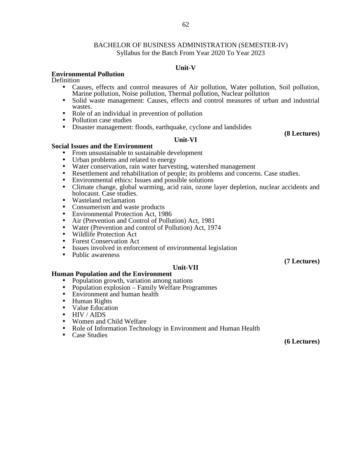### 62

### BACHELOR OF BUSINESS ADMINISTRATION (SEMESTER-IV) Syllabus for the Batch From Year 2020 To Year 2023

### **Unit-V**

### **Environmental Pollution**

**Definition** 

- Causes, effects and control measures of Air pollution, Water pollution, Soil pollution, Marine pollution, Noise pollution, Thermal pollution, Nuclear pollution
- Solid waste management: Causes, effects and control measures of urban and industrial
- Role of an individual in prevention of pollution<br>• Pollution case studies
- 
- $\bullet$  Disaster management: floods, earthquake, cyclone and landslides

**(8 Lectures)**

### **Unit-VI**

- 
- 
- **Social Issues and the Environment**<br>
 From unsustainable to sustainable development<br>
 Urban problems and related to energy<br>
 Water conservation, rain water harvesting, watershed management
	-
	-
	- Resettlement and rehabilitation of people; its problems and concerns. Case studies.<br>• Environmental ethics: Issues and possible solutions<br>• Climate change, global warming, acid rain, ozone layer depletion, nuclear accide
	- Wasteland reclamation
	-
	- Consumerism and waste products Environmental Protection Act, 1986
	- Air (Prevention and Control of Pollution) Act, 1981
	- Water (Prevention and control of Pollution) Act, 1974<br>• Wildlife Protection Act
	-
	-
	- Forest Conservation Act **Forest Conservation Act I**ssues involved in enforcement of environmental legislation
	- Public awareness

# **Unit-VII**<br>Human Population and the Environment

- **•** Population growth, variation among nations<br>
 Population explosion Family Welfare Programmes<br>
 Environment and human health
- 
- 
- Human Rights<br>• Value Education
- 
- 
- HIV / AIDS<br>• Women and Child Welfare
- Role of Information Technology in Environment and Human Health
- Case Studies

**(6 Lectures)**

**(7 Lectures)**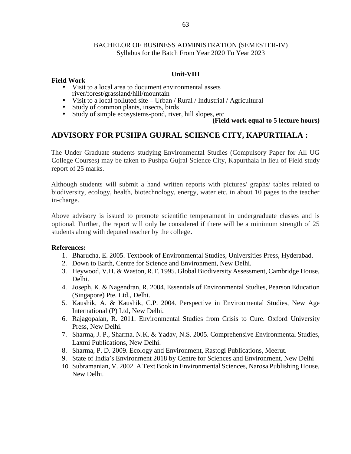# **Unit-VIII**

# **Field Work**

- Visit to a local area to document environmental assets river/forest/grassland/hill/mountain
- Visit to a local polluted site Urban / Rural / Industrial / Agricultural<br>
Study of common plants, insects, birds<br>
Study of simple ecosystems-pond, river, hill slopes, etc
- 
- 

# **(Field work equal to 5 lecture hours)**

# **ADVISORY FOR PUSHPA GUJRAL SCIENCE CITY, KAPURTHALA :**

The Under Graduate students studying Environmental Studies (Compulsory Paper for All UG College Courses) may be taken to Pushpa Gujral Science City, Kapurthala in lieu of Field study report of 25 marks.

Although students will submit a hand written reports with pictures/ graphs/ tables related to biodiversity, ecology, health, biotechnology, energy, water etc. in about 10 pages to the teacher in-charge.

Above advisory is issued to promote scientific temperament in undergraduate classes and is optional. Further, the report will only be considered if there will be a minimum strength of 25 students along with deputed teacher by the college**.**

# **References:**

- 1. Bharucha, E. 2005. Textbook of Environmental Studies, Universities Press, Hyderabad.
- 2. Down to Earth, Centre for Science and Environment, New Delhi.
- 3. Heywood, V.H. & Waston, R.T. 1995. Global Biodiversity Assessment, Cambridge House, Delhi.
- 4. Joseph, K. & Nagendran, R. 2004. Essentials of Environmental Studies, Pearson Education (Singapore) Pte. Ltd., Delhi.
- 5. Kaushik, A. & Kaushik, C.P. 2004. Perspective in Environmental Studies, New Age International (P) Ltd, New Delhi.
- 6. Rajagopalan, R. 2011. Environmental Studies from Crisis to Cure. Oxford University Press, New Delhi.
- 7. Sharma, J. P., Sharma. N.K. & Yadav, N.S. 2005. Comprehensive Environmental Studies, Laxmi Publications, New Delhi.
- 8. Sharma, P. D. 2009. Ecology and Environment, Rastogi Publications, Meerut.
- 9. State of India's Environment 2018 by Centre for Sciences and Environment, New Delhi
- 10. Subramanian, V. 2002. A Text Book in Environmental Sciences, Narosa Publishing House, New Delhi.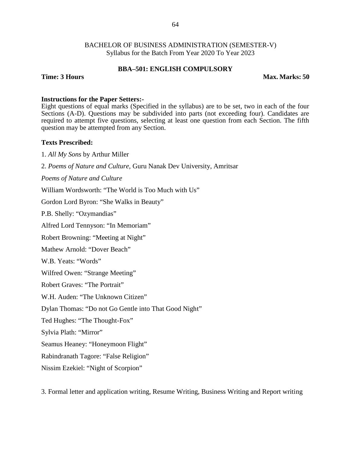### **BBA–501: ENGLISH COMPULSORY**

**Time: 3 Hours Max. Marks: 50**

### **Instructions for the Paper Setters:-**

Eight questions of equal marks (Specified in the syllabus) are to be set, two in each of the four Sections (A-D). Questions may be subdivided into parts (not exceeding four). Candidates are required to attempt five questions, selecting at least one question from each Section. The fifth question may be attempted from any Section.

### **Texts Prescribed:**

1. *All My Sons* by Arthur Miller

2. *Poems of Nature and Culture,* Guru Nanak Dev University, Amritsar

*Poems of Nature and Culture*

William Wordsworth: "The World is Too Much with Us"

Gordon Lord Byron: "She Walks in Beauty"

P.B. Shelly: "Ozymandias"

Alfred Lord Tennyson: "In Memoriam"

Robert Browning: "Meeting at Night"

Mathew Arnold: "Dover Beach"

W.B. Yeats: "Words"

Wilfred Owen: "Strange Meeting"

Robert Graves: "The Portrait"

W.H. Auden: "The Unknown Citizen"

Dylan Thomas: "Do not Go Gentle into That Good Night"

Ted Hughes: "The Thought-Fox"

Sylvia Plath: "Mirror"

Seamus Heaney: "Honeymoon Flight"

Rabindranath Tagore: "False Religion"

Nissim Ezekiel: "Night of Scorpion"

3. Formal letter and application writing, Resume Writing, Business Writing and Report writing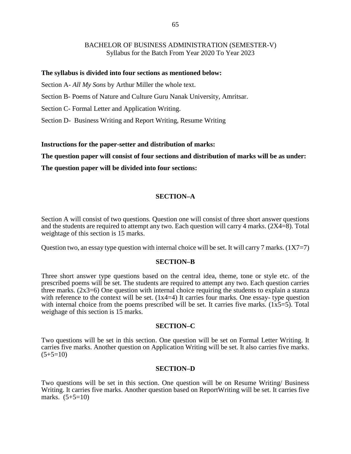### **The syllabus is divided into four sections as mentioned below:**

Section A- *All My Sons* by Arthur Miller the whole text.

Section B- Poems of Nature and Culture Guru Nanak University, Amritsar.

Section C- Formal Letter and Application Writing.

Section D- Business Writing and Report Writing, Resume Writing

### **Instructions for the paper-setter and distribution of marks:**

**The question paper will consist of four sections and distribution of marks will be as under:**

**The question paper will be divided into four sections:**

# **SECTION–A**

Section A will consist of two questions. Question one will consist of three short answer questions and the students are required to attempt any two. Each question will carry 4 marks. (2X4=8). Total weightage of this section is 15 marks.

Question two, an essay type question with internal choice will be set. It will carry 7 marks.  $(1X7=7)$ 

### **SECTION–B**

Three short answer type questions based on the central idea, theme, tone or style etc. of the prescribed poems will be set. The students are required to attempt any two. Each question carries three marks.  $(2x3=6)$  One question with internal choice requiring the students to explain a stanza with reference to the context will be set. (1x4=4) It carries four marks. One essay- type question with internal choice from the poems prescribed will be set. It carries five marks.  $(1x5=5)$ . Total weighage of this section is 15 marks.

### **SECTION–C**

Two questions will be set in this section. One question will be set on Formal Letter Writing. It carries five marks. Another question on Application Writing will be set. It also carries five marks.  $(5+5=10)$ 

### **SECTION–D**

Two questions will be set in this section. One question will be on Resume Writing/ Business Writing. It carries five marks. Another question based on ReportWriting will be set. It carries five marks.  $(5+5=10)$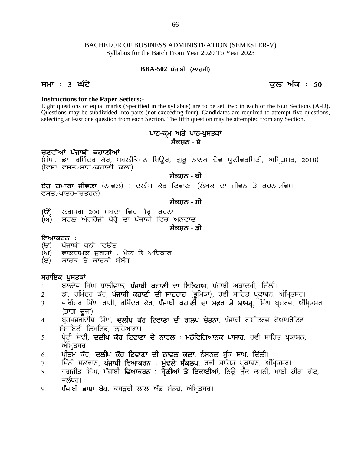# BACHELOR OF BUSINESS ADMINISTRATION (SEMESTER-V) Syllabus for the Batch From Year 2020 To Year 2023 BINESS ADMINISTRATION (the Batch From Year 2020 To Yo<br>**BBA-502 ਪੰ**ਜਾਬੀ (ਲਾਜ਼ਮੀ) BACHELOR OF BUSINESS ADMINISTRATION (SEMESTER-V)<br>Syllabus for the Batch From Year 2020 To Year 2023<br>**BBA-502 ਪੰ**ਜਾਬੀ (ਲਾਜ਼ਮੀ)<br>ਸਮਾਂ : 3 ਘੰਟੇ<br>Instructions for the Paper Setters:-

### **Instructions for the Paper Setters:-**

Eight questions of equal marks (Specified in the syllabus) are to be set, two in each of the four Sections (A-D). Questions may be subdivided into parts (not exceeding four). Candidates are required to attempt five questions, selecting at least one question from each Section. The fifth question may be attempted from any Section. ਕੁਲ<br>in the syllabus) are to be set, two in each of the fo<br>oot exceeding four). Candidates are required to atter<br>ection. The fifth question may be attempted from any<br>ਪਾਠ–ਕ੍ਰਮ ਅਤੇ ਪਾਠ–ਪੁਸਤਕਾਂ<br>ਸੈਕਸ਼ਨ - ਏ

# **ਸੈਕਸ਼ਨ - ਏ**

### ਚੋਣਵੀਆਂ ਪੰਜਾਬੀ ਕ**ਹਾਣੀਆਂ**

Questions may be subdivided into parts (not exceeding four). Candidates are required to attempt five questions,<br>selecting at least one question from each Section. The fifth question may be attempted from any Section.<br> **ਪਾ** (ਵਿਸ਼ਾ ਵਸਤੂ ∕ਸਾਰ ∕ਕਹਾਣੀ ਕਲਾ) (ਸੰਪਾ. ਡਾ. ਰਮਿੰਦਰ ਕੋਰ, ਪਬਲੀਕੇਸ਼ਨ ਬਿਊਰੋ, ਗੁਰੂ ਨਾਨਕ ਦੇਵ ਯੂਨੀਵਰਸਿਟੀ, ਅਮ੍ਰਿਤਸਰ, 2018)<br>(ਵਿਸ਼ਾ ਵਸਤੂ<sub>∕</sub>ਸਾਰ ਕਹਾਣੀ ਕਲਾ)<br>**ਏਹੁ ਹਮਾਰਾ ਜੀਵਣਾ** (ਨਾਵਲ) : ਦਲੀਪ ਕੋਰ ਟਿਵਾਣਾ (ਲੇਖਕ ਦਾ ਜੀਵਨ ਤੇ ਰਚਨਾ ਵਿਸ਼ਾ–<br>ਵਸਤ ⁄ਪਾਤਰ–ਚਿਤਰਨ)

# **ਸੈਕਸ਼ਨ - ਬੀ**

(ਵਿਸ਼ਾ ਵਸਤੂ<sub>৴</sub>ਸਾਰ৴ਕਹਾਣੀ ਕਲਾ)<br>**ਏਹੁ ਹਮਾਰਾ ਜੀਵਣਾ** (ਨਾਵਲ) : ਦਲੀਪ ਕੌਰ ਟਿਵਾਣਾ (ਲੇਖਕ ਦਾ ਜ<br>ਵਸਤੂ৴ਪਾਤਰ-ਚਿਤਰਨ)<br>(ੳ) ਲਗਪਗ 200 ਸ਼ਬਦਾਂ ਵਿਚ ਪੈਰ੍ਹਾ ਰਚਨਾ<br>(ਅ) ਸਰਲ ਅੰਗਰੇਜ਼ੀ ਪੈਰ੍ਹੇ ਦਾ ਪੰਜਾਬੀ ਵਿਚ ਅਨੁਵਾਦ<br>ਸੈਕਸ਼ਨ - ਡੀ

# **ਸੈਕਸ਼ਨ - ਸੀ**

- ੂੰ ਲਗਪਗ 200 ਸ਼ਬਦਾਂ ਵਿਚ ਪੈਰ੍ਹਾ ਰਚਨਾ<br>(ਸ਼) ਸਰਲ ਅੰਗਰੇਜ਼ੀ ਪੈਰ੍ਹੇ ਦਾ ਪੰਜਾਬੀ ਵਿਚ ਅ<br>ਵਿਆਕਰਨ :<br>(ੳ) ਪੰਜਾਬੀ ਧੁਨੀ ਵਿਉਂਤ<br>(ਅ) ਵਾਕਾਤਮਕ ਜੁਗਤਾਂ : ਮੇਲ ਤੇ ਅਧਿਕਾਰ<br>(ੲ) ਕਾਰਕ ਤੇ ਕਾਰਕੀ ਸੰਬੰਧ
- (ੳ) ਲਗਪਗ 200 ਸ਼ਬਦਾਂ ਵਿਚ ਪੈਰ੍ਹਾ ਰਚਨਾ<br>(ਅ) ਸਰਲ ਅੰਗਰੇਜ਼ੀ ਪੈਰ੍ਹੇ ਦਾ ਪੰਜਾਬੀ ਵਿਚ ਅਨੁਵਾਦ<br>ਵਿਆਕਰਨ :<br>(ੳ) ਪੰਜਾਬੀ ਧੁਨੀ ਵਿਉਂਤ<br>(ਅ) ਵਾਕਾਤਮਕ ਜੁਗਤਾਂ : ਮੇਲ ਤੇ ਅਧਿਕਾਰ<br>(ੲ) ਕਾਰਕ ਤੇ ਕਾਰਕੀ ਸੰਬੰਧ (ੳ) ਲਗਪਗ 200 ਸ਼ਬਦਾਂ ਵਿਚ ਪੈਰ੍ਹਾ ਰਚਨਾ<br>(ਅ) ਸਰਲ ਅੰਗਰੇਜ਼ੀ ਪੈਰ੍ਹੇ ਦਾ ਪੰਜਾਬੀ ਵਿਚ ਅਨੁਵਾਦ<br>ਵਿਆਕਰਨ :<br>(ੳ) ਪੰਜਾਬੀ ਧੁਨੀ ਵਿਉਂਤ<br>(ਅ) ਵਾਕਾਤਮਕ ਜੁਗਤਾਂ : ਮੇਲ ਤੇ ਅਧਿਕਾਰ<br>(ੲ) ਕਾਰਕ ਤੇ ਕਾਰਕੀ ਸੰਬੰਧ<br>ਸਹਾਇਕ ਪਸਤਕਾਂ

**ਸੈਕਸ਼ਨ - ਡੀ**

- **ਵਿਆਕਰਨ :**<br>(ੳ) ਪੰਜਾਬੀ ਧੁਨੀ ਵਿਉਂਤ
- (ਜ) ਜੁਲਤ ਜੁਲਾਤਸ਼ਜ <sub>ਗ</sub>ਹੂ ਤਾ ਪ੍ਰਜ<br>**ਵਿਆਕਰਨ :**<br>(ੳ) ਪੰਜਾਬੀ ਧੁਨੀ ਵਿਉਂਤ<br>(ਅ) ਵਾਕਾਤਮਕ ਜੁਗਤਾਂ : ਮੇਲ ਤੇ<br>(ੲ) ਕਾਰਕ ਤੇ ਕਾਰਕੀ ਸੰਬੰਧ<br>ਸਹਾਇਕ ਪੁਸਤਕਾਂ<br>1. ਬਲਦੇਵ ਸਿੰਘ ਧਾਲੀਵਾਲ, **ਪੰਜਾਬੀ**<br>2. ਡਾ. ਰਮਿੰਦਰ ਕੌਰ, ਪੰਜਾਬੀ ਕਹਾਣ
- 

- 
- 1. ਬਲਦੇਵ ਸਿੰਘ ਧਾਲੀਵਾਲ, **ਪੰਜਾਬੀ ਕਹਾਣੀ ਦਾ ਇਤਿਹਾਸ**, ਪੰਜਾਬੀ ਅਕਾਦਮੀ, ਦਿੱਲੀ।<br>2. ਡਾ. ਰਮਿੰਦਰ ਕੋਰ, **ਪੰਜਾਬੀ ਕਹਾਣੀ ਦੀ ਸ਼ਾਹਰਾਹ** (ਭੂਮਿਕਾ), ਰਵੀ ਸਾਹਿਤ ਪ੍ਰਕਾਸ਼ਨ, ਅੰਮ੍ਰਿਤਸਰ।<br>3. ਜੋਗਿੰਦਰ ਸਿੰਘ ਰਾਹੀ, ਰਮਿੰਦਰ ਕੋਰ, **ਪੰਜਾਬੀ ਕਹਾਣੀ ਦਾ ਸਫ਼**
- ਵਿਆਕਰਨ :<br>(ੳ) ਪੰਜਾਬੀ ਧੁਨੀ ਵਿਉਂਤ<br>(ਅ) ਵਾਕਾਤਮਕ ਜੁਗਤਾਂ : ਮੇਲ ਤੇ ਅਧਿਕਾਰ<br>(ੲ) ਕਾਰਕ ਤੇ ਕਾਰਕੀ ਸੰਬੰਧ<br>1. ਬਲਦੇਵ ਸਿੰਘ ਧਾਲੀਵਾਲ, **ਪੰਜਾਬੀ ਕਹਾਣੀ ਦਾ ਇਤਿਹਾਸ**, ਪੰਜਾਬੀ ਅਕਾਦਮੀ, ਦਿੱਲੀ।<br>2. ਡਾ. ਰਮਿੰਦਰ ਕੌਰ, **ਪੰਜਾਬੀ ਕਹਾਣੀ ਦੀ ਸ਼ਾਹਰਾਹ** (ਭੂਮਿਕਾ), ਰਵੀ ੱਨ) ਕਾਰਕਾਤਮਕ ਜੁਗਤਾਂ : ਮੇਲ ਤੇ ਅਧਿਕਾਰ<br>(ਅ) ਵਾਕਾਤਮਕ ਜੁਗਤਾਂ : ਮੇਲ ਤੇ ਅਧਿਕਾਰ<br>1. ਬਲਦੇਵ ਸਿੰਘ ਧਾਲੀਵਾਲ, **ਪੰਜਾਬੀ ਕਹਾਣੀ ਦਾ ਇਤਿਹਾਸ**, ਪੰਜਾਬੀ ਅਕਾਦਮੀ, ਦਿੱਲੀ।<br>1. ਬਲਦੇਵ ਸਿੰਘ ਧਾਲੀਵਾਲ, **ਪੰਜਾਬੀ ਕਹਾਣੀ ਦਾ ਇਤਿਹਾਸ**, ਪੰਜਾਬੀ ਅਕਾਦਮੀ, ਦਿੱਲੀ।<br>2. ਡਾ. ਮ**ਹਾਇਕ ਪੁਸਤਕਾਂ**<br>1. ਬਲਦੇਵ ਸਿੰਘ ਧਾਲੀਵਾਲ, **ਪੰਜਾਬੀ ਕਹਾਣੀ ਦਾ ਇਤਿਹਾਸ**, ਪੰਜਾਬੀ ਅਕਾਦਮੀ, ਦਿੱਲੀ।<br>2. ਡਾ. ਰਮਿੰਦਰ ਕੌਰ, **ਪੰਜਾਬੀ ਕਹਾਣੀ ਦੀ ਸ਼ਾਹਰਾਹ (ਭੂ**ਮਿਕਾ), ਰਵੀ ਸਾਹਿਤ ਪ੍ਰਕਾਸ਼ਨ, ਅੰਮ੍ਰਿਤਸਰ।<br>3. ਜੋਗਿੰਦਰ ਸਿੰਘ ਰਾਹੀ, ਰਮਿੰਦਰ ਕੌਰ, **ਪੰਜਾਬੀ** 1. ਬਲਦੇਵ ਸਿੰਘ ਧਾਲੀਵਾਲ, **ਪੰਜਾਬੀ ਕਹਾਣੀ ਦਾ ਇਤਿਹਾਸ**, ਪੰਜਾਬੀ ਅਕਾਦਮੀ, ਦਿੱਲੀ।<br>2. ਡਾ. ਰਮਿੰਦਰ ਕੋਰ, **ਪੰਜਾਬੀ ਕਹਾਣੀ ਦੀ ਸ਼ਾਹਰਾਹ** (ਭੂਮਿਕਾ), ਰਵੀ ਸਾਹਿਤ ਪ੍ਰਕਾਸ਼ਨ, ਅੰਮ੍ਰਿਤਸਰ।<br>3. ਜੋਗਿੰਦਰ ਸਿੰਘ ਰਾਹੀ, ਰਮਿੰਦਰ ਕੋਰ, **ਪੰਜਾਬੀ ਕਹਾਣੀ ਦਾ ਸਫ਼ਰ ਤੇ ਸ਼** 3. ਜੋਗਿੰਦਰ ਸਿੰਘ ਰਾਹੀ, ਰਮਿੰਦਰ ਕੋਰ, **ਪੰਜਾਬੀ ਕਹਾਣੀ ਦਾ ਸਫ਼ਰ ਤੇ ਸ਼ਾਸਤ੍ਰ** ਸਿੰਘ ਬ੍ਰਦਰਜ਼, ਅੰ<br>(ਭਾਗ ਦੂਜਾ)<br>4. ਬ੍ਰਹਮਜਗਦੀਸ਼ ਸਿੰਘ, **ਦਲੀਪ ਕੋਰ ਟਿਵਾਣਾ ਦੀ ਗਲਪ ਚੇਤਨਾ**, ਪੰਜਾਬੀ ਰਾਈਟਰਜ਼ ਕੋਆਪਰੇਟਿਵ<br>5. ਪ੍ਰੈਟੀ ਸੋਢੀ, **ਦਲੀਪ ਕੋਰ ਟਿਵਾਣਾ ਦੇ ਨਾ**
- (ਭਾਗ ਦੂਜਾ)<br>ਬਹਮਜਗਦੀਸ਼ ਸਿੰਘ, **ਦਲੀਪ ਕੌਰ ਟਿਵਾਣਾ ਦੀ ਗਲਪ ਚੇਤਨਾ**, ਪੰਜਾਬੀ ਰਾਈਟਰਜ਼ ਕੋਆਪਰੇਟਿਵ ਸੋਸਾਇਟੀ ਲਿਮਟਿਡ, ਲੁਧਿਆਣਾ।<br>ਪੈਟੀ ਸੋਢੀ, **ਦਲੀਪ ਕੋਰ ਟਿਵਾਣਾ ਦੇ ਨਾਵਲ : ਮਨੋਵਿਗਿਆਨਕ ਪਾਸਾਰ**, ਰਵੀ ਸਾਹਿਤ ਪਕਾਸ਼ਨ,
- 
- 
- 
- (ਭਾਗ ਦੂਜਾ)<br>4. ਬ੍ਰਹਮਜਗਦੀਸ਼ ਸਿੰਘ, **ਦਲੀਪ ਕੌਰ ਟਿਵਾਣਾ ਦੀ ਗਲਪ ਚੇਤਨਾ**, ਪੰਜਾਬੀ ਰਾਈਟਰਜ਼ ਕੋਆਪਰੇਟਿਵ<br>ਸੰਸਾਇਟੀ ਲਿਮਟਿਡ, ਲੁਧਿਆਣਾ।<br>5. ਪ੍ਰੀਟੀ ਸੋਢੀ, **ਦਲੀਪ ਕੌਰ ਟਿਵਾਣਾ ਦੇ ਨਾਵਲ : ਮਨੋਵਿਗਿਆਨਕ ਪਾਸਾਰ**, ਰਵੀ ਸਾਹਿਤ ਪ੍ਰਕਾਸ਼ਨ,<br>ਅੰਮ੍ਰਿਤਸਰ<br>7. ਮਿੰਨੀ ਸਲਵ 4. ਬ੍ਰਹਮਜਗਦੀਸ਼ ਸਿੰਘ, **ਦਲੀਪ ਕੌਰ ਟਿਵਾਣਾ ਦੀ ਗਲਪ ਚੇਤਨਾ**, ਪੰਜਾਬੀ ਰਾਈਟਰਜ਼ ਕੌਆਪਰੇਟਿਵ<br>ਸੰਸਾਇਟੀ ਲਿਮਟਿਡ, ਲੁਧਿਆਣਾ।<br>5. ਪ੍ਰੀਟੀ ਸੋਢੀ, **ਦਲੀਪ ਕੌਰ ਟਿਵਾਣਾ ਦੇ ਨਾਵਲ : ਮਨੋਵਿਗਿਆਨਕ ਪਾਸਾਰ**, ਰਵੀ ਸਾਹਿਤ ਪ੍ਰਕਾਸ਼ਨ,<br>ਅੰਮ੍ਰਿਤਸਰ<br>7. ਮਿੰਨੀ ਸਲਵਾਨ, **ਪੰਜਾਬੀ ਵ** ਜਲੰਧਰ।<br>**ਪੰਜਾਬੀ ਭਾਸ਼ਾ ਬੋਧ**, ਕਸਤੁਰੀ ਲਾਲ ਐਂਡ ਸੰਨਜ਼, ਅੰਮਿਤਸਰ। 5. ਪ੍ਰੋਟੀ ਸੋਢੀ, **ਦਲੀਪ ਕੌਰ ਟਿਵਾਣਾ ਦੇ ਨਾਵਲ : ਮਨੋਵਿਗਿਆਨਕ ਪਾਸਾਰ**, ਰਵੀ ਸਾਹਿਤ ਪ੍ਰਕਾਸ਼ਨ,<br>6. ਪ੍ਰੀਤਮ ਕੌਰ, **ਦਲੀਪ ਕੌਰ ਟਿਵਾਣਾ ਦੀ ਨਾਵਲ ਕਲਾ**, ਨੈਸ਼ਨਲ ਬੁੱਕ ਸ਼ਾਪ, ਦਿੱਲੀ।<br>7. ਮਿੰਨੀ ਸਲਵਾਨ, **ਪੰਜਾਬੀ ਵਿਆਕਰਨ : ਮੁੱਢਲੇ ਸੰਕਲਪ**, ਰਵੀ ਸਾਹਿਤ ਪ੍ਰਕਾਸ਼
-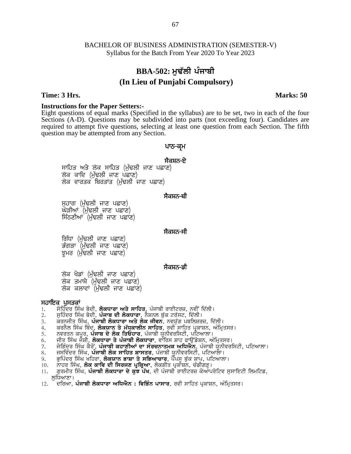# **BBA-502: ਮੁਢੱਲੀ ਪੰਜਾਬੀ (In Lieu of Punjabi Compulsory)**

### **Time: 3 Hrs. Marks: 50**

**Instructions for the Paper Setters:-** Eight questions of equal marks (Specified in the syllabus) are to be set, two in each of the four Sections (A-D). Questions may be subdivided into parts (not exceeding four). Candidates are required to attempt five questions, selecting at least one question from each Section. The fifth question may be attempted from any Section. the syllabus) are to be set, two<br>led into parts (not exceeding for at least one question from each<br>**थाठ-बू**भ<br>मैवम्<del>नठ-ष्टे</del> n the syllabus) are to be s<br>led into parts (not exceed)<br>i at least one question fro<br>**under**<br>**under**<br>**प्रोवसेट-पेंट**<br>स्ट्रे

s (A-D). Questions may be subdivided into pair<br>different tive questions, selecting at least on<br>may be attempted from any Section.<br>**ਪਾਠ-ਕ੍ਰਮ**<br>ਸਾਹਿਤ ਅਤੇ ਲੋਕ ਸਾਹਿਤ (ਮੁੱਢਲੀ ਜਾਣ ਪਛਾਣ)<br>ਲੋਕ ਕਾਵਿ (ਮੁੱਢਲੀ ਜਾਣ ਪਛਾਣ)<br>ਲੋਕ ਵਾਰਤਕ ਬਿਰਤਾ **ਖ-੦ ਪ੍ਰ**ਸ<br>ਸੈਕਸ਼ਨ<del>-</del>ਏ<br>ਾਣ)<br>)<br>ਸੈਕਸ਼ਨ<del>-</del>ਬੀ ਸਾਹਿਤ ਅਤੇ ਲੋਕ ਸਾਹਿਤ (ਮੁੱਢਲੀ ਜਾਣ<br>ਲੋਕ ਕਾਵਿ (ਮੁੱਢਲੀ ਜਾਣ ਪਛਾਣ)<br>ਲੋਕ ਵਾਰਤਕ ਬਿਰਤਾਂਤ (ਮੁੱਢਲੀ ਜਾਣ ਪਛ<br>ਸੁਹਾਗ (ਮੁੱਢਲੀ ਜਾਣ ਪਛਾਣ)<br>ਘੋੜੀਆਂ (ਮੁੱਢਲੀ ਜਾਣ ਪਛਾਣ)<br>ਸਿੱਠਣੀਆਂ (ਮੁੱਢਲੀ ਜਾਣ ਪਛਾਣ) ਸਾਹਿਤ ਅਤੇ ਲੋਕ ਸਾਹਿਤ (ਸੁਫਲੀ ਜਾਣ ਪ<br>ਲੋਕ ਕਾਵਿ (ਮੁੱਢਲੀ ਜਾਣ ਪਛਾਣ)<br>ਲੋਕ ਵਾਰਤਕ ਬਿਰਤਾਂਤ (ਮੁੱਢਲੀ ਜਾਣ ਪਛਾ<br>ਸੁਹਾਗ (ਮੁੱਢਲੀ ਜਾਣ ਪਛਾਣ)<br>ਘੋੜੀਆਂ (ਮੁੱਢਲੀ ਜਾਣ ਪਛਾਣ)<br>ਸਿੱਠਣੀਆਂ (ਮੁੱਢਲੀ ਜਾਣ ਪਛਾਣ)

ਸੁਹਾਗ (ਮੁੱਢਲੀ ਜਾਣ ਪਛਾਣ)<br>ਘੋੜੀਆਂ (ਮੁੱਢਲੀ ਜਾਣ ਪਛਾਣ)<br>ਸਿੱਠਣੀਆਂ (ਮੁੱਢਲੀ ਜਾਣ ਪਛਾਣ)<br>ਗਿੱਧਾ (ਮੁੱਢਲੀ ਜਾਣ ਪਛਾਣ)<br>ਭੁੰਸਰ (ਮੁੱਢਲੀ ਜਾਣ ਪਛਾਣ)<br>ਝੂਮਰ (ਮੁੱਢਲੀ ਜਾਣ ਪਛਾਣ)

# <sup>,</sup><br>ਸੈਕਸ਼ਨ<del>-</del>ਬੀ<br>ਸੈਕਸ਼ਨ<del>-</del>ਸੀ

# ਸੈਕਸ਼ਨ<del>-</del>ਸੀ<br>ਸੈਕਸ਼ਨ<del>-</del>ਸੀ<br>ਸੈਕਸ਼ਨ<del>-ਡੀ</del>

ਰਿੱਧਾ (ਮੁੱਢਲੀ ਜਾਣ ਪਛਾਣ)<br>ਭੰਗੜਾ (ਮੁੱਢਲੀ ਜਾਣ ਪਛਾਣ)<br>ਝੂਮਰ (ਮੁੱਢਲੀ ਜਾਣ ਪਛਾਣ)<br>ਲੋਕ ਖੇਡਾਂ (ਮੁੱਢਲੀ ਜਾਣ ਪਛਾਣ)<br>ਲੋਕ ਕਲਾਵਾਂ (ਮੁੱਢਲੀ ਜਾਣ ਪਛਾਣ)<br>ਪੁਸਤਕਾਂ ਤੂਜਰ (ਸੁਫ਼ਲਮ ਜਾਣ ਖਛਾਣ*)*<br>ਲੋਕ ਖੇਡਾਂ (ਮੁੱਢਲੀ ਜਾਣ ਪਛਾਣ<br>ਲੋਕ ਤਮਾਸ਼ੇ (ਮੁੱਢਲੀ ਜਾਣ ਪਛਾਨ<br>ਲੋਕ ਕਲਾਵਾਂ (ਮੁੱਢਲੀ ਜਾਣ ਪਛਾ<br>ਸਹਾਇਕ ਪੁਸਤਕਾਂ<br>1. ਸੋਹਿੰਦਰ ਸਿੰਘ ਬੇਦੀ, **ਲੋਕਧਾਰਾ ਅਤੇ ਸ**<br>2. ਸੁਹਿੰਦਰ ਸਿੰਘ ਬੇਦੀ, **ਪੰਜਾਬ ਦੀ ਲੋਕਧਾ** 

- 1. ਸੋਹਿੰਦਰ ਸਿੰਘ ਬੇਦੀ, **ਲੋਕਧਾਰਾ ਅਤੇ ਸਾਹਿਤ**, ਪੰਜਾਬੀ ਰਾਈਟਰਜ਼, ਨਵੀਂ ਦਿੱਲੀ।<br>2. ਸਹਿੰਦਰ ਸਿੰਘ ਬੇਦੀ. **ਪੰਜਾਬ ਦੀ ਲੋਕਧਾਰਾ**. ਨੈਸ਼ਨਲ ਬੱਕ ਟਰੱਸਟ, ਦਿੱਲੀ।
- 2. ਸੁਹਿੰਦਰ ਸਿੰਘ ਬੇਦੀ, **ਪੰਜਾਬ ਦੀ ਲੋਕਧਾਰਾ**, ਨੈਸ਼ਨਲ ਬੁੱਕ ਟਰੱਸਟ, ਦਿੱਲੀ।<br>3. ਕਰਨਜੀਤ ਸਿੰਘ**. ਪੰਜਾਬੀ ਲੋਕਧਾਰਾ ਅਤੇ ਲੋਕ ਜੀਵਨ.** ਨਵਯੱਗ ਪਬਲਿਸ਼ਰ
- ਕਰਨਜੀਤ ਸਿੰਘ, **ਪੰਜਾਬੀ ਲੋਕਧਾਰਾ ਅਤੇ ਲੋਕ ਜੀਵਨ**, ਨਵਯੁੱਗ ਪਬਲਿਸ਼ਰਜ਼, ਦਿੱਲੀ।
- 4. ਕਰਨੈਲ ਸਿੰਘ ਥਿੰਦ, **ਲੋਕਯਾਨ ਤੇ ਮੱਧਕਾਲੀਨ ਸਾਹਿਤ**, ਰਵੀ ਸਾਹਿਤ ਪ੍ਰਕਾਸ਼ਨ, ਅੰਮ੍ਰਿਤਸਰ।<br>5. ਨਵਰਤਨ ਕਪਰ, **ਪੰਜਾਬ ਦੇ ਲੋਕ ਤਿਓਹਾਰ**, ਪੰਜਾਬੀ ਯੂਨੀਵਰਸਿਟੀ, ਪਟਿਆਲਾ।
- ਨਵਰਤਨ ਕਪੂਰ, **ਪੰਜਾਬ ਦੇ ਲੋਕ ਤਿਓਹਾਰ**, ਪੰਜਾਬੀ ਯੂਨੀਵਰਸਿਟੀ, ਪਟਿਆਲਾ।
- 6. ਜੀਤ ਸਿੰਘ ਜੋਸ਼ੀ, **ਲੋਕਧਾਰਾ ਤੇ ਪੰਜਾਬੀ ਲੋਕਧਾਰਾ**, ਵਾੱਰਿਸ ਸ਼ਾਹ ਫਾਉਂਡੇਸ਼ਨ, ਅੰਮ੍ਰਿਤਸਰ।<br>7. ਜੋਗਿੰਦਰ ਸਿੰਘ ਕੈਰੋਂ. **ਪੰਜਾਬੀ ਕਹਾਣੀਆਂ ਦਾ ਸੰਰਚਨਾਤਮਕ ਅਧਿਐਨ.** ਪੰਜਾਬੀ ਯੂਨੀਵਰੀ
- 2. ਮੁਸ਼ਹਦਰ ਸਿਘ ਬਦਾ, **ਪਜਾਬ ਦਾ ਲਕਧਾਰਾ**, ਨਸ਼ਨਲ ਬੁਕ ਟਰਸਟ, ਦਿਲਾ।<br>3. ਕਰਨਜੀਤ ਸਿੰਘ, **ਪੰਜਾਬੀ ਲੋਕਧਾਰਾ ਅਤੇ ਲੋਕ ਜੀਵਨ**, ਨਵਯੁੱਗ ਪਬਲਿਸ਼ਰਜ਼, ਦਿੱਲੀ।<br>4. ਕਰਨੈਲ ਸਿੰਘ ਥਿੰਦ, **ਲੋਕਯਾਨ ਤੇ ਮੱਧਕਾਲੀਨ ਸਾਹਿਤ**, ਰਵੀ ਸਾਹਿਤ ਪ੍ਰਕਾਸ਼ਨ, ਅੰਮ੍ਰਿਤਸਰ।<br>5. ਨਵਰਤਨ 3. ਕਰਨਜੀਤ ਸਿਘ, **ਪੰਜਾਬੀ ਲਕਧਾਰਾ ਅਤੇ ਲੋਕ ਜੀਵਨ**, ਨਵਯੁੰਗ ਪਬੀਲੇਸ਼ਰਜ਼, ਦਿਲੀ।<br>4. ਕਰਨੈਲ ਸਿੰਘ ਥਿੰਦ, **ਲੋਕਯਾਨ ਤੇ ਮੱਧਕਾਲੀਨ ਸਾਹਿਤ**, ਰਵੀ ਸਾਹਿਤ ਪ੍ਰਕਾਸ਼ਨ, ਅੰਮ੍ਰਿਤਸਰ।<br>5. ਨਵਰਤਨ ਕਪੂਰ, **ਪੰਜਾਬ ਦੇ ਲੋਕ ਤਿਓਹਾਰ**, ਪੰਜਾਬੀ ਯੂਨੀਵਰਸਿਟੀ, ਪਟਿਆਲਾ।
- 
- 9. ਭੁਪਿੰਦਰ ਸਿੰਘ ਖਹਿਰਾ, **ਲੋਕਯਾਨ ਭਾਸ਼ਾ ਤੇ ਸਭਿਆਚਾਰ**, ਪੈਂਪਸੂ ਬੁੱਕ ਸ਼ਾਪ, ਪਟਿਆਲਾ।<br>10. ਨਾਹਰ ਸਿੰਘ, **ਲੋਕ ਕਾਵਿ ਦੀ ਸਿਰਜਣ ਪਕਿਆ**, ਲੋਕਗੀਤ ਪਕਾਸ਼ਨ, ਚੰਡੀਗੜ।
- 10. ਨਾਹਰ ਸਿੰਘ, **ਲੋਕ ਕਾਵਿ ਦੀ ਸਿਰਜਣ ਪ੍ਰਕ੍ਰਿਆ**, ਲੋਕਗੀਤ ਪ੍ਰਕਾਸ਼ਨ, ਚੰਡੀਗੜ੍ਹ।<br>11. ਗਰਮੀਤ ਸਿੰਘ. **ਪੰਜਾਬੀ ਲੋਕਧਾਰਾ ਦੇ ਕੁਝ ਪੱਖ**. ਦੀ ਪੰਜਾਬੀ ਰਾਈਟਰਜ਼ ਕੋਆਪ
- ਗੁਰਮੀਤ ਸਿੰਘ, **ਪੰਜਾਬੀ ਲੋਕਧਾਰਾ ਦੇ ਕੁੰਝ ਪੇਂਖ**, ਦੀ ਪੰਜਾਬੀ ਰਾਈਟਰਜ਼ ਕੋਆੱਪਰੇਟਿਵ ਸੁਸਾਇਟੀ ਲਿਮਟਿਡ, ਲਧਿਆਣਾ।
- 12. <sup>ੱ</sup> ਦਰਿਆ, **ਪੰਜਾਬੀ ਲੋਕਧਾਰਾ ਅਧਿਐਨ : ਵਿਭਿੰਨ ਪਾਸਾਰ**, ਰਵੀ ਸਾਹਿਤ ਪਕਾਸ਼ਨ, ਅੰਮਿਤਸਰ।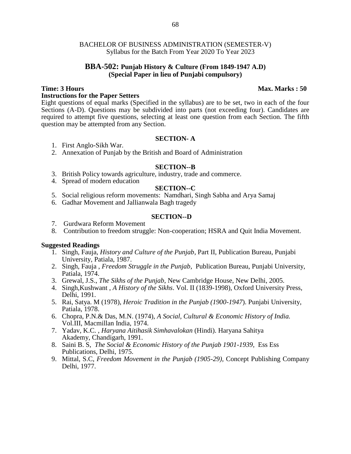### **BBA-502: Punjab History & Culture (From 1849-1947 A.D) (Special Paper in lieu of Punjabi compulsory)**

### **Instructions for the Paper Setters**

Eight questions of equal marks (Specified in the syllabus) are to be set, two in each of the four Sections (A-D). Questions may be subdivided into parts (not exceeding four). Candidates are required to attempt five questions, selecting at least one question from each Section. The fifth question may be attempted from any Section.

### **SECTION- A**

- 1. First Anglo-Sikh War.
- 2. Annexation of Punjab by the British and Board of Administration

### **SECTION--B**

- 3. British Policy towards agriculture, industry, trade and commerce.
- 4. Spread of modern education

### **SECTION--C**

- 5. Social religious reform movements: Namdhari, Singh Sabha and Arya Samaj
- 6. Gadhar Movement and Jallianwala Bagh tragedy

### **SECTION--D**

- 7. Gurdwara Reform Movement
- 8. Contribution to freedom struggle: Non-cooperation; HSRA and Quit India Movement.

### **Suggested Readings**

- 1. Singh, Fauja, *History and Culture of the Punjab*, Part II, Publication Bureau, Punjabi University, Patiala, 1987.
- 2. Singh, Fauja , *Freedom Struggle in the Punjab*, Publication Bureau, Punjabi University, Patiala, 1974.
- 3. Grewal, J.S., *The Sikhs of the Punjab*, New Cambridge House, New Delhi, 2005.
- 4. Singh,Kushwant , *A History of the Sikhs*. Vol. II (1839-1998), Oxford University Press, Delhi, 1991.
- 5. Rai, Satya. M (1978), *Heroic Tradition in the Punjab (1900-1947*). Punjabi University, Patiala, 1978.
- 6. Chopra, P.N.& Das, M.N. (1974), *A Social, Cultural & Economic History of India.* Vol.III, Macmillan India, 1974.
- 7. Yadav, K.C. , *Haryana Aitihasik Simhavalokan* (Hindi). Haryana Sahitya Akademy, Chandigarh, 1991.
- 8. Saini B. S, *The Social & Economic History of the Punjab 1901-1939,* Ess Ess Publications, Delhi, 1975.
- 9. Mittal, S.C, *Freedom Movement in the Punjab (1905-29),* Concept Publishing Company Delhi, 1977.

# **Time: 3 Hours Max. Marks : 50**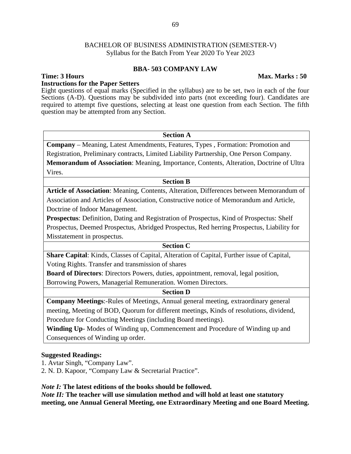### **BBA- 503 COMPANY LAW**

### **Time: 3 Hours Max. Marks : 50**

**Instructions for the Paper Setters** Eight questions of equal marks (Specified in the syllabus) are to be set, two in each of the four Sections (A-D). Questions may be subdivided into parts (not exceeding four). Candidates are required to attempt five questions, selecting at least one question from each Section. The fifth question may be attempted from any Section.

# **Section A**

**Company** – Meaning, Latest Amendments, Features, Types , Formation: Promotion and Registration, Preliminary contracts, Limited Liability Partnership, One Person Company. **Memorandum of Association**: Meaning, Importance, Contents, Alteration, Doctrine of Ultra Vires.

### **Section B**

**Article of Association**: Meaning, Contents, Alteration, Differences between Memorandum of Association and Articles of Association, Constructive notice of Memorandum and Article, Doctrine of Indoor Management.

**Prospectus**: Definition, Dating and Registration of Prospectus, Kind of Prospectus: Shelf Prospectus, Deemed Prospectus, Abridged Prospectus, Red herring Prospectus, Liability for Misstatement in prospectus.

# **Section C**

**Share Capital**: Kinds, Classes of Capital, Alteration of Capital, Further issue of Capital, Voting Rights. Transfer and transmission of shares

**Board of Directors**: Directors Powers, duties, appointment, removal, legal position, Borrowing Powers, Managerial Remuneration. Women Directors.

### **Section D**

**Company Meetings**:-Rules of Meetings, Annual general meeting, extraordinary general meeting, Meeting of BOD, Quorum for different meetings, Kinds of resolutions, dividend, Procedure for Conducting Meetings (including Board meetings).

**Winding Up**- Modes of Winding up, Commencement and Procedure of Winding up and Consequences of Winding up order.

### **Suggested Readings:**

1. Avtar Singh, "Company Law".

2. N. D. Kapoor, "Company Law & Secretarial Practice".

### *Note I:* **The latest editions of the books should be followed***.*

*Note II:* **The teacher will use simulation method and will hold at least one statutory meeting, one Annual General Meeting, one Extraordinary Meeting and one Board Meeting.**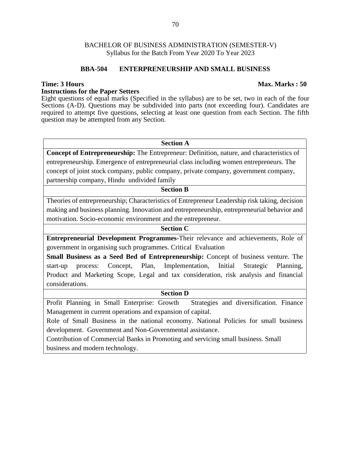### **BBA-504 ENTERPRENEURSHIP AND SMALL BUSINESS**

### **Instructions for the Paper Setters**

Eight questions of equal marks (Specified in the syllabus) are to be set, two in each of the four Sections (A-D). Questions may be subdivided into parts (not exceeding four). Candidates are required to attempt five questions, selecting at least one question from each Section. The fifth question may be attempted from any Section.

### **Section A**

**Concept of Entrepreneurship:** The Entrepreneur: Definition, nature, and characteristics of entrepreneurship. Emergence of entrepreneurial class including women entrepreneurs. The concept of joint stock company, public company, private company, government company, partnership company, Hindu undivided family

### **Section B**

Theories of entrepreneurship; Characteristics of Entrepreneur Leadership risk taking, decision making and business planning. Innovation and entrepreneurship, entrepreneurial behavior and motivation. Socio-economic environment and the entrepreneur.

### **Section C**

**Entrepreneurial Development Programmes-**Their relevance and achievements, Role of government in organising such programmes. Critical Evaluation

**Small Business as a Seed Bed of Entrepreneurship:** Concept of business venture. The start-up process: Concept, Plan, Implementation, Initial Strategic Planning, Product and Marketing Scope, Legal and tax consideration, risk analysis and financial considerations.

### **Section D**

Profit Planning in Small Enterprise: Growth Strategies and diversification. Finance Management in current operations and expansion of capital.

Role of Small Business in the national economy. National Policies for small business development. Government and Non-Governmental assistance.

Contribution of Commercial Banks in Promoting and servicing small business. Small business and modern technology.

### **Time: 3 Hours Max. Marks : 50**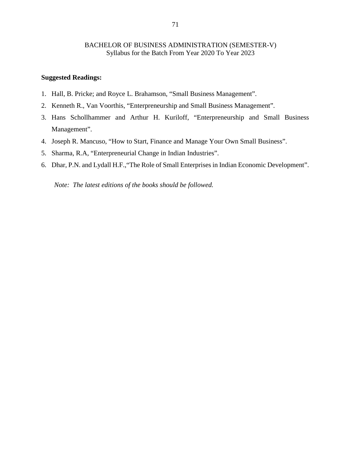### **Suggested Readings:**

- 1. Hall, B. Pricke; and Royce L. Brahamson, "Small Business Management".
- 2. Kenneth R., Van Voorthis, "Enterpreneurship and Small Business Management".
- 3. Hans Schollhammer and Arthur H. Kuriloff, "Enterpreneurship and Small Business Management".
- 4. Joseph R. Mancuso, "How to Start, Finance and Manage Your Own Small Business".
- 5. Sharma, R.A, "Enterpreneurial Change in Indian Industries".
- 6. Dhar, P.N. and Lydall H.F.,"The Role of Small Enterprises in Indian Economic Development".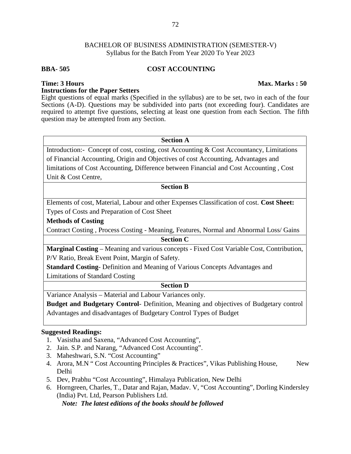# **BBA- 505 COST ACCOUNTING**

# **Instructions for the Paper Setters**

Eight questions of equal marks (Specified in the syllabus) are to be set, two in each of the four Sections (A-D). Questions may be subdivided into parts (not exceeding four). Candidates are required to attempt five questions, selecting at least one question from each Section. The fifth question may be attempted from any Section.

#### **Section A**

Introduction:- Concept of cost, costing, cost Accounting & Cost Accountancy, Limitations of Financial Accounting, Origin and Objectives of cost Accounting, Advantages and limitations of Cost Accounting, Difference between Financial and Cost Accounting , Cost Unit & Cost Centre,

#### **Section B**

Elements of cost, Material, Labour and other Expenses Classification of cost. **Cost Sheet:**

Types of Costs and Preparation of Cost Sheet

# **Methods of Costing**

Contract Costing , Process Costing - Meaning, Features, Normal and Abnormal Loss/ Gains

#### **Section C**

**Marginal Costing** – Meaning and various concepts - Fixed Cost Variable Cost, Contribution, P/V Ratio, Break Event Point, Margin of Safety.

**Standard Costing**- Definition and Meaning of Various Concepts Advantages and Limitations of Standard Costing

# **Section D**

Variance Analysis – Material and Labour Variances only.

**Budget and Budgetary Control**- Definition, Meaning and objectives of Budgetary control Advantages and disadvantages of Budgetary Control Types of Budget

### **Suggested Readings:**

- 1. Vasistha and Saxena, "Advanced Cost Accounting",
- 2. Jain. S.P. and Narang, "Advanced Cost Accounting".
- 3. Maheshwari, S.N. "Cost Accounting"
- 4. Arora, M.N " Cost Accounting Principles & Practices", Vikas Publishing House, New Delhi
- 5. Dev, Prabhu "Cost Accounting", Himalaya Publication, New Delhi
- 6. Horngreen, Charles, T., Datar and Rajan, Madav. V, "Cost Accounting", Dorling Kindersley (India) Pvt. Ltd, Pearson Publishers Ltd. *Note: The latest editions of the books should be followed*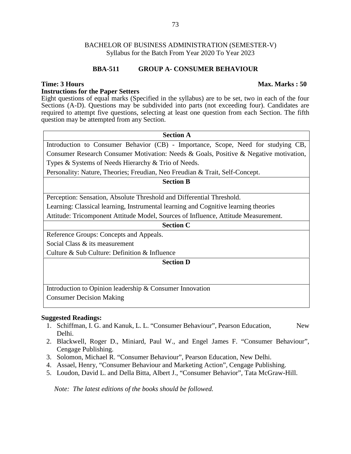### **BBA-511 GROUP A- CONSUMER BEHAVIOUR**

### **Instructions for the Paper Setters**

Eight questions of equal marks (Specified in the syllabus) are to be set, two in each of the four Sections (A-D). Questions may be subdivided into parts (not exceeding four). Candidates are required to attempt five questions, selecting at least one question from each Section. The fifth question may be attempted from any Section.

# **Section A** Introduction to Consumer Behavior (CB) - Importance, Scope, Need for studying CB, Consumer Research Consumer Motivation: Needs & Goals, Positive & Negative motivation, Types & Systems of Needs Hierarchy & Trio of Needs.

Personality: Nature, Theories; Freudian, Neo Freudian & Trait, Self-Concept.

#### **Section B**

Perception: Sensation, Absolute Threshold and Differential Threshold.

Learning: Classical learning, Instrumental learning and Cognitive learning theories

Attitude: Tricomponent Attitude Model, Sources of Influence, Attitude Measurement.

#### **Section C**

Reference Groups: Concepts and Appeals. Social Class & its measurement Culture & Sub Culture: Definition & Influence

#### **Section D**

Introduction to Opinion leadership & Consumer Innovation Consumer Decision Making

#### **Suggested Readings:**

- 1. Schiffman, I. G. and Kanuk, L. L. "Consumer Behaviour", Pearson Education, New Delhi.
- 2. Blackwell, Roger D., Miniard, Paul W., and Engel James F. "Consumer Behaviour", Cengage Publishing.
- 3. Solomon, Michael R. "Consumer Behaviour", Pearson Education, New Delhi.
- 4. Assael, Henry, "Consumer Behaviour and Marketing Action", Cengage Publishing.
- 5. Loudon, David L. and Della Bitta, Albert J., "Consumer Behavior", Tata McGraw-Hill.

*Note: The latest editions of the books should be followed.*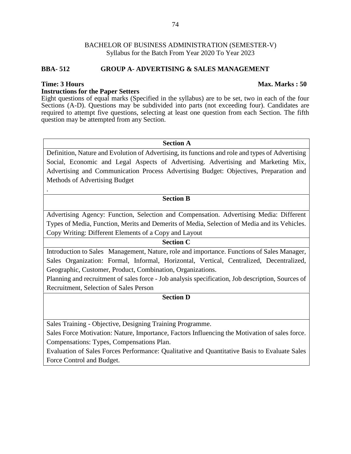### **BBA- 512 GROUP A- ADVERTISING & SALES MANAGEMENT**

.

#### **Instructions for the Paper Setters**

Eight questions of equal marks (Specified in the syllabus) are to be set, two in each of the four Sections (A-D). Questions may be subdivided into parts (not exceeding four). Candidates are required to attempt five questions, selecting at least one question from each Section. The fifth question may be attempted from any Section.

#### **Section A**

Definition, Nature and Evolution of Advertising, its functions and role and types of Advertising Social, Economic and Legal Aspects of Advertising. Advertising and Marketing Mix, Advertising and Communication Process Advertising Budget: Objectives, Preparation and Methods of Advertising Budget

#### **Section B**

Advertising Agency: Function, Selection and Compensation. Advertising Media: Different Types of Media, Function, Merits and Demerits of Media, Selection of Media and its Vehicles. Copy Writing: Different Elements of a Copy and Layout

#### **Section C**

Introduction to Sales Management, Nature, role and importance. Functions of Sales Manager, Sales Organization: Formal, Informal, Horizontal, Vertical, Centralized, Decentralized, Geographic, Customer, Product, Combination, Organizations.

Planning and recruitment of sales force - Job analysis specification, Job description, Sources of Recruitment, Selection of Sales Person

# **Section D**

Sales Training - Objective, Designing Training Programme.

Sales Force Motivation: Nature, Importance, Factors Influencing the Motivation of sales force. Compensations: Types, Compensations Plan.

Evaluation of Sales Forces Performance: Qualitative and Quantitative Basis to Evaluate Sales Force Control and Budget.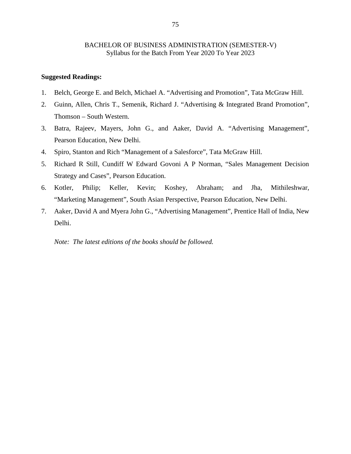# **Suggested Readings:**

- 1. Belch, George E. and Belch, Michael A. "Advertising and Promotion", Tata McGraw Hill.
- 2. Guinn, Allen, Chris T., Semenik, Richard J. "Advertising & Integrated Brand Promotion", Thomson – South Western.
- 3. Batra, Rajeev, Mayers, John G., and Aaker, David A. "Advertising Management", Pearson Education, New Delhi.
- 4. Spiro, Stanton and Rich "Management of a Salesforce", Tata McGraw Hill.
- 5. Richard R Still, Cundiff W Edward Govoni A P Norman, "Sales Management Decision Strategy and Cases", Pearson Education.
- 6. Kotler, Philip; Keller, Kevin; Koshey, Abraham; and Jha, Mithileshwar, "Marketing Management", South Asian Perspective, Pearson Education, New Delhi.
- 7. Aaker, David A and Myera John G., "Advertising Management", Prentice Hall of India, New Delhi.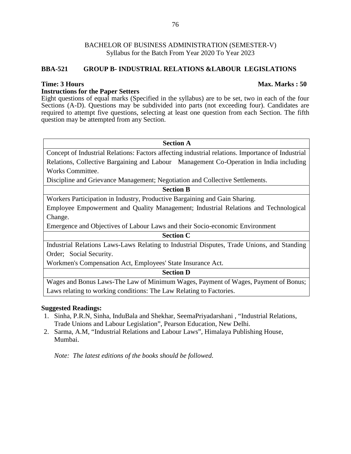# **BBA-521 GROUP B- INDUSTRIAL RELATIONS &LABOUR LEGISLATIONS**

### **Instructions for the Paper Setters**

Eight questions of equal marks (Specified in the syllabus) are to be set, two in each of the four Sections (A-D). Questions may be subdivided into parts (not exceeding four). Candidates are required to attempt five questions, selecting at least one question from each Section. The fifth question may be attempted from any Section.

#### **Section A**

Concept of Industrial Relations: Factors affecting industrial relations. Importance of Industrial Relations, Collective Bargaining and Labour Management Co-Operation in India including Works Committee.

Discipline and Grievance Management; Negotiation and Collective Settlements.

# **Section B**

Workers Participation in Industry, Productive Bargaining and Gain Sharing.

Employee Empowerment and Quality Management; Industrial Relations and Technological Change.

Emergence and Objectives of Labour Laws and their Socio-economic Environment

#### **Section C**

Industrial Relations Laws-Laws Relating to Industrial Disputes, Trade Unions, and Standing Order; Social Security.

Workmen's Compensation Act, Employees' State Insurance Act.

#### **Section D**

Wages and Bonus Laws-The Law of Minimum Wages, Payment of Wages, Payment of Bonus; Laws relating to working conditions: The Law Relating to Factories.

# **Suggested Readings:**

- 1. Sinha, P.R.N, Sinha, InduBala and Shekhar, SeemaPriyadarshani , "Industrial Relations, Trade Unions and Labour Legislation", Pearson Education, New Delhi.
- 2. Sarma, A.M, "Industrial Relations and Labour Laws", Himalaya Publishing House, Mumbai.

*Note: The latest editions of the books should be followed.*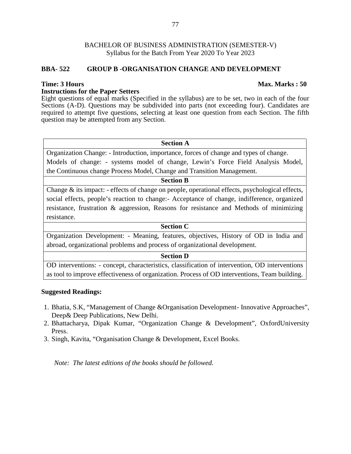### **BBA- 522 GROUP B -ORGANISATION CHANGE AND DEVELOPMENT**

#### **Instructions for the Paper Setters**

Eight questions of equal marks (Specified in the syllabus) are to be set, two in each of the four Sections (A-D). Questions may be subdivided into parts (not exceeding four). Candidates are required to attempt five questions, selecting at least one question from each Section. The fifth question may be attempted from any Section.

#### **Section A**

Organization Change: - Introduction, importance, forces of change and types of change. Models of change: - systems model of change, Lewin's Force Field Analysis Model, the Continuous change Process Model, Change and Transition Management.

#### **Section B**

Change & its impact: - effects of change on people, operational effects, psychological effects, social effects, people's reaction to change:- Acceptance of change, indifference, organized resistance, frustration & aggression, Reasons for resistance and Methods of minimizing resistance.

#### **Section C**

Organization Development: - Meaning, features, objectives, History of OD in India and abroad, organizational problems and process of organizational development.

#### **Section D**

OD interventions: - concept, characteristics, classification of intervention, OD interventions as tool to improve effectiveness of organization. Process of OD interventions, Team building.

#### **Suggested Readings:**

- 1. Bhatia, S.K, "Management of Change &Organisation Development- Innovative Approaches", Deep& Deep Publications, New Delhi.
- 2. Bhattacharya, Dipak Kumar, "Organization Change & Development", OxfordUniversity Press.
- 3. Singh, Kavita, "Organisation Change & Development, Excel Books.

*Note: The latest editions of the books should be followed.*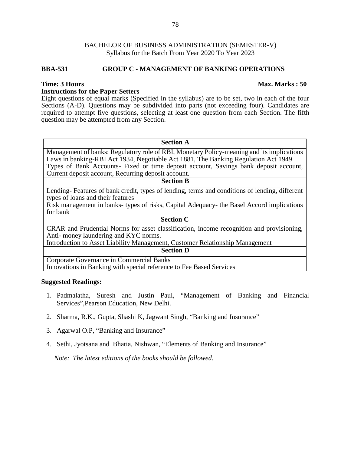### **BBA-531 GROUP C** - **MANAGEMENT OF BANKING OPERATIONS**

#### **Instructions for the Paper Setters**

Eight questions of equal marks (Specified in the syllabus) are to be set, two in each of the four Sections (A-D). Questions may be subdivided into parts (not exceeding four). Candidates are required to attempt five questions, selecting at least one question from each Section. The fifth question may be attempted from any Section.

#### **Section A**

Management of banks: Regulatory role of RBI, Monetary Policy-meaning and its implications Laws in banking-RBI Act 1934, Negotiable Act 1881, The Banking Regulation Act 1949 Types of Bank Accounts- Fixed or time deposit account, Savings bank deposit account, Current deposit account, Recurring deposit account.

# **Section B**

Lending- Features of bank credit, types of lending, terms and conditions of lending, different types of loans and their features

Risk management in banks- types of risks, Capital Adequacy- the Basel Accord implications for bank

#### **Section C**

CRAR and Prudential Norms for asset classification, income recognition and provisioning, Anti- money laundering and KYC norms.

Introduction to Asset Liability Management, Customer Relationship Management

#### **Section D**

Corporate Governance in Commercial Banks Innovations in Banking with special reference to Fee Based Services

#### **Suggested Readings:**

- 1. Padmalatha, Suresh and Justin Paul, "Management of Banking and Financial Services",Pearson Education, New Delhi.
- 2. Sharma, R.K., Gupta, Shashi K, Jagwant Singh, "Banking and Insurance"
- 3. Agarwal O.P, "Banking and Insurance"
- 4. Sethi, Jyotsana and Bhatia, Nishwan, "Elements of Banking and Insurance"

*Note: The latest editions of the books should be followed.*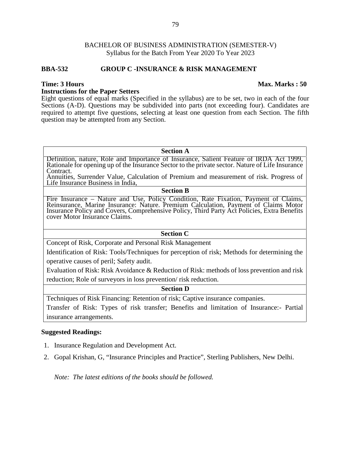#### **BBA-532 GROUP C -INSURANCE & RISK MANAGEMENT**

#### **Instructions for the Paper Setters**

Eight questions of equal marks (Specified in the syllabus) are to be set, two in each of the four Sections (A-D). Questions may be subdivided into parts (not exceeding four). Candidates are required to attempt five questions, selecting at least one question from each Section. The fifth question may be attempted from any Section.

#### **Section A**

Definition, nature, Role and Importance of Insurance, Salient Feature of IRDA Act 1999, Rationale for opening up of the Insurance Sector to the private sector. Nature of Life Insurance Contract.

Annuities, Surrender Value, Calculation of Premium and measurement of risk. Progress of Life Insurance Business in India,

# **Section B**

Fire Insurance – Nature and Use, Policy Condition, Rate Fixation, Payment of Claims, Reinsurance, Marine Insurance: Nature. Premium Calculation, Payment of Claims Motor Insurance Policy and Covers, Comprehensive Policy, Third Party Act Policies, Extra Benefits cover Motor Insurance Claims.

#### **Section C**

Concept of Risk, Corporate and Personal Risk Management

Identification of Risk: Tools/Techniques for perception of risk; Methods for determining the operative causes of peril; Safety audit.

Evaluation of Risk: Risk Avoidance & Reduction of Risk: methods of loss prevention and risk reduction; Role of surveyors in loss prevention/ risk reduction.

#### **Section D**

Techniques of Risk Financing: Retention of risk; Captive insurance companies. Transfer of Risk: Types of risk transfer; Benefits and limitation of Insurance:- Partial insurance arrangements.

### **Suggested Readings:**

- 1. Insurance Regulation and Development Act.
- 2. Gopal Krishan, G, "Insurance Principles and Practice", Sterling Publishers, New Delhi.

*Note: The latest editions of the books should be followed.*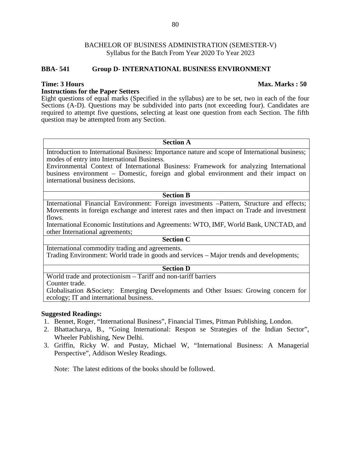### **BBA- 541 Group D- INTERNATIONAL BUSINESS ENVIRONMENT**

#### **Instructions for the Paper Setters**

Eight questions of equal marks (Specified in the syllabus) are to be set, two in each of the four Sections (A-D). Questions may be subdivided into parts (not exceeding four). Candidates are required to attempt five questions, selecting at least one question from each Section. The fifth question may be attempted from any Section.

#### **Section A**

Introduction to International Business: Importance nature and scope of International business; modes of entry into International Business.

Environmental Context of International Business: Framework for analyzing International business environment – Domestic, foreign and global environment and their impact on international business decisions.

#### **Section B**

International Financial Environment: Foreign investments –Pattern, Structure and effects; Movements in foreign exchange and interest rates and then impact on Trade and investment flows.

International Economic Institutions and Agreements: WTO, IMF, World Bank, UNCTAD, and other International agreements;

# **Section C**

International commodity trading and agreements. Trading Environment: World trade in goods and services – Major trends and developments;

### **Section D**

World trade and protectionism – Tariff and non-tariff barriers

Counter trade.

Globalisation &Society: Emerging Developments and Other Issues: Growing concern for ecology; IT and international business.

# **Suggested Readings:**

- 1. Bennet, Roger, "International Business", Financial Times, Pitman Publishing, London.
- 2. Bhattacharya, B., "Going International: Respon se Strategies of the Indian Sector", Wheeler Publishing, New Delhi.
- 3. Griffin, Ricky W. and Pustay, Michael W, "International Business: A Managerial Perspective", Addison Wesley Readings.

Note: The latest editions of the books should be followed.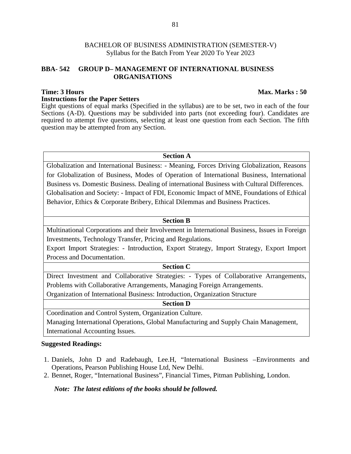# **BBA- 542 GROUP D– MANAGEMENT OF INTERNATIONAL BUSINESS ORGANISATIONS**

# **Time: 3 Hours Max. Marks : 50**

#### **Instructions for the Paper Setters**

Eight questions of equal marks (Specified in the syllabus) are to be set, two in each of the four Sections (A-D). Questions may be subdivided into parts (not exceeding four). Candidates are required to attempt five questions, selecting at least one question from each Section. The fifth question may be attempted from any Section.

# **Section A**

Globalization and International Business: - Meaning, Forces Driving Globalization, Reasons for Globalization of Business, Modes of Operation of International Business, International Business vs. Domestic Business. Dealing of international Business with Cultural Differences. Globalisation and Society: - Impact of FDI, Economic Impact of MNE, Foundations of Ethical Behavior, Ethics & Corporate Bribery, Ethical Dilemmas and Business Practices.

# **Section B**

Multinational Corporations and their Involvement in International Business, Issues in Foreign Investments, Technology Transfer, Pricing and Regulations.

Export Import Strategies: - Introduction, Export Strategy, Import Strategy, Export Import Process and Documentation.

# **Section C**

Direct Investment and Collaborative Strategies: - Types of Collaborative Arrangements, Problems with Collaborative Arrangements, Managing Foreign Arrangements.

Organization of International Business: Introduction, Organization Structure

### **Section D**

Coordination and Control System, Organization Culture.

Managing International Operations, Global Manufacturing and Supply Chain Management, International Accounting Issues.

# **Suggested Readings:**

- 1. Daniels, John D and Radebaugh, Lee.H, "International Business –Environments and Operations, Pearson Publishing House Ltd, New Delhi.
- 2. Bennet, Roger, "International Business", Financial Times, Pitman Publishing, London.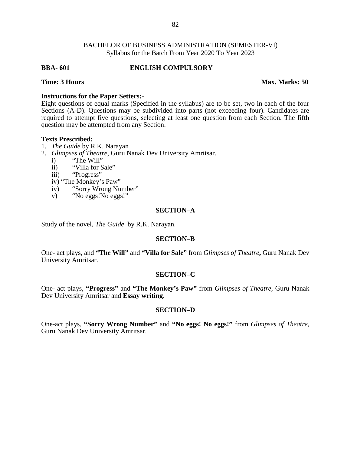#### **BBA- 601 ENGLISH COMPULSORY**

**Time: 3 Hours Max. Marks: 50**

#### **Instructions for the Paper Setters:-**

Eight questions of equal marks (Specified in the syllabus) are to be set, two in each of the four Sections (A-D). Questions may be subdivided into parts (not exceeding four). Candidates are required to attempt five questions, selecting at least one question from each Section. The fifth question may be attempted from any Section.

#### **Texts Prescribed:**

- 1. *The Guide* by R.K. Narayan
- 2. *Glimpses of Theatre*, Guru Nanak Dev University Amritsar.
	- i) "The Will"
	- ii) "Villa for Sale"
	- iii) "Progress"
	- iv) "The Monkey's Paw"
	- iv) "Sorry Wrong Number"<br>v) "No eggs!No eggs!"
	- "No eggs!No eggs!"

#### **SECTION–A**

Study of the novel, *The Guide* by R.K. Narayan.

#### **SECTION–B**

One- act plays, and **"The Will"** and **"Villa for Sale"** from *Glimpses of Theatre***,** Guru Nanak Dev University Amritsar.

#### **SECTION–C**

One- act plays, **"Progress"** and **"The Monkey's Paw"** from *Glimpses of Theatre,* Guru Nanak Dev University Amritsar and **Essay writing**.

#### **SECTION–D**

One-act plays, **"Sorry Wrong Number"** and **"No eggs! No eggs!"** from *Glimpses of Theatre,* Guru Nanak Dev University Amritsar.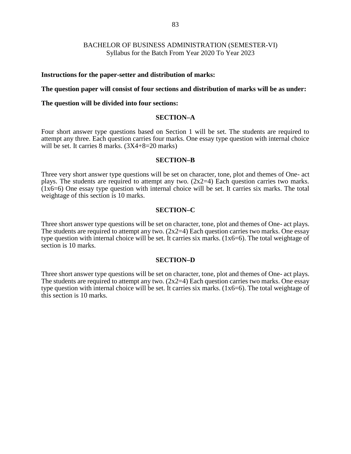#### **Instructions for the paper-setter and distribution of marks:**

**The question paper will consist of four sections and distribution of marks will be as under:**

#### **The question will be divided into four sections:**

# **SECTION–A**

Four short answer type questions based on Section 1 will be set. The students are required to attempt any three. Each question carries four marks. One essay type question with internal choice will be set. It carries 8 marks.  $(3X4+8=20 \text{ marks})$ 

#### **SECTION–B**

Three very short answer type questions will be set on character, tone, plot and themes of One- act plays. The students are required to attempt any two.  $(2x2=4)$  Each question carries two marks.  $(1x6=6)$  One essay type question with internal choice will be set. It carries six marks. The total weightage of this section is 10 marks.

#### **SECTION–C**

Three short answer type questions will be set on character, tone, plot and themes of One- act plays. The students are required to attempt any two.  $(2x2=4)$  Each question carries two marks. One essay type question with internal choice will be set. It carries six marks.  $(1x6=6)$ . The total weightage of section is 10 marks.

#### **SECTION–D**

Three short answer type questions will be set on character, tone, plot and themes of One- act plays. The students are required to attempt any two.  $(2x2=4)$  Each question carries two marks. One essay type question with internal choice will be set. It carries six marks. (1x6=6). The total weightage of this section is 10 marks.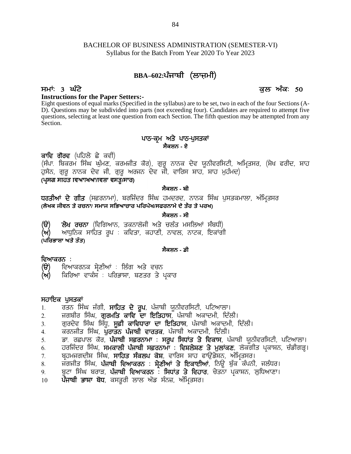# BACHELOR OF BUSINESS ADMINISTRATION (SEMESTER-VI) Syllabus for the Batch From Year 2020 To Year 2023 84<br>BUSINESS ADMINISTRATION (SEMESTER-VI)<br>for the Batch From Year 2020 To Year 2023<br>**BBA–602:ਪੰਜਾਬੀ (ਲਾਜ਼ਮੀ)**<br>ਕੁਲ ਅੰ BACHELOR OF BUSINESS ADMINISTRATION (SEMESTER-VI)<br>Syllabus for the Batch From Year 2020 To Year 2023<br>**BBA-602:ਪੰਜਾਬੀ (ਲਾਜ਼ਮੀ)**<br>**ਸਮਾਂ: 3 ਘੰਟੇ**<br>**Instructions for the Paper Setters:-**<br>Eight questions of equal marks (Specifie

### **Instructions for the Paper Setters:-**

Eight questions of equal marks (Specified in the syllabus) are to be set, two in each of the four Sections (A- D). Questions may be subdivided into parts (not exceeding four). Candidates are required to attempt five questions, selecting at least one question from each Section. The fifth question may be attempted from any Section. <del>repriend</del> in the syllabus) are to be set, two in each<br>parts (not exceeding four). Candidates are<br>in from each Section. The fifth question ma<br>ਪਾਠ-ਕ੍ਰਮ ਅਤੇ ਪਾਠ-ਪੁਸਤਕਾਂ<br>ਸੈਕਸ਼ਨ - ਏ Eignt questions or equal marks (Specified in the D). Questions may be subdivided into parts (no<br>questions, selecting at least one question from ea<br>Section.<br>ਕਾਵਿ ਗੋਰਵ (ਪਹਿਲੇ ਛੇ ਕਵੀ)<br>(ਸੰਪਾ. ਬਿਕਰਮ ਸਿੰਘ ਘੁੰਮਣ, ਕਰਮਜੀਤ ਕੋਰ),

# **ਸੈਕਸ਼ਨ - ਏ**

 $\omega$ ; veasures may be subdivided into parts (interesteding ion). Candidates are required to attempte from any<br>questions, selecting at least one question from each Section. The fifth question may be attempted from any<br>Se Section.<br>البريس 2 - ਪਾਠ-ਕ੍ਰਮ ਅਤੇ ਪਾਠ-ਪੁਸਤਕਾਂ<br>ਕਾਵਿ ਗੋਰਵ (ਪਹਿਲੇ ਛੇ ਕਵੀ)<br>(ਸੰਪਾ. ਬਿਕਰਮ ਸਿੰਘ ਘੁੰਮਣ, ਕਰਮਜੀਤ ਕੋਰ), ਗੁਰੂ ਨਾਨਕ ਦੇਵ ਯੂਨੀਵਰਸਿਟੀ, ਅਮ੍ਰਿਤਸਰ<br>ਹੁਸੈਨ, ਗੁਰੂ ਨਾਨਕ ਦੇਵ ਜੀ, ਗੁਰੂ ਅਰਜਨ ਦੇਵ ਜੀ, ਵਾਰਿਸ ਸ਼ਾਹ, ਸ਼ਾਹ ਮੁਹੰਮਦ)<br>(ਪ੍ਰਸਗ ਸ **ਕਾਵਿ ਗੋਰਵ** (ਪਹਿਲੇ ਛੇ ਕਵੀ)<br>(ਸੰਪਾ. ਬਿਕਰਮ ਸਿੰਘ ਘੁੰਮਣ, ਕਰਮਜੀਤ ਕੋਰ), ਗੁਰੂ ਨਾਨਕ ਦੇਵ ਯੂਨੀਵਰਸਿਟੀ, ਅਮ੍ਰਿਤਸਰ, (ਸ਼ੇਖ ਫਰੀਦ, ਸ਼ਾਹ<br>ਹੁਸੈਨ, ਗੁਰੂ ਨਾਨਕ ਦੇਵ ਜੀ, ਗੁਰੂ ਅਰਜਨ ਦੇਵ ਜੀ, ਵਾਰਿਸ ਸ਼ਾਹ, ਸ਼ਾਹ ਮੁਹੰਮਦ)<br>(**ਪ੍ਰਸਗ ਸਾਰਤ ਵਿਆਸਆ/ਕਾਸ਼ਾ ਵਸਤੂ/ਸਾਰ** 

# **ਸੈਕਸ਼ਨ - ਬੀ**

**(ਲੇਖਕ ਜੀਵਨ ਤੇ ਰਚਨਾ/ ਸਮਾਜ ਸਿਭਆਚਾਰ ਪਿਰਪੇਖ/ਸਫਰਨਾਮੇ ਦੇ ਤੌਰ ਤੇ ਪਰਖ) (T) b /y ouBk** (ftfrnkB, seBkb'ih ns / ub zs w;fbnK ;zpXh)

# **ਸੈਕਸ਼ਨ - ਸੀ**

**(ੳ) ਲੇਖ ਰਚਨਾ** (ਵਿਗਿਆਨ, ਤਕਨਾਲੋਜੀ ਅਤੇ ਚਲੰਤ ਮਸਲਿਆਂ ਸੰਬਾ<br>(ਅ) ਆਧੁਨਿਕ ਸਾਹਿਤ ਰੂਪ : ਕਵਿਤਾ, ਕਹਾਣੀ, ਨਾਵਲ, ਨਾਟਕ, ਇਕ<br>(ਪਰਿਭਾਸ਼ਾ ਅਤੇ ਤੱਤ)<br>ਵਿਆਕਰਨ :<br>(ੳ) ਵਿਆਕਰਨਕ ਸ੍ਰੇਣੀਆਂ : ਲਿੰਗ ਅਤੇ ਵਚਨ<br>(ਅ) ਕਿਰਿਆ ਵਾਕੰਸ : ਪਰਿਭਾਸ਼ਾ, ਬਣਤਰ ਤੇ ਪ੍ਰਕਾਰ

**(ਅ)** ਅਧੁਨਿਕ ਸਾਹਿਤ ਰੂਪ : ਕਵਿਤਾ, ਕਹਾਣੀ, ਨਾਵਲ, ਨਾਟਕ, ਇਕਾਂਗੀ

### **ਸੈਕਸ਼ਨ - ਡੀ**

- **ਵਿਆਕਰਨ :**<br>(ੳ) ਵਿਆਕਰਨਕ ਸ਼ੇਣੀਆਂ : ਲਿੰਗ ਅਤੇ ਵਚਨ
- **(ਅ)** ਕਿਰਿਆ ਵਾਕੰਸ਼ : ਪਰਿਭਾਸ਼ਾ, ਬਣਤਰ ਤੇ ਪਕਾਰ

- **ਸਹਾਇਕ ਪੁਸਤਕਾਂ**<br>1. ਰਤਨ ਸਿੰਘ ਜੱਗੀ, **ਸਾਹਿਤ ਦੇ ਰੁਪ**, ਪੰਜਾਬੀ ਯੂਨੀਵਰਸਿਟੀ, ਪਟਿਆਲਾ।
- 
- **ਵਿਆਕਰਨ** :<br>(ੳ) ਵਿਆਕਰਨਕ ਸ੍ਰੇਣੀਆਂ : ਲਿੰਗ ਅਤੇ ਵਚਨ<br>(ਅ) ਕਿਰਿਆ ਵਾਕੰਸ਼ : ਪਰਿਭਾਸ਼ਾ, ਬਣਤਰ ਤੇ ਪ੍ਰਕਾਰ<br>1. ਰਤਨ ਸਿੰਘ ਜੱਗੀ, **ਸਾਹਿਤ ਦੇ ਰੂਪ**, ਪੰਜਾਬੀ ਯੂਨੀਵਰਸਿਟੀ, ਪਟਿਆਲਾ।<br>2. ਜਗਬੀਰ ਸਿੰਘ, **ਗੁਰਮਤਿ ਕਾਵਿ ਦਾ ਇਤਿਹਾਸ**, ਪੰਜਾਬੀ ਅਕਾਦਮੀ, ਦਿੱਲੀ।<br>3. **(ੳ)** ਵਿਆਕਰਨਕ ਸ਼੍ਰੇਣੀਆਂ : ਲਿੰਗ ਅਤੇ ਵਚਨ<br>(ਅ) ਕਿਰਿਆ ਵਾਕੰਸ਼ : ਪਰਿਭਾਸ਼ਾ, ਬਣਤਰ ਤੇ ਪ੍ਰਕਾਰ<br>ਸ**ਹਾਇਕ ਪੁਸਤਕਾਂ**<br>1. ਰਤਨ ਸਿੰਘ ਜੱਗੀ, **ਸਾਹਿਤ ਦੇ ਰੂਪ**, ਪੰਜਾਬੀ ਯੂਨੀਵਰਸਿਟੀ, ਪਟਿਆਲਾ।<br>2. ਗੁਰਦੇਵ ਸਿੰਘ ਸਿੱਧੂ, **ਸੂਫ਼ੀ ਕਾਵਿਧਾਰਾ ਦਾ ਇਤਿਹਾਸ**, ਪੰਜਾਬ
- 
- **(ਅ)** ਕਿਰਿਆ ਵਾਕੰਸ਼<sup>ੰ</sup> : ਪਰਿਭਾਸ਼ਾ, ਬਣਤਰ ਤੇ ਪ੍ਰਕਾਰ<br>ਸਹਾਇਕ **ਪੁਸਤਕਾਂ**<br>1. ਰਤਨ ਸਿੰਘ ਜੱਗੀ, **ਸਾਹਿਤ ਦੇ ਰੂਪ**, ਪੰਜਾਬੀ ਯੂਨੀਵਰਸਿਟੀ, ਪਟਿਆਲਾ।<br>2. ਜਗਬੀਰ ਸਿੰਘ, **ਗੁਰਮਤਿ ਕਾਵਿ ਦਾ ਇਤਿਹਾਸ**, ਪੰਜਾਬੀ ਅਕਾਦਮੀ, ਦਿੱਲੀ।<br>3. ਗੁਰਦੇਵ ਸਿੰਘ ਸਿੱਧੂ, ੱ<br>ਮ**ਹਾਇਕ ਪੁਸਤਕਾਂ**<br>1. ਰਤਨ ਸਿੰਘ ਜੱਗੀ, **ਸਾਹਿਤ ਦੇ ਰੂਪ**, ਪੰਜਾਬੀ ਯੂਨੀਵਰਸਿਟੀ, ਪਟਿਆਲਾ।<br>2. ਜਗਬੀਰ ਸਿੰਘ, **ਗੁਰਮਤਿ ਕਾਵਿਧਾਰਾ ਦਾ ਇਤਿਹਾਸ**, ਪੰਜਾਬੀ ਅਕਾਦਮੀ, ਦਿੱਲੀ।<br>4. ਕਰਨਜੀਤ ਸਿੰਘ, **ਪੁਰਾਤਨ ਪੰਜਾਬੀ ਵਾਰਤਕ**, ਪੰਜਾਬੀ ਅਕਾਦਮੀ, ਦਿੱਲੀ।<br>5. **ਸਹਾਇਕ ਪੁਸਤਕਾਂ**<br>1. ਰਤਨ ਸਿੰਘ ਜੱਗੀ, **ਸਾਹਿਤ ਦੇ ਰੂਪ**, ਪੰਜਾਬੀ ਯੂਨੀਵਰਸਿਟੀ, ਪਟਿਆਲਾ।<br>2. ਜੁਗਬੀਰ ਸਿੰਘ, **ਗੁਰਮਤਿ ਕਾਵਿ ਦਾ ਇਤਿਹਾਸ**, ਪੰਜਾਬੀ ਅਕਾਦਮੀ, ਦਿੱਲੀ।<br>3. ਗੁਰਦੇਵ ਸਿੰਘ ਸਿੱਧੂ, **ਸੂਫ਼ੀ ਕਾਵਿਧਾਰਾ ਦਾ ਇਤਿਹਾਸ**, ਪੰਜਾਬੀ ਅਕਾਦਮੀ **ਸਹਾਇਕ ਪੁਸਤਕਾਂ**<br>1. ਰਤਨ ਸਿੰਘ ਜੱਗੀ, **ਸਾਹਿਤ ਦੇ ਰੂਪ**, ਪੰਜਾਬੀ ਯੂਨੀਵਰਸਿਟੀ, ਪਟਿਆਲਾ।<br>2. ਜ਼ਗਬੀਰ ਸਿੰਘ, **ਗੁਰਮਤਿ ਕਾਵਿ ਦਾ ਇਤਿਹਾਸ**, ਪੰਜਾਬੀ ਅਕਾਦਮੀ, ਦਿੱਲੀ।<br>4. ਕੁਰਨਜੀਤ ਸਿੰਘ, **ਪੁਰਾਤਨ ਪੰਜਾਬੀ ਵਾਰਤਕ**, ਪੰਜਾਬੀ ਅਕਾਦਮੀ, ਦਿੱਲੀ।<br>5. ਡ 1. ਰਤਨ ਸਿੰਘ ਜੱਗੀ, **ਸਾਹਿਤ ਦੇ ਰੂਪ**, ਪੰਜਾਬੀ ਯੂਨੀਵਰਸਿਟੀ, ਪਟਿਆਲਾ।<br>2. ਜਗਬੀਰ ਸਿੰਘ, **ਗੁਰਮਤਿ ਕਾਵਿ ਦਾ ਇਤਿਹਾਸ**, ਪੰਜਾਬੀ ਅਕਾਦਮੀ, ਦਿੱਲੀ।<br>3. ਗੁਰਦੇਵ ਸਿੰਘ ਸਿੱਧੂ, **ਸੂਫ਼ੀ ਕਾਵਿਧਾਰਾ ਦਾ ਇਤਿਹਾਸ**, ਪੰਜਾਬੀ ਅਕਾਦਮੀ, ਦਿੱਲੀ।<br>5. ਡਾ. ਰਛਪ 2. ਜਗਬੀਰ ਸਿੰਘ, **ਗੁਰਮਤਿ ਕਾਵਿ ਦਾ ਇਤਿਹਾਸ**, ਪੰਜਾਬੀ ਅਕਾਦਮੀ, ਦਿੱਲੀ।<br>3. ਗੁਰਦੇਵ ਸਿੰਘ ਸਿੱਧੂ, **ਸੂਫ਼ੀ ਕਾਵਿਧਾਰਾ ਦਾ ਇਤਿਹਾਸ**, ਪੰਜਾਬੀ ਅਕਾਦਮੀ, ਦਿੱਲੀ।<br>4. ਕਰਨਜੀਤ ਸਿੰਘ, ਪੁ**ਰਾਤਨ ਪੰਜਾਬੀ ਵਾਰਤਕ**, ਪੰਜਾਬੀ ਅਕਾਦਮੀ, ਦਿੱਲੀ।<br>6. ਹਰਜਿੰਦਰ ਸਿੰਘ 3. ਗੁਰਦੇਵ ਸਿੰਘ ਸਿੱਧੂ, **ਸੂਫ਼ੀ ਕਾਵਿਧਾਰਾ ਦਾ ਇਤਿਹਾਸ**, ਪੰਜਾਬੀ ਅਕਾਦਮੀ, ਦਿੱਲੀ।<br>4. ਕਰਨਜੀਤ ਸਿੰਘ, **ਪੁਰਾਤਨ ਪੰਜਾਬੀ ਵਾਰਤਕ**, ਪੰਜਾਬੀ ਅਕਾਦਮੀ, ਦਿੱਲੀ।<br>5. ਡਾ. ਰਛਪਾਲ ਕੌਰ, **ਪੰਜਾਬੀ ਸਫ਼ਰਨਾਮਾ** : **ਸਰੂਪ ਸਿਧਾਂਤ ਤੇ ਵਿਕਾਸ**, ਪੰਜਾਬੀ ਯੂਨੀਵਰਸਿਟੀ, 4. ਕਰਨਜੀਤ ਸਿੰਘ, **ਪੁਰਾਤਨ ਪੰਜਾਬੀ ਵਾਰਤਕ**, ਪੰਜਾਬੀ ਅਕਾਦਮ<br>5. ਡਾ. ਰਛਪਾਲ ਕੋਰ, **ਪੰਜਾਬੀ ਸਫ਼ਰਨਾਮਾ : ਸਰੂਪ ਸਿਧਾਂਤ ਤੇ**<br>6. ਹਰਜਿੰਦਰ ਸਿੰਘ, **ਸਮਕਾਲੀ ਪੰਜਾਬੀ ਸਫ਼ਰਨਾਮਾ : ਵਿਸ਼ਲੇਸ਼ਣ**<br>7. ਬ੍ਰਹਮਜਗਦੀਸ਼ ਸਿੰਘ, **ਸਾਹਿਤ ਸੰਕਲਪ ਕੋਸ਼**, ਵਾਰਿਸ ਸ਼ਾਹ ਫ
- 
- 
- 
- 
-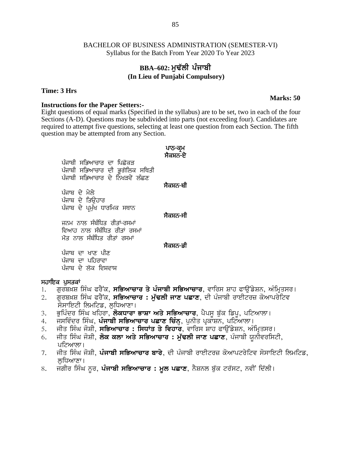# **BBA–602: ਮਢੱਲੀ ਪੰਜਾਬੀ (In Lieu of Punjabi Compulsory)**

### **Time: 3 Hrs**

#### **Instructions for the Paper Setters:-**

Eight questions of equal marks (Specified in the syllabus) are to be set, two in each of the four Sections (A-D). Questions may be subdivided into parts (not exceeding four). Candidates are required to attempt five questions, selecting at least one question from each Section. The fifth question may be attempted from any Section. the syllabus) are to be set.<br>d into parts (not exceeding<br>at least one question from<br>.<br>**ਪਾਠ-ਕ੍ਰਮ**<br>ਸੈਕਸ਼ਨ-ਏ ਪਾਠ<del>-</del>ਕ੍ਰਮ<br>ਸੈਕਸ਼ਨ<del>-</del>ਏ<br>ਸੈਕਸ਼ਨ<del>-</del>ਬੀ

assions or equar manss (speemed m<br>s (A-D). Questions may be subdivided<br>i to attempt five questions, selecting<br>n may be attempted from any Section<br>ਪੰਜਾਬੀ ਸਭਿਆਚਾਰ ਦੀ ਭੂਗੋਲਿਕ ਸਥਿਤੀ<br>ਪੰਜਾਬੀ ਸਭਿਆਚਾਰ ਦੇ ਨਿਖੜਵੇਂ ਲੱਛਣ g assign may be seed. Here in paid to attempt five questions, selecting at least one q<br>n may be attempted from any Section.<br>ਪੰਜਾਬੀ ਸਭਿਆਚਾਰ ਦਾ ਪਿਛੋਕੜ ਪੰਜਾਬੀ ਸਭਿਆਚਾਰ ਦੀ ਭੂਗੋਲਿਕ ਸਥਿਤੀ<br>ਪੰਜਾਬੀ ਸਭਿਆਚਾਰ ਦੇ ਨਿਖੜਵੇਂ ਲੱਛਣ<br>ਪੰਜਾਬੀ ਸਭ ਪੰਜਾਬੀ ਸਭਿਆਚਾਰ ਦਾ ਪਿਛੋਕ<del>.</del><br>ਪੰਜਾਬੀ ਸਭਿਆਚਾਰ ਦੀ ਭੂਗੋਲਿ<br>ਪੰਜਾਬੀ ਸਭਿਆਚਾਰ ਦੇ ਨਿਖੜਵੇਂ<br>ਪੰਜਾਬ ਦੇ ਤਿਉਹਾਰ<br>ਪੰਜਾਬ ਦੇ ਪਮੱਖ ਧਾਰਮਿਕ ਸਥਾ ਪੰਜਾਬੀ ਸਭਿਆਚਾਰ ਦਾ ਪਿਛੋਕ:<br>ਪੰਜਾਬੀ ਸਭਿਆਚਾਰ ਦੀ ਭੂਗੋਲਿ<br>ਪੰਜਾਬੀ ਸਭਿਆਚਾਰ ਦੇ ਨਿਖੜਵੇਂ<br>ਪੰਜਾਬ ਦੇ ਮੇਲੇ<br>ਪੰਜਾਬ ਦੇ ਪ੍ਰਮੁੱਖ ਧਾਰਮਿਕ ਸਥਾ ਪੰਜਾਬੀ ਸਭਿਆਚਾਰ ਦਾ ਪਿਛੋਕੜ<br>ਪੰਜਾਬੀ ਸਭਿਆਚਾਰ ਦੀ ਭੂਗੋਲਿਕ ਸਥਿਤੀ<br>ਪੰਜਾਬੀ ਸਭਿਆਚਾਰ ਦੇ ਨਿਖੜਵੇਂ ਲੱਛਣ<br>ਪੰਜਾਬ ਦੇ ਮੁਲੇੁ<br>ਪੰਜਾਬ ਦੇ ਪ੍ਰਮੁੱਖ ਧਾਰਮਿਕ ਸਥਾਨ<br>ਪੰਜਾਬ ਦੇ ਪ੍ਰਮੁੱਖ ਧਾਰਮਿਕ ਸਥਾਨ<br>ਜਨਮ ਨਾਲ ਸੰਬੰਧਿਤ ਰੀਤਾਂ–ਰਸਮਾਂ

ਸੈਕਸ<del>਼ਨ ਬੀ</del><br>ਸੈਕਸ<del>਼ਨ ਬੀ</del><br>ਸੈਕਸ਼ਨ<del> ਸੀ</del>

ਜਨਮ ਨਾਲ ਸੰਬੰਧਿਤ ਰੀਤਾਂ-ਰਸਮਾਂ ਵਿਆਹ ਨਾਲ ਸੰਬੰਧਿਤ ਰੀਤਾਂ ਰਸਮਾਂ<br>ਮੌਤ ਨਾਲ ਸੰਬੰਧਿਤ ਰੀਤਾਂ ਰਸਮਾਂ ਪੰਜਾਬ ਦੇ ਮੇਲੇ<br>ਪੰਜਾਬ ਦੇ ਤਿਉਹਾਰ<br>ਪੰਜਾਬ ਦੇ ਪ੍ਰਮੁੱਖ ਧਾਰਮਿਕ ਸਥਾਨ<br>ਜਨਮ ਨਾਲ ਸੰਬੰਧਿਤ ਰੀਤਾਂ-ਰਸਮਾਂ<br>ਵਿਆਹ ਨਾਲ ਸੰਬੰਧਿਤ ਰੀਤਾਂ ਰਸਮਾਂ<br>ਮੌਤ ਨਾਲ ਸੰਬੰਧਿਤ ਰੀਤਾਂ ਰਸਮਾਂ<br>ਪੰਜਾਬ ਦਾ ਖਾਣ ਪੀਣ ਪੰਜਾਬ ਦੇ ਪ੍ਰਮੁੱਖ ਧਾਰਮਿਕ ਸਥਾਨ<br>ਜਨਮ ਨਾਲ ਸੰਬੰਧਿਤ ਰੀਤਾਂ–ਰਸਮਾਂ<br>ਵਿਆਹ ਨਾਲ ਸੰਬੰਧਿਤ ਰੀਤਾਂ ਰਸਮਾਂ<br>ਮੌਤ ਨਾਲ ਸੰਬੰਧਿਤ ਰੀਤਾਂ ਰਸਮਾਂ<br>ਪੰਜਾਬ ਦਾ ਪਹਿਰਾਵਾ<br>ਪੰਜਾਬ ਦੇ ਲੋਕ ਵਿਸ਼ਵਾਸ਼ ਜਨਮ ਨਾਲ ਸੰਬੰਧਿਤ ਰੀਤਾਂ–ਰਸਮ<br>ਵਿਆਹ ਨਾਲ ਸੰਬੰਧਿਤ ਰੀਤਾਂ ਰ<br>ਮੌਤ ਨਾਲ ਸੰਬੰਧਿਤ ਰੀਤਾਂ ਰਸਮ<br>ਪੰਜਾਬ ਦਾ ਖਾਣ ਪੀਣ<br>ਪੰਜਾਬ ਦੇ ਲੋਕ ਵਿਸ਼ਵਾਸ਼<br>ਪੰਜਾਬ ਦੇ ਲੋਕ ਵਿਸ਼ਵਾਸ਼ ਜਨਮ ਨਾਲ ਸੰਬੰਧਿਤ ਰੀਤਾਂ–ਰਸਮਾਂ<br>ਵਿਆਹ ਨਾਲ ਸੰਬੰਧਿਤ ਰੀਤਾਂ ਰਸਮਾਂ<br>ਮੌਤ ਨਾਲ ਸੰਬੰਧਿਤ ਰੀਤਾਂ ਰਸਮਾਂ<br>ਪੰਜਾਬ ਦਾ ਖਾਣ ਪੀਣ<br>ਪੰਜਾਬ ਦਾ ਪਹਿਰਾਵਾ<br>ਪੰਜਾਬ ਦੇ ਲੋਕ ਵਿਸ਼ਵਾਸ<br>**ਪੁਸਤਕਾਂ** 

ਸੈਕਸ਼ਨ<del>-</del>ਸੀ<br>ਸੈਕਸ਼ਨ<del>-</del>ਡੀ<br>ਸੈਕਸ਼ਨ<del>-</del>ਡੀ

**ਮੌਤ ਨਾਲ ਸੰਬੰਧਿਤ ਰੀਤਾਂ ਰਸਮਾਂ**<br>ਪੰਜਾਬ ਦਾ ਖਾਣ ਪੀਣ<br>ਪੰਜਾਬ ਦਾ ਪਹਿਰਾਵਾ<br>ਪੰਜਾਬ ਦੇ ਲੋਕ ਵਿਸ਼ਵਾਸ਼<br>ਸ**ਹਾਇਕ ਪੁਸਤਕਾਂ**<br>1. ਗੁਰਬਖ਼ਸ਼ ਸਿੰਘ ਫਰੈਂਕ, ਸਭਿਆਚ<br>2. ਗਰਬਖ਼ਸ਼ ਸਿੰਘ ਫਰੈਂਕ, ਸਭਿਆਚ

- 1. ਗੁਰਬਖ਼ਸ਼ ਸਿੰਘ ਫਰੈਂਕ, **ਸਭਿਆਚਾਰ ਤੇ ਪੰਜਾਬੀ ਸਭਿਆਚਾਰ**, ਵਾਰਿਸ ਸ਼ਾਹ ਫਾਉਂਡੇਸ਼ਨ, ਅੰਮ੍ਰਿਤਸਰ।
- 2. ਗਰਬਖ਼ਸ਼ ਸਿੰਘ ਫਰੈਂਕ, **ਸਭਿਆਚਾਰ : ਮੱਢਲੀ ਜਾਣ ਪਛਾਣ**, ਦੀ ਪੰਜਾਬੀ ਰਾਈਟਰਜ਼ ਕੋਆਪਰੇਟਿਵ ਸੋਸਾਇਟੀ ਲਿਮਟਿਡ, ਲੁਧਿਆਣਾ।
- 3. ਭੁਪਿੰਦਰ ਸਿੰਘ ਖਹਿਰਾ, **ਲੋਕਧਾਰਾ ਭਾਸ਼ਾ ਅਤੇ ਸਭਿਆਚਾਰ**, ਪੈਪਸੂ ਬੁੱਕ ਡਿਪੂ, ਪਟਿਆਲਾ।
- 4. ਜਸਵਿੰਦਰ ਸਿੰਘ, **ਪੰਜਾਬੀ ਸਭਿਆਚਾਰ ਪਛਾਣ ਚਿੰਨ੍ਹ**, ਪੁਨੀਤ ਪ੍ਰਕਾਸ਼ਨ, ਪਟਿਆਲਾ।
- 5. ਜੀਤ ਸਿੰਘ ਜੋਸ਼ੀ, **ਸਭਿਆਚਾਰ : ਸਿਧਾਂਤ ਤੇ ਵਿਹਾਰ**, ਵਾਰਿਸ ਸ਼ਾਹ ਫਾੳਂਡੇਸ਼ਨ, ਅੰਮਿਤਸਰ।
- 6. ਜੀਤ ਸਿੰਘ ਜੋਸ਼ੀ, **ਲੋਕ ਕਲਾ ਅਤੇ ਸਭਿਆਚਾਰ : ਮੁੱਢਲੀ ਜਾਣ ਪਛਾਣ**, ਪੰਜਾਬੀ ਯਨੀਵਰਸਿਟੀ, ਪਟਿਆਲਾ।
- 7. ਜੀਤ ਸਿੰਘ ਜੋਸ਼ੀ, **ਪੰਜਾਬੀ ਸਭਿਆਚਾਰ ਬਾਰੇ**, ਦੀ ਪੰਜਾਬੀ ਰਾਈਟਰਜ਼ ਕੋਆਪਟਰੇਟਿਵ ਸੋਸਾਇਟੀ ਲਿਮਟਿਡ, ਲਧਿਆਣਾ।
- 8. ਜਗੀਰ ਸਿੰਘ ਨੂਰ, **ਪੰਜਾਬੀ ਸਭਿਆਚਾਰ : ਮੂਲ ਪਛਾਣ**, ਨੈਸ਼ਨਲ ਬੁੱਕ ਟਰੱਸਟ, ਨਵੀਂ ਦਿੱਲੀ।

**Marks: 50**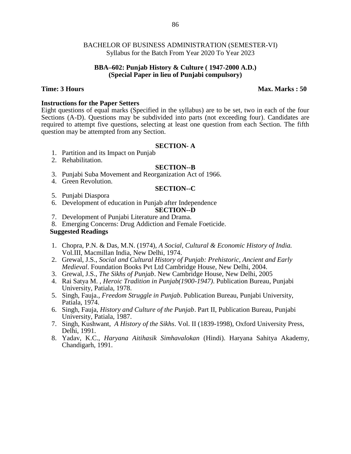#### **BBA–602: Punjab History & Culture ( 1947-2000 A.D.) (Special Paper in lieu of Punjabi compulsory)**

#### **Time: 3 Hours Max. Marks : 50**

#### **Instructions for the Paper Setters**

Eight questions of equal marks (Specified in the syllabus) are to be set, two in each of the four Sections (A-D). Questions may be subdivided into parts (not exceeding four). Candidates are required to attempt five questions, selecting at least one question from each Section. The fifth question may be attempted from any Section.

#### **SECTION- A**

- 1. Partition and its Impact on Punjab
- 2. Rehabilitation.

#### **SECTION--B**

- 3. Punjabi Suba Movement and Reorganization Act of 1966.
- 4. Green Revolution.

#### **SECTION--C**

- 5. Punjabi Diaspora
- 6. Development of education in Punjab after Independence

# **SECTION--D**

- 7. Development of Punjabi Literature and Drama.
- 8. Emerging Concerns: Drug Addiction and Female Foeticide.

# **Suggested Readings**

- 1. Chopra, P.N. & Das, M.N. (1974), *A Social, Cultural & Economic History of India.* Vol.III, Macmillan India, New Delhi, 1974.
- 2. Grewal, J.S., *Social and Cultural History of Punjab: Prehistoric, Ancient and Early Medieval*. Foundation Books Pvt Ltd Cambridge House, New Delhi, 2004.
- 3. Grewal, J.S., *The Sikhs of Punjab*. New Cambridge House, New Delhi, 2005
- 4. Rai Satya M. , *Heroic Tradition in Punjab(1900-1947)*. Publication Bureau, Punjabi University, Patiala, 1978.
- 5. Singh, Fauja.*, Freedom Struggle in Punjab*. Publication Bureau, Punjabi University, Patiala, 1974.
- 6. Singh, Fauja, *History and Culture of the Punjab*. Part II, Publication Bureau, Punjabi University, Patiala, 1987.
- 7. Singh, Kushwant, *A History of the Sikhs*. Vol. II (1839-1998), Oxford University Press, Delhi, 1991.
- 8. Yadav, K.C., *Haryana Aitihasik Simhavalokan* (Hindi). Haryana Sahitya Akademy, Chandigarh, 1991.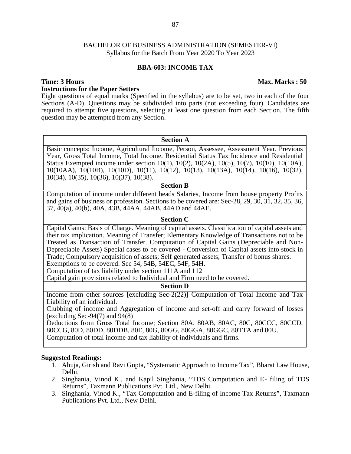### **BBA-603: INCOME TAX**

# **Time: 3 Hours Max. Marks : 50 Instructions for the Paper Setters**

Eight questions of equal marks (Specified in the syllabus) are to be set, two in each of the four Sections (A-D). Questions may be subdivided into parts (not exceeding four). Candidates are required to attempt five questions, selecting at least one question from each Section. The fifth question may be attempted from any Section.

#### **Section A**

Basic concepts: Income, Agricultural Income, Person, Assessee, Assessment Year, Previous Year, Gross Total Income, Total Income. Residential Status Tax Incidence and Residential Status Exempted income under section 10(1), 10(2), 10(2A), 10(5), 10(7), 10(10), 10(10A), 10(10AA), 10(10B), 10(10D), 10(11), 10(12), 10(13), 10(13A), 10(14), 10(16), 10(32), 10(34), 10(35), 10(36), 10(37), 10(38).

#### **Section B**

Computation of income under different heads Salaries, Income from house property Profits and gains of business or profession. Sections to be covered are: Sec-28, 29, 30, 31, 32, 35, 36, 37, 40(a), 40(b), 40A, 43B, 44AA, 44AB, 44AD and 44AE.

#### **Section C**

Capital Gains: Basis of Charge. Meaning of capital assets. Classification of capital assets and their tax implication. Meaning of Transfer; Elementary Knowledge of Transactions not to be Treated as Transaction of Transfer. Computation of Capital Gains (Depreciable and Non- Depreciable Assets) Special cases to be covered - Conversion of Capital assets into stock in Trade; Compulsory acquisition of assets; Self generated assets; Transfer of bonus shares. Exemptions to be covered: Sec 54, 54B, 54EC, 54F, 54H.

Computation of tax liability under section 111A and 112

Capital gain provisions related to Individual and Firm need to be covered.

#### **Section D**

Income from other sources [excluding Sec-2(22)] Computation of Total Income and Tax Liability of an individual.

Clubbing of income and Aggregation of income and set-off and carry forward of losses (excluding Sec-94(7) and 94(8)

Deductions from Gross Total Income; Section 80A, 80AB, 80AC, 80C, 80CCC, 80CCD, 80CCG, 80D, 80DD, 80DDB, 80E, 80G, 80GG, 80GGA, 80GGC, 80TTA and 80U. Computation of total income and tax liability of individuals and firms.

#### **Suggested Readings:**

- 1. Ahuja, Girish and Ravi Gupta, "Systematic Approach to Income Tax", Bharat Law House, Delhi.
- 2. Singhania, Vinod K., and Kapil Singhania, "TDS Computation and E- filing of TDS Returns", Taxmann Publications Pvt. Ltd., New Delhi.
- 3. Singhania, Vinod K., "Tax Computation and E-filing of Income Tax Returns", Taxmann Publications Pvt. Ltd., New Delhi.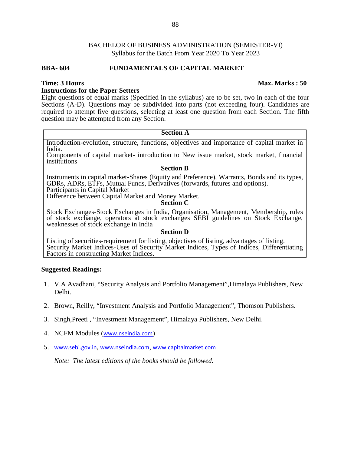### **BBA- 604 FUNDAMENTALS OF CAPITAL MARKET**

#### **Instructions for the Paper Setters**

Eight questions of equal marks (Specified in the syllabus) are to be set, two in each of the four Sections (A-D). Questions may be subdivided into parts (not exceeding four). Candidates are required to attempt five questions, selecting at least one question from each Section. The fifth question may be attempted from any Section.

#### **Section A**

Introduction-evolution, structure, functions, objectives and importance of capital market in India.

Components of capital market- introduction to New issue market, stock market, financial institutions

#### **Section B**

Instruments in capital market-Shares (Equity and Preference), Warrants, Bonds and its types, GDRs, ADRs, ETFs, Mutual Funds, Derivatives (forwards, futures and options). Participants in Capital Market

Difference between Capital Market and Money Market.

# **Section C**

Stock Exchanges-Stock Exchanges in India, Organisation, Management, Membership, rules of stock exchange, operators at stock exchanges SEBI guidelines on Stock Exchange, weaknesses of stock exchange in India

#### **Section D**

Listing of securities-requirement for listing, objectives of listing, advantages of listing. Security Market Indices-Uses of Security Market Indices, Types of Indices, Differentiating Factors in constructing Market Indices.

#### **Suggested Readings:**

- 1. V.A Avadhani, "Security Analysis and Portfolio Management",Himalaya Publishers, New Delhi.
- 2. Brown, Reilly, "Investment Analysis and Portfolio Management", Thomson Publishers.
- 3. Singh,Preeti , "Investment Management", Himalaya Publishers, New Delhi.
- 4. NCFM Modules (www.nseindia.com)
- 5. www.sebi.gov.in, www.nseindia.com, www.capitalmarket.com

*Note: The latest editions of the books should be followed.*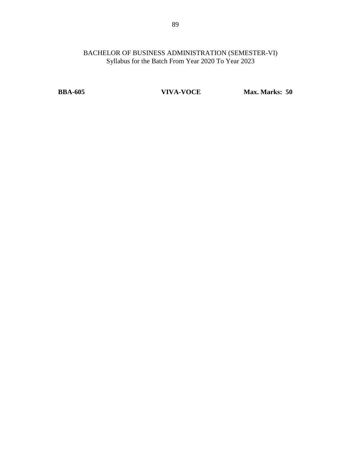**BBA-605 VIVA-VOCE Max. Marks: 50**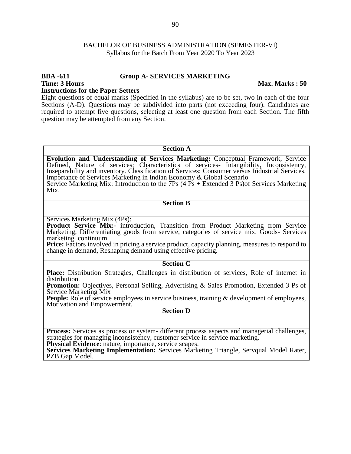### **BBA -611 Group A- SERVICES MARKETING**

**Time: 3 Hours Max. Marks : 50**

**Instructions for the Paper Setters**

Eight questions of equal marks (Specified in the syllabus) are to be set, two in each of the four Sections (A-D). Questions may be subdivided into parts (not exceeding four). Candidates are required to attempt five questions, selecting at least one question from each Section. The fifth question may be attempted from any Section.

#### **Section A**

**Evolution and Understanding of Services Marketing:** Conceptual Framework, Service Defined, Nature of services; Characteristics of services- Intangibility, Inconsistency, Inseparability and inventory. Classification of Services; Consumer versus Industrial Services, Importance of Services Marketing in Indian Economy & Global Scenario Service Marketing Mix: Introduction to the 7Ps (4 Ps + Extended 3 Ps)of Services Marketing Mix.

#### **Section B**

Services Marketing Mix (4Ps):

Product Service Mix:- introduction, Transition from Product Marketing from Service Marketing, Differentiating goods from service, categories of service mix. Goods- Services marketing continuum.

**Price:** Factors involved in pricing a service product, capacity planning, measures to respond to change in demand, Reshaping demand using effective pricing.

#### **Section C**

**Place:** Distribution Strategies, Challenges in distribution of services, Role of internet in distribution.

**Promotion:** Objectives, Personal Selling, Advertising & Sales Promotion, Extended 3 Ps of Service Marketing Mix

**People:** Role of service employees in service business, training & development of employees, Motivation and Empowerment.

#### **Section D**

**Process:** Services as process or system- different process aspects and managerial challenges, strategies for managing inconsistency, customer service in service marketing.

**Physical Evidence**: nature, importance, service scapes.

**Services Marketing Implementation:** Services Marketing Triangle, Servqual Model Rater, PZB Gap Model.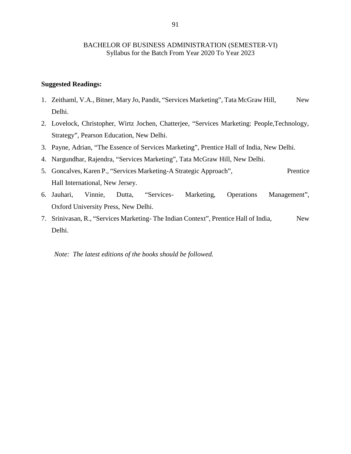#### **Suggested Readings:**

- 1. Zeithaml, V.A., Bitner, Mary Jo, Pandit, "Services Marketing", Tata McGraw Hill, New Delhi.
- 2. Lovelock, Christopher, Wirtz Jochen, Chatterjee, "Services Marketing: People,Technology, Strategy", Pearson Education, New Delhi.
- 3. Payne, Adrian, "The Essence of Services Marketing", Prentice Hall of India, New Delhi.
- 4. Nargundhar, Rajendra, "Services Marketing", Tata McGraw Hill, New Delhi.
- 5. Goncalves, Karen P., "Services Marketing-A Strategic Approach", Prentice Hall International, New Jersey.
- 6. Jauhari, Vinnie, Dutta, "Services- Marketing, Operations Management", Oxford University Press, New Delhi.
- 7. Srinivasan, R., "Services Marketing-The Indian Context", Prentice Hall of India, New Delhi.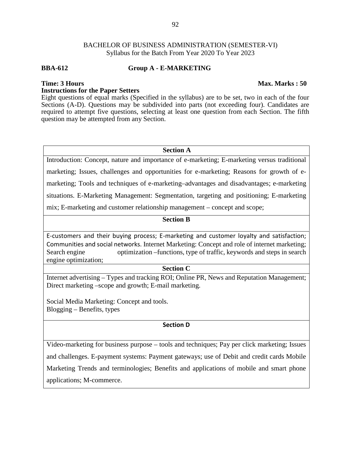### **BBA-612 Group A - E-MARKETING**

# **Time: 3 Hours Max. Marks : 50**

# **Instructions for the Paper Setters**

Eight questions of equal marks (Specified in the syllabus) are to be set, two in each of the four Sections (A-D). Questions may be subdivided into parts (not exceeding four). Candidates are required to attempt five questions, selecting at least one question from each Section. The fifth question may be attempted from any Section.

#### **Section A**

Introduction: Concept, nature and importance of e-marketing; E-marketing versus traditional marketing; Issues, challenges and opportunities for e-marketing; Reasons for growth of e marketing; Tools and techniques of e-marketing–advantages and disadvantages; e-marketing situations. E-Marketing Management: Segmentation, targeting and positioning; E-marketing mix; E-marketing and customer relationship management – concept and scope;

#### **Section B**

E-customers and their buying process; E-marketing and customer loyalty and satisfaction; Communities and social networks. Internet Marketing: Concept and role of internet marketing; Search engine optimization –functions, type of traffic, keywords and steps in search engine optimization;

### **Section C**

Internet advertising – Types and tracking ROI; Online PR, News and Reputation Management; Direct marketing –scope and growth; E-mail marketing.

Social Media Marketing: Concept and tools. Blogging – Benefits, types

# **Section D**

Video-marketing for business purpose – tools and techniques; Pay per click marketing; Issues and challenges. E-payment systems: Payment gateways; use of Debit and credit cards Mobile Marketing Trends and terminologies; Benefits and applications of mobile and smart phone applications; M-commerce.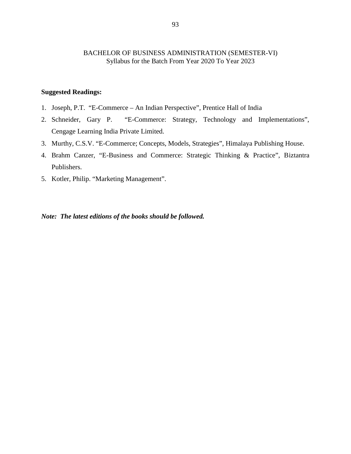# **Suggested Readings:**

- 1. Joseph, P.T. "E-Commerce An Indian Perspective", Prentice Hall of India
- 2. Schneider, Gary P. "E-Commerce: Strategy, Technology and Implementations", Cengage Learning India Private Limited.
- 3. Murthy, C.S.V. "E-Commerce; Concepts, Models, Strategies", Himalaya Publishing House.
- 4. Brahm Canzer, "E-Business and Commerce: Strategic Thinking & Practice", Biztantra Publishers.
- 5. Kotler, Philip. "Marketing Management".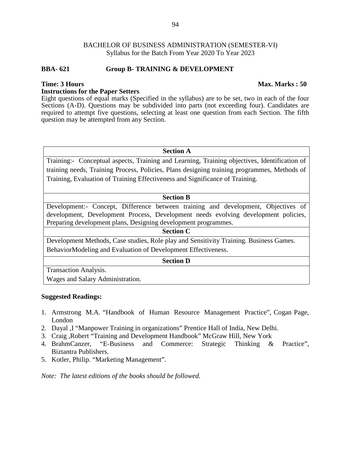### **BBA- 621 Group B- TRAINING & DEVELOPMENT**

# **Instructions for the Paper Setters**

Eight questions of equal marks (Specified in the syllabus) are to be set, two in each of the four Sections (A-D). Questions may be subdivided into parts (not exceeding four). Candidates are required to attempt five questions, selecting at least one question from each Section. The fifth question may be attempted from any Section.

#### **Section A**

Training:- Conceptual aspects, Training and Learning, Training objectives, Identification of training needs, Training Process, Policies, Plans designing training programmes, Methods of Training, Evaluation of Training Effectiveness and Significance of Training.

#### **Section B**

Development:- Concept, Difference between training and development, Objectives of development, Development Process, Development needs evolving development policies, Preparing development plans, Designing development programmes.

#### **Section C**

Development Methods, Case studies, Role play and Sensitivity Training. Business Games. BehaviorModeling and Evaluation of Development Effectiveness.

#### **Section D**

Transaction Analysis.

Wages and Salary Administration.

#### **Suggested Readings:**

- 1. Armstrong M.A. "Handbook of Human Resource Management Practice", Cogan Page, London
- 2. Dayal ,I "Manpower Training in organizations" Prentice Hall of India, New Delhi.
- 3. Craig ,Robert "Training and Development Handbook" McGraw Hill, New York
- 4. BrahmCanzer, "E-Business and Commerce: Strategic Thinking & Practice", Biztantra Publishers.
- 5. Kotler, Philip. "Marketing Management".

*Note: The latest editions of the books should be followed.*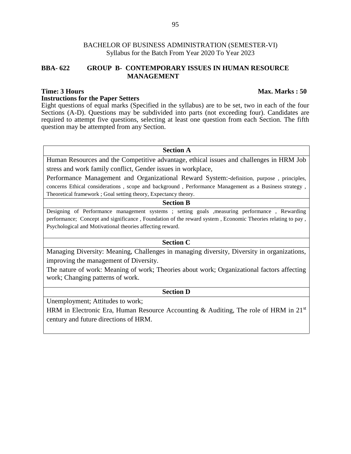# **BBA- 622 GROUP B- CONTEMPORARY ISSUES IN HUMAN RESOURCE MANAGEMENT**

### **Time: 3 Hours Max. Marks : 50 Instructions for the Paper Setters**

Eight questions of equal marks (Specified in the syllabus) are to be set, two in each of the four Sections (A-D). Questions may be subdivided into parts (not exceeding four). Candidates are required to attempt five questions, selecting at least one question from each Section. The fifth question may be attempted from any Section.

#### **Section A**

Human Resources and the Competitive advantage, ethical issues and challenges in HRM Job stress and work family conflict, Gender issues in workplace,

Performance Management and Organizational Reward System:-definition, purpose , principles, concerns Ethical considerations , scope and background , Performance Management as a Business strategy , Theoretical framework ; Goal setting theory, Expectancy theory.

#### **Section B**

Designing of Performance management systems ; setting goals ,measuring performance , Rewarding performance; Concept and significance , Foundation of the reward system , Economic Theories relating to pay , Psychological and Motivational theories affecting reward.

#### **Section C**

Managing Diversity: Meaning, Challenges in managing diversity, Diversity in organizations, improving the management of Diversity.

The nature of work: Meaning of work; Theories about work; Organizational factors affecting work; Changing patterns of work.

**Section D**

Unemployment; Attitudes to work;

HRM in Electronic Era, Human Resource Accounting & Auditing, The role of HRM in  $21<sup>st</sup>$ century and future directions of HRM.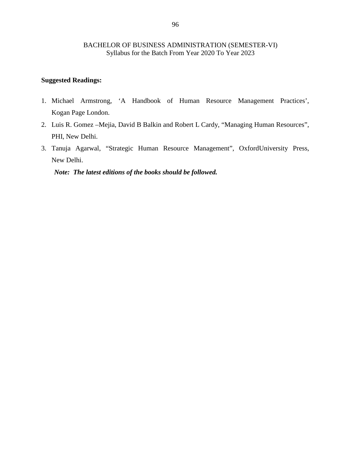# **Suggested Readings:**

- 1. Michael Armstrong, 'A Handbook of Human Resource Management Practices', Kogan Page London.
- 2. Luis R. Gomez –Mejia, David B Balkin and Robert L Cardy, "Managing Human Resources", PHI, New Delhi.
- 3. Tanuja Agarwal, "Strategic Human Resource Management", OxfordUniversity Press, New Delhi.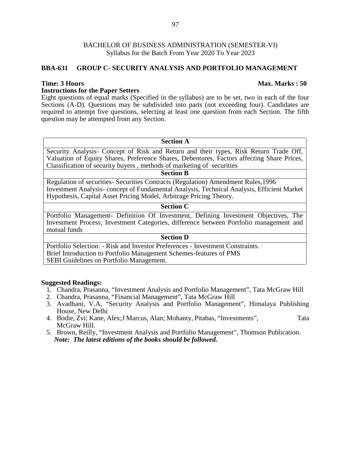# **BBA-631 GROUP C- SECURITY ANALYSIS AND PORTFOLIO MANAGEMENT**

### **Instructions for the Paper Setters**

Eight questions of equal marks (Specified in the syllabus) are to be set, two in each of the four Sections (A-D). Questions may be subdivided into parts (not exceeding four). Candidates are required to attempt five questions, selecting at least one question from each Section. The fifth question may be attempted from any Section.

# **Section A**

Security Analysis- Concept of Risk and Return and their types, Risk Return Trade Off, Valuation of Equity Shares, Preference Shares, Debentures, Factors affecting Share Prices, Classification of security buyers , methods of marketing of securities

#### **Section B**

Regulation of securities- Securities Contracts (Regulation) Amendment Rules,1996 Investment Analysis- concept of Fundamental Analysis, Technical Analysis, Efficient Market Hypothesis, Capital Asset Pricing Model, Arbitrage Pricing Theory.

#### **Section C**

Portfolio Management- Definition Of Investment, Defining Investment Objectives, The Investment Process, Investment Categories, difference between Portfolio management and mutual funds

# **Section D**

Portfolio Selection: - Risk and Investor Preferences - Investment Constraints. Brief Introduction to Portfolio Management Schemes-features of PMS SEBI Guidelines on Portfolio Management.

#### **Suggested Readings:**

- 1. Chandra, Prasanna, "Investment Analysis and Portfolio Management", Tata McGraw Hill
- 2. Chandra, Prasanna, "Financial Management", Tata McGraw Hill
- 3. Avadhani, V.A, "Security Analysis and Portfolio Management", Himalaya Publishing House, New Delhi
- 4. Bodie, Zvi; Kane, Alex;J Marcus, Alan; Mohanty, Pitabas, "Investments", Tata McGraw Hill.
- 5. Brown, Reilly, "Investment Analysis and Portfolio Management", Thomson Publication. *Note: The latest editions of the books should be followed.*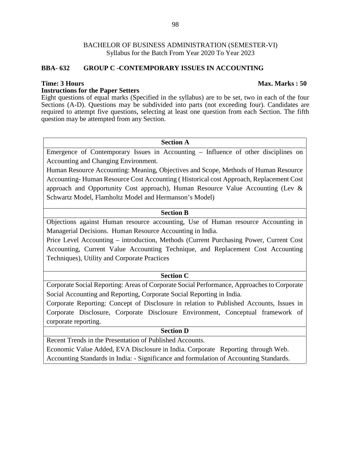# **BBA- 632 GROUP C -CONTEMPORARY ISSUES IN ACCOUNTING**

### **Instructions for the Paper Setters**

Eight questions of equal marks (Specified in the syllabus) are to be set, two in each of the four Sections (A-D). Questions may be subdivided into parts (not exceeding four). Candidates are required to attempt five questions, selecting at least one question from each Section. The fifth question may be attempted from any Section.

#### **Section A**

Emergence of Contemporary Issues in Accounting – Influence of other disciplines on Accounting and Changing Environment.

Human Resource Accounting: Meaning, Objectives and Scope, Methods of Human Resource Accounting- Human Resource Cost Accounting ( Historical cost Approach, Replacement Cost approach and Opportunity Cost approach), Human Resource Value Accounting (Lev & Schwartz Model, Flamholtz Model and Hermanson's Model)

# **Section B**

Objections against Human resource accounting, Use of Human resource Accounting in Managerial Decisions. Human Resource Accounting in India.

Price Level Accounting – introduction, Methods (Current Purchasing Power, Current Cost Accounting, Current Value Accounting Technique, and Replacement Cost Accounting Techniques), Utility and Corporate Practices

#### **Section C**

Corporate Social Reporting: Areas of Corporate Social Performance, Approaches to Corporate Social Accounting and Reporting, Corporate Social Reporting in India.

Corporate Reporting: Concept of Disclosure in relation to Published Accounts, Issues in Corporate Disclosure, Corporate Disclosure Environment, Conceptual framework of corporate reporting.

# **Section D**

Recent Trends in the Presentation of Published Accounts.

Economic Value Added, EVA Disclosure in India. Corporate Reporting through Web. Accounting Standards in India: - Significance and formulation of Accounting Standards.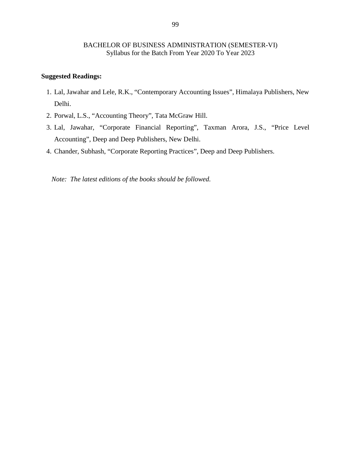# **Suggested Readings:**

- 1. Lal, Jawahar and Lele, R.K., "Contemporary Accounting Issues", Himalaya Publishers, New Delhi.
- 2. Porwal, L.S., "Accounting Theory", Tata McGraw Hill.
- 3. Lal, Jawahar, "Corporate Financial Reporting", Taxman Arora, J.S., "Price Level Accounting", Deep and Deep Publishers, New Delhi.
- 4. Chander, Subhash, "Corporate Reporting Practices", Deep and Deep Publishers.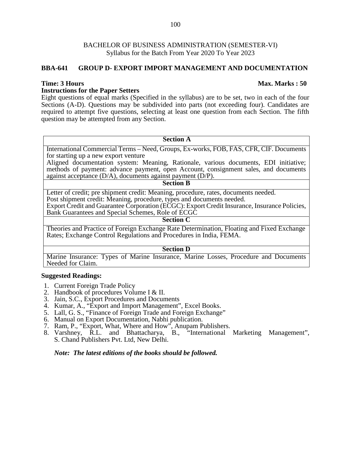#### **BBA-641 GROUP D- EXPORT IMPORT MANAGEMENT AND DOCUMENTATION**

# **Instructions for the Paper Setters**

Eight questions of equal marks (Specified in the syllabus) are to be set, two in each of the four Sections (A-D). Questions may be subdivided into parts (not exceeding four). Candidates are required to attempt five questions, selecting at least one question from each Section. The fifth question may be attempted from any Section.

# **Section A**

International Commercial Terms – Need, Groups, Ex-works, FOB, FAS, CFR, CIF. Documents for starting up a new export venture

Aligned documentation system: Meaning, Rationale, various documents, EDI initiative; methods of payment: advance payment, open Account, consignment sales, and documents against acceptance (D/A), documents against payment (D/P).

#### **Section B**

Letter of credit; pre shipment credit: Meaning, procedure, rates, documents needed. Post shipment credit: Meaning, procedure, types and documents needed.

Export Credit and Guarantee Corporation (ECGC): Export Credit Insurance, Insurance Policies, Bank Guarantees and Special Schemes, Role of ECGC

#### **Section C**

Theories and Practice of Foreign Exchange Rate Determination, Floating and Fixed Exchange Rates; Exchange Control Regulations and Procedures in India, FEMA.

#### **Section D**

Marine Insurance: Types of Marine Insurance, Marine Losses, Procedure and Documents Needed for Claim.

#### **Suggested Readings:**

- 1. Current Foreign Trade Policy
- 2. Handbook of procedures Volume I & II.
- 3. Jain, S.C., Export Procedures and Documents
- 4. Kumar, A., "Export and Import Management", Excel Books.
- 5. Lall, G. S., "Finance of Foreign Trade and Foreign Exchange"
- 6. Manual on Export Documentation, Nabhi publication.
- 7. Ram, P., "Export, What, Where and How", Anupam Publishers.
- 8. Varshney, R.L. and Bhattacharya, B., "International Marketing Management", S. Chand Publishers Pvt. Ltd, New Delhi.

### *Note: The latest editions of the books should be followed.*